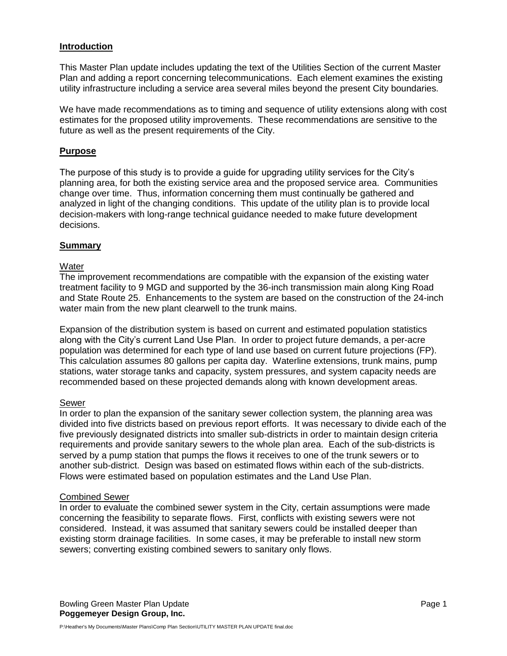## **Introduction**

This Master Plan update includes updating the text of the Utilities Section of the current Master Plan and adding a report concerning telecommunications. Each element examines the existing utility infrastructure including a service area several miles beyond the present City boundaries.

We have made recommendations as to timing and sequence of utility extensions along with cost estimates for the proposed utility improvements. These recommendations are sensitive to the future as well as the present requirements of the City.

## **Purpose**

The purpose of this study is to provide a guide for upgrading utility services for the City's planning area, for both the existing service area and the proposed service area. Communities change over time. Thus, information concerning them must continually be gathered and analyzed in light of the changing conditions. This update of the utility plan is to provide local decision-makers with long-range technical guidance needed to make future development decisions.

## **Summary**

## **Water**

The improvement recommendations are compatible with the expansion of the existing water treatment facility to 9 MGD and supported by the 36-inch transmission main along King Road and State Route 25. Enhancements to the system are based on the construction of the 24-inch water main from the new plant clearwell to the trunk mains.

Expansion of the distribution system is based on current and estimated population statistics along with the City's current Land Use Plan. In order to project future demands, a per-acre population was determined for each type of land use based on current future projections (FP). This calculation assumes 80 gallons per capita day. Waterline extensions, trunk mains, pump stations, water storage tanks and capacity, system pressures, and system capacity needs are recommended based on these projected demands along with known development areas.

#### Sewer

In order to plan the expansion of the sanitary sewer collection system, the planning area was divided into five districts based on previous report efforts. It was necessary to divide each of the five previously designated districts into smaller sub-districts in order to maintain design criteria requirements and provide sanitary sewers to the whole plan area. Each of the sub-districts is served by a pump station that pumps the flows it receives to one of the trunk sewers or to another sub-district. Design was based on estimated flows within each of the sub-districts. Flows were estimated based on population estimates and the Land Use Plan.

#### Combined Sewer

In order to evaluate the combined sewer system in the City, certain assumptions were made concerning the feasibility to separate flows. First, conflicts with existing sewers were not considered. Instead, it was assumed that sanitary sewers could be installed deeper than existing storm drainage facilities. In some cases, it may be preferable to install new storm sewers; converting existing combined sewers to sanitary only flows.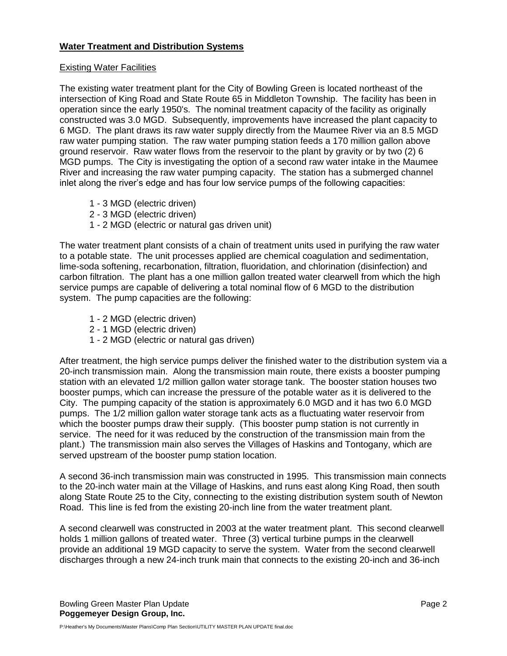# **Water Treatment and Distribution Systems**

## Existing Water Facilities

The existing water treatment plant for the City of Bowling Green is located northeast of the intersection of King Road and State Route 65 in Middleton Township. The facility has been in operation since the early 1950's. The nominal treatment capacity of the facility as originally constructed was 3.0 MGD. Subsequently, improvements have increased the plant capacity to 6 MGD. The plant draws its raw water supply directly from the Maumee River via an 8.5 MGD raw water pumping station. The raw water pumping station feeds a 170 million gallon above ground reservoir. Raw water flows from the reservoir to the plant by gravity or by two (2) 6 MGD pumps. The City is investigating the option of a second raw water intake in the Maumee River and increasing the raw water pumping capacity. The station has a submerged channel inlet along the river's edge and has four low service pumps of the following capacities:

- 1 3 MGD (electric driven)
- 2 3 MGD (electric driven)
- 1 2 MGD (electric or natural gas driven unit)

The water treatment plant consists of a chain of treatment units used in purifying the raw water to a potable state. The unit processes applied are chemical coagulation and sedimentation, lime-soda softening, recarbonation, filtration, fluoridation, and chlorination (disinfection) and carbon filtration. The plant has a one million gallon treated water clearwell from which the high service pumps are capable of delivering a total nominal flow of 6 MGD to the distribution system. The pump capacities are the following:

- 1 2 MGD (electric driven)
- 2 1 MGD (electric driven)
- 1 2 MGD (electric or natural gas driven)

After treatment, the high service pumps deliver the finished water to the distribution system via a 20-inch transmission main. Along the transmission main route, there exists a booster pumping station with an elevated 1/2 million gallon water storage tank. The booster station houses two booster pumps, which can increase the pressure of the potable water as it is delivered to the City. The pumping capacity of the station is approximately 6.0 MGD and it has two 6.0 MGD pumps. The 1/2 million gallon water storage tank acts as a fluctuating water reservoir from which the booster pumps draw their supply. (This booster pump station is not currently in service. The need for it was reduced by the construction of the transmission main from the plant.) The transmission main also serves the Villages of Haskins and Tontogany, which are served upstream of the booster pump station location.

A second 36-inch transmission main was constructed in 1995. This transmission main connects to the 20-inch water main at the Village of Haskins, and runs east along King Road, then south along State Route 25 to the City, connecting to the existing distribution system south of Newton Road. This line is fed from the existing 20-inch line from the water treatment plant.

A second clearwell was constructed in 2003 at the water treatment plant. This second clearwell holds 1 million gallons of treated water. Three (3) vertical turbine pumps in the clearwell provide an additional 19 MGD capacity to serve the system. Water from the second clearwell discharges through a new 24-inch trunk main that connects to the existing 20-inch and 36-inch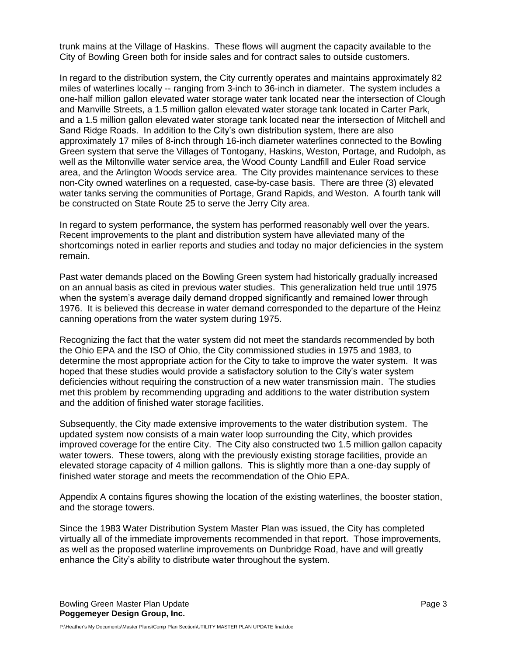trunk mains at the Village of Haskins. These flows will augment the capacity available to the City of Bowling Green both for inside sales and for contract sales to outside customers.

In regard to the distribution system, the City currently operates and maintains approximately 82 miles of waterlines locally -- ranging from 3-inch to 36-inch in diameter. The system includes a one-half million gallon elevated water storage water tank located near the intersection of Clough and Manville Streets, a 1.5 million gallon elevated water storage tank located in Carter Park, and a 1.5 million gallon elevated water storage tank located near the intersection of Mitchell and Sand Ridge Roads. In addition to the City's own distribution system, there are also approximately 17 miles of 8-inch through 16-inch diameter waterlines connected to the Bowling Green system that serve the Villages of Tontogany, Haskins, Weston, Portage, and Rudolph, as well as the Miltonville water service area, the Wood County Landfill and Euler Road service area, and the Arlington Woods service area. The City provides maintenance services to these non-City owned waterlines on a requested, case-by-case basis. There are three (3) elevated water tanks serving the communities of Portage, Grand Rapids, and Weston. A fourth tank will be constructed on State Route 25 to serve the Jerry City area.

In regard to system performance, the system has performed reasonably well over the years. Recent improvements to the plant and distribution system have alleviated many of the shortcomings noted in earlier reports and studies and today no major deficiencies in the system remain.

Past water demands placed on the Bowling Green system had historically gradually increased on an annual basis as cited in previous water studies. This generalization held true until 1975 when the system's average daily demand dropped significantly and remained lower through 1976. It is believed this decrease in water demand corresponded to the departure of the Heinz canning operations from the water system during 1975.

Recognizing the fact that the water system did not meet the standards recommended by both the Ohio EPA and the ISO of Ohio, the City commissioned studies in 1975 and 1983, to determine the most appropriate action for the City to take to improve the water system. It was hoped that these studies would provide a satisfactory solution to the City's water system deficiencies without requiring the construction of a new water transmission main. The studies met this problem by recommending upgrading and additions to the water distribution system and the addition of finished water storage facilities.

Subsequently, the City made extensive improvements to the water distribution system. The updated system now consists of a main water loop surrounding the City, which provides improved coverage for the entire City. The City also constructed two 1.5 million gallon capacity water towers. These towers, along with the previously existing storage facilities, provide an elevated storage capacity of 4 million gallons. This is slightly more than a one-day supply of finished water storage and meets the recommendation of the Ohio EPA.

Appendix A contains figures showing the location of the existing waterlines, the booster station, and the storage towers.

Since the 1983 Water Distribution System Master Plan was issued, the City has completed virtually all of the immediate improvements recommended in that report. Those improvements, as well as the proposed waterline improvements on Dunbridge Road, have and will greatly enhance the City's ability to distribute water throughout the system.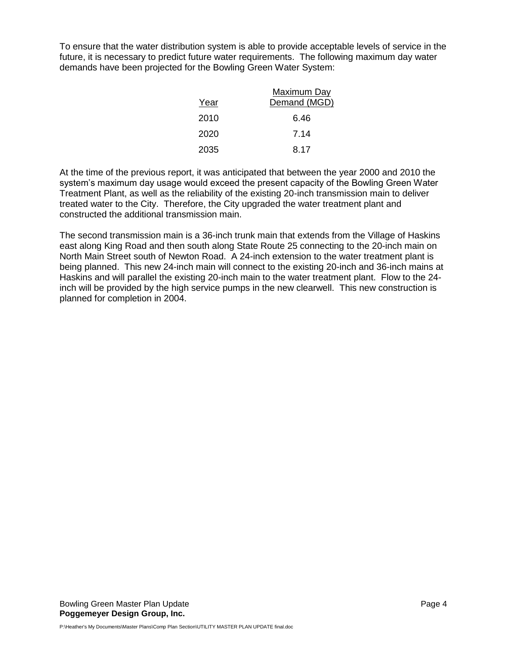To ensure that the water distribution system is able to provide acceptable levels of service in the future, it is necessary to predict future water requirements. The following maximum day water demands have been projected for the Bowling Green Water System:

|      | Maximum Day  |
|------|--------------|
| Year | Demand (MGD) |
| 2010 | 6.46         |
| 2020 | 7.14         |
| 2035 | 8.17         |

At the time of the previous report, it was anticipated that between the year 2000 and 2010 the system's maximum day usage would exceed the present capacity of the Bowling Green Water Treatment Plant, as well as the reliability of the existing 20-inch transmission main to deliver treated water to the City. Therefore, the City upgraded the water treatment plant and constructed the additional transmission main.

The second transmission main is a 36-inch trunk main that extends from the Village of Haskins east along King Road and then south along State Route 25 connecting to the 20-inch main on North Main Street south of Newton Road. A 24-inch extension to the water treatment plant is being planned. This new 24-inch main will connect to the existing 20-inch and 36-inch mains at Haskins and will parallel the existing 20-inch main to the water treatment plant. Flow to the 24 inch will be provided by the high service pumps in the new clearwell. This new construction is planned for completion in 2004.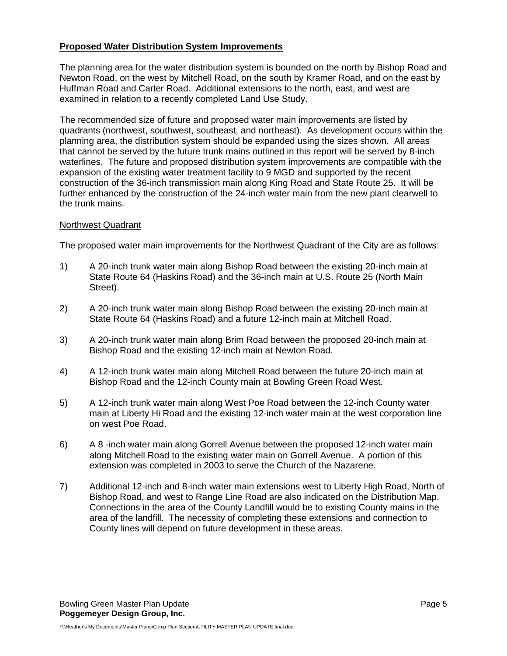## **Proposed Water Distribution System Improvements**

The planning area for the water distribution system is bounded on the north by Bishop Road and Newton Road, on the west by Mitchell Road, on the south by Kramer Road, and on the east by Huffman Road and Carter Road. Additional extensions to the north, east, and west are examined in relation to a recently completed Land Use Study.

The recommended size of future and proposed water main improvements are listed by quadrants (northwest, southwest, southeast, and northeast). As development occurs within the planning area, the distribution system should be expanded using the sizes shown. All areas that cannot be served by the future trunk mains outlined in this report will be served by 8-inch waterlines. The future and proposed distribution system improvements are compatible with the expansion of the existing water treatment facility to 9 MGD and supported by the recent construction of the 36-inch transmission main along King Road and State Route 25. It will be further enhanced by the construction of the 24-inch water main from the new plant clearwell to the trunk mains.

## Northwest Quadrant

The proposed water main improvements for the Northwest Quadrant of the City are as follows:

- 1) A 20-inch trunk water main along Bishop Road between the existing 20-inch main at State Route 64 (Haskins Road) and the 36-inch main at U.S. Route 25 (North Main Street).
- 2) A 20-inch trunk water main along Bishop Road between the existing 20-inch main at State Route 64 (Haskins Road) and a future 12-inch main at Mitchell Road.
- 3) A 20-inch trunk water main along Brim Road between the proposed 20-inch main at Bishop Road and the existing 12-inch main at Newton Road.
- 4) A 12-inch trunk water main along Mitchell Road between the future 20-inch main at Bishop Road and the 12-inch County main at Bowling Green Road West.
- 5) A 12-inch trunk water main along West Poe Road between the 12-inch County water main at Liberty Hi Road and the existing 12-inch water main at the west corporation line on west Poe Road.
- 6) A 8 -inch water main along Gorrell Avenue between the proposed 12-inch water main along Mitchell Road to the existing water main on Gorrell Avenue. A portion of this extension was completed in 2003 to serve the Church of the Nazarene.
- 7) Additional 12-inch and 8-inch water main extensions west to Liberty High Road, North of Bishop Road, and west to Range Line Road are also indicated on the Distribution Map. Connections in the area of the County Landfill would be to existing County mains in the area of the landfill. The necessity of completing these extensions and connection to County lines will depend on future development in these areas.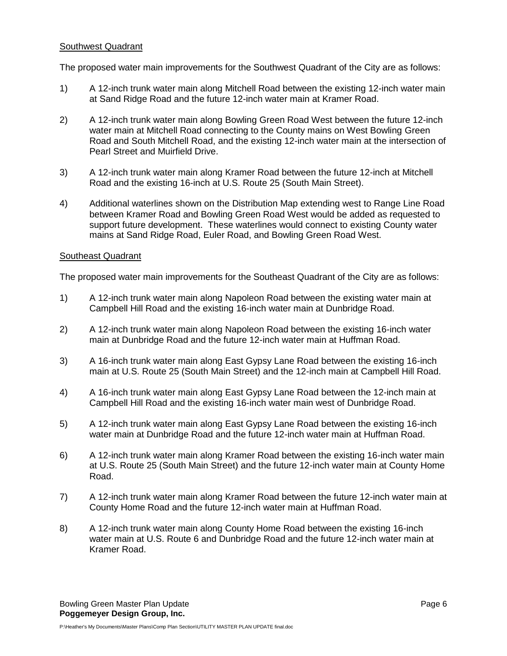## Southwest Quadrant

The proposed water main improvements for the Southwest Quadrant of the City are as follows:

- 1) A 12-inch trunk water main along Mitchell Road between the existing 12-inch water main at Sand Ridge Road and the future 12-inch water main at Kramer Road.
- 2) A 12-inch trunk water main along Bowling Green Road West between the future 12-inch water main at Mitchell Road connecting to the County mains on West Bowling Green Road and South Mitchell Road, and the existing 12-inch water main at the intersection of Pearl Street and Muirfield Drive.
- 3) A 12-inch trunk water main along Kramer Road between the future 12-inch at Mitchell Road and the existing 16-inch at U.S. Route 25 (South Main Street).
- 4) Additional waterlines shown on the Distribution Map extending west to Range Line Road between Kramer Road and Bowling Green Road West would be added as requested to support future development. These waterlines would connect to existing County water mains at Sand Ridge Road, Euler Road, and Bowling Green Road West.

## Southeast Quadrant

The proposed water main improvements for the Southeast Quadrant of the City are as follows:

- 1) A 12-inch trunk water main along Napoleon Road between the existing water main at Campbell Hill Road and the existing 16-inch water main at Dunbridge Road.
- 2) A 12-inch trunk water main along Napoleon Road between the existing 16-inch water main at Dunbridge Road and the future 12-inch water main at Huffman Road.
- 3) A 16-inch trunk water main along East Gypsy Lane Road between the existing 16-inch main at U.S. Route 25 (South Main Street) and the 12-inch main at Campbell Hill Road.
- 4) A 16-inch trunk water main along East Gypsy Lane Road between the 12-inch main at Campbell Hill Road and the existing 16-inch water main west of Dunbridge Road.
- 5) A 12-inch trunk water main along East Gypsy Lane Road between the existing 16-inch water main at Dunbridge Road and the future 12-inch water main at Huffman Road.
- 6) A 12-inch trunk water main along Kramer Road between the existing 16-inch water main at U.S. Route 25 (South Main Street) and the future 12-inch water main at County Home Road.
- 7) A 12-inch trunk water main along Kramer Road between the future 12-inch water main at County Home Road and the future 12-inch water main at Huffman Road.
- 8) A 12-inch trunk water main along County Home Road between the existing 16-inch water main at U.S. Route 6 and Dunbridge Road and the future 12-inch water main at Kramer Road.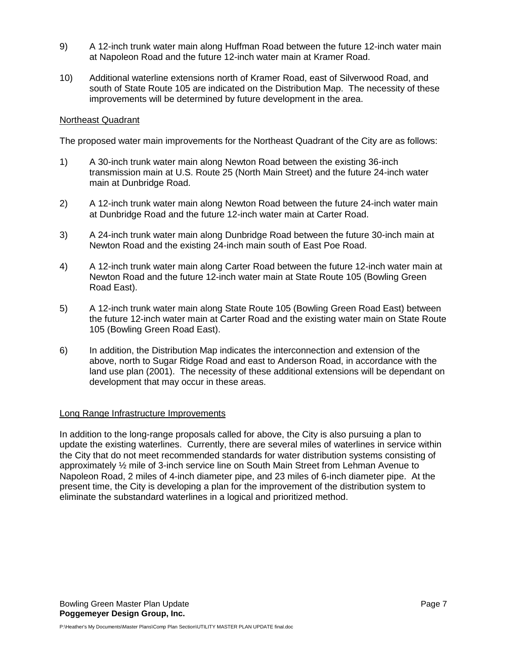- 9) A 12-inch trunk water main along Huffman Road between the future 12-inch water main at Napoleon Road and the future 12-inch water main at Kramer Road.
- 10) Additional waterline extensions north of Kramer Road, east of Silverwood Road, and south of State Route 105 are indicated on the Distribution Map. The necessity of these improvements will be determined by future development in the area.

## Northeast Quadrant

The proposed water main improvements for the Northeast Quadrant of the City are as follows:

- 1) A 30-inch trunk water main along Newton Road between the existing 36-inch transmission main at U.S. Route 25 (North Main Street) and the future 24-inch water main at Dunbridge Road.
- 2) A 12-inch trunk water main along Newton Road between the future 24-inch water main at Dunbridge Road and the future 12-inch water main at Carter Road.
- 3) A 24-inch trunk water main along Dunbridge Road between the future 30-inch main at Newton Road and the existing 24-inch main south of East Poe Road.
- 4) A 12-inch trunk water main along Carter Road between the future 12-inch water main at Newton Road and the future 12-inch water main at State Route 105 (Bowling Green Road East).
- 5) A 12-inch trunk water main along State Route 105 (Bowling Green Road East) between the future 12-inch water main at Carter Road and the existing water main on State Route 105 (Bowling Green Road East).
- 6) In addition, the Distribution Map indicates the interconnection and extension of the above, north to Sugar Ridge Road and east to Anderson Road, in accordance with the land use plan (2001). The necessity of these additional extensions will be dependant on development that may occur in these areas.

## Long Range Infrastructure Improvements

In addition to the long-range proposals called for above, the City is also pursuing a plan to update the existing waterlines. Currently, there are several miles of waterlines in service within the City that do not meet recommended standards for water distribution systems consisting of approximately ½ mile of 3-inch service line on South Main Street from Lehman Avenue to Napoleon Road, 2 miles of 4-inch diameter pipe, and 23 miles of 6-inch diameter pipe. At the present time, the City is developing a plan for the improvement of the distribution system to eliminate the substandard waterlines in a logical and prioritized method.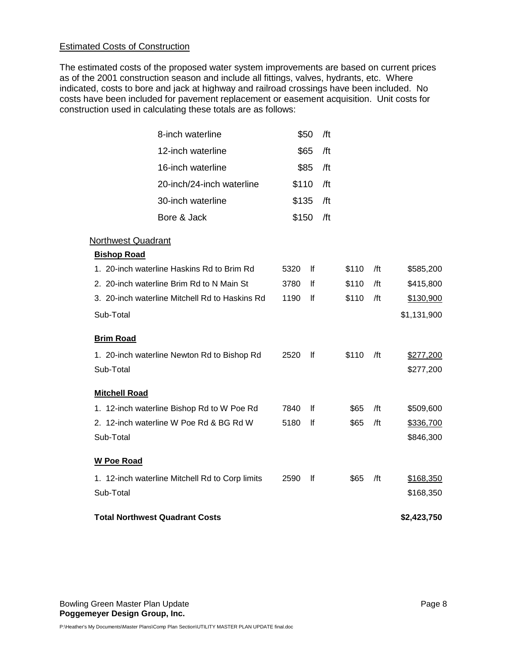# Estimated Costs of Construction

The estimated costs of the proposed water system improvements are based on current prices as of the 2001 construction season and include all fittings, valves, hydrants, etc. Where indicated, costs to bore and jack at highway and railroad crossings have been included. No costs have been included for pavement replacement or easement acquisition. Unit costs for construction used in calculating these totals are as follows:

| 8-inch waterline                                |       | \$50 | /ft |       |     |             |
|-------------------------------------------------|-------|------|-----|-------|-----|-------------|
| 12-inch waterline                               |       | \$65 | /ft |       |     |             |
| 16-inch waterline                               |       | \$85 | /ft |       |     |             |
| 20-inch/24-inch waterline                       | \$110 |      | /ft |       |     |             |
| 30-inch waterline                               | \$135 |      | /ft |       |     |             |
| Bore & Jack                                     | \$150 |      | /ft |       |     |             |
| <b>Northwest Quadrant</b>                       |       |      |     |       |     |             |
| <b>Bishop Road</b>                              |       |      |     |       |     |             |
| 1. 20-inch waterline Haskins Rd to Brim Rd      | 5320  | lf   |     | \$110 | /ft | \$585,200   |
| 2. 20-inch waterline Brim Rd to N Main St       | 3780  | If   |     | \$110 | /ft | \$415,800   |
| 3. 20-inch waterline Mitchell Rd to Haskins Rd  | 1190  | lf   |     | \$110 | /ft | \$130,900   |
| Sub-Total                                       |       |      |     |       |     | \$1,131,900 |
| <b>Brim Road</b>                                |       |      |     |       |     |             |
| 1. 20-inch waterline Newton Rd to Bishop Rd     | 2520  | lf   |     | \$110 | /ft | \$277,200   |
| Sub-Total                                       |       |      |     |       |     | \$277,200   |
| <b>Mitchell Road</b>                            |       |      |     |       |     |             |
| 1. 12-inch waterline Bishop Rd to W Poe Rd      | 7840  | lf   |     | \$65  | /ft | \$509,600   |
| 2. 12-inch waterline W Poe Rd & BG Rd W         | 5180  | lf   |     | \$65  | /ft | \$336,700   |
| Sub-Total                                       |       |      |     |       |     | \$846,300   |
| <b>W Poe Road</b>                               |       |      |     |       |     |             |
| 1. 12-inch waterline Mitchell Rd to Corp limits | 2590  | lf   |     | \$65  | /ft | \$168,350   |
| Sub-Total                                       |       |      |     |       |     | \$168,350   |
| <b>Total Northwest Quadrant Costs</b>           |       |      |     |       |     | \$2,423,750 |

Bowling Green Master Plan Update **Page 8** and the Page 8 and the Page 8 and the Page 8 and the Page 8 and the Page 8 **Poggemeyer Design Group, Inc.**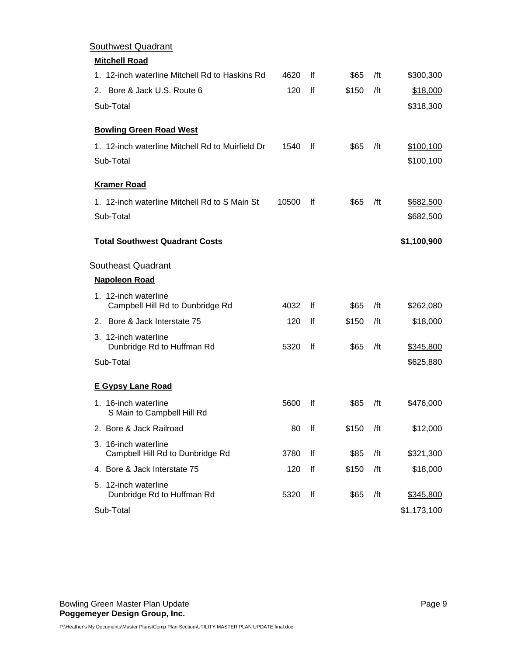| <b>Southwest Quadrant</b>                                |       |           |       |     |             |
|----------------------------------------------------------|-------|-----------|-------|-----|-------------|
| <b>Mitchell Road</b>                                     |       |           |       |     |             |
| 1. 12-inch waterline Mitchell Rd to Haskins Rd           | 4620  | Ιf        | \$65  | /ft | \$300,300   |
| 2. Bore & Jack U.S. Route 6                              | 120   | lf        | \$150 | /ft | \$18,000    |
| Sub-Total                                                |       |           |       |     | \$318,300   |
| <b>Bowling Green Road West</b>                           |       |           |       |     |             |
| 1. 12-inch waterline Mitchell Rd to Muirfield Dr         | 1540  | <b>If</b> | \$65  | /ft | \$100,100   |
| Sub-Total                                                |       |           |       |     | \$100,100   |
| <b>Kramer Road</b>                                       |       |           |       |     |             |
| 1. 12-inch waterline Mitchell Rd to S Main St            | 10500 | <b>If</b> | \$65  | /ft | \$682,500   |
| Sub-Total                                                |       |           |       |     | \$682,500   |
| <b>Total Southwest Quadrant Costs</b>                    |       |           |       |     | \$1,100,900 |
| <b>Southeast Quadrant</b>                                |       |           |       |     |             |
| <b>Napoleon Road</b>                                     |       |           |       |     |             |
| 1. 12-inch waterline<br>Campbell Hill Rd to Dunbridge Rd | 4032  | <b>If</b> | \$65  | /ft | \$262,080   |
| 2. Bore & Jack Interstate 75                             | 120   | <b>If</b> | \$150 | /ft | \$18,000    |
| 3. 12-inch waterline<br>Dunbridge Rd to Huffman Rd       | 5320  | lf        | \$65  | /ft | \$345,800   |
| Sub-Total                                                |       |           |       |     | \$625,880   |
| <b>E Gypsy Lane Road</b>                                 |       |           |       |     |             |
| 1. 16-inch waterline<br>S Main to Campbell Hill Rd       | 5600  | lf        | \$85  | /ft | \$476,000   |
| 2. Bore & Jack Railroad                                  | 80    | lf        | \$150 | /ft | \$12,000    |
| 3. 16-inch waterline<br>Campbell Hill Rd to Dunbridge Rd | 3780  | lf        | \$85  | /ft | \$321,300   |
| 4. Bore & Jack Interstate 75                             | 120   | lf        | \$150 | /ft | \$18,000    |
| 5. 12-inch waterline<br>Dunbridge Rd to Huffman Rd       | 5320  | lf        | \$65  | /ft | \$345,800   |
| Sub-Total                                                |       |           |       |     | \$1,173,100 |

Bowling Green Master Plan Update Page 9 and the State Page 9 and the Page 9 and the Page 9 and the Page 9 and the Page 9 **Poggemeyer Design Group, Inc.**  $\blacksquare$  **February 5, 2004**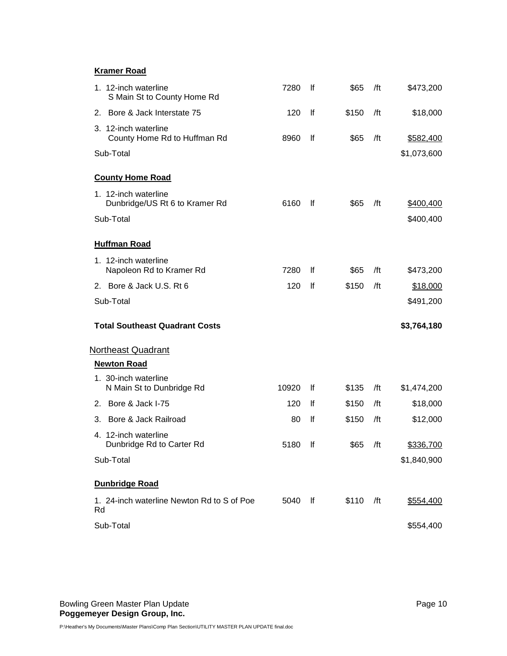# **Kramer Road**

| 1. 12-inch waterline<br>S Main St to County Home Rd    | 7280  | lf  | \$65  | /ft | \$473,200   |
|--------------------------------------------------------|-------|-----|-------|-----|-------------|
| 2. Bore & Jack Interstate 75                           | 120   | lf  | \$150 | /ft | \$18,000    |
| 3. 12-inch waterline<br>County Home Rd to Huffman Rd   | 8960  | lf  | \$65  | /ft | \$582,400   |
| Sub-Total                                              |       |     |       |     | \$1,073,600 |
| <b>County Home Road</b>                                |       |     |       |     |             |
| 1. 12-inch waterline<br>Dunbridge/US Rt 6 to Kramer Rd | 6160  | lf. | \$65  | /ft | \$400,400   |
| Sub-Total                                              |       |     |       |     | \$400,400   |
| <b>Huffman Road</b>                                    |       |     |       |     |             |
| 1. 12-inch waterline<br>Napoleon Rd to Kramer Rd       | 7280  | lf  | \$65  | /ft | \$473,200   |
| 2. Bore & Jack U.S. Rt 6                               | 120   | lf  | \$150 | /ft | \$18,000    |
| Sub-Total                                              |       |     |       |     | \$491,200   |
| <b>Total Southeast Quadrant Costs</b>                  |       |     |       |     | \$3,764,180 |
| <b>Northeast Quadrant</b>                              |       |     |       |     |             |
| <b>Newton Road</b>                                     |       |     |       |     |             |
| 1. 30-inch waterline<br>N Main St to Dunbridge Rd      | 10920 | lf  | \$135 | /ft | \$1,474,200 |
| 2. Bore & Jack I-75                                    | 120   | Ιf  | \$150 | /ft | \$18,000    |
| Bore & Jack Railroad<br>3.                             | 80    | lf  | \$150 | /ft | \$12,000    |
| 4. 12-inch waterline<br>Dunbridge Rd to Carter Rd      | 5180  | lf  | \$65  | /ft | \$336,700   |
| Sub-Total                                              |       |     |       |     | \$1,840,900 |
| <b>Dunbridge Road</b>                                  |       |     |       |     |             |
| 1. 24-inch waterline Newton Rd to S of Poe<br>Rd       | 5040  | lf  | \$110 | /ft | \$554,400   |
|                                                        |       |     |       |     |             |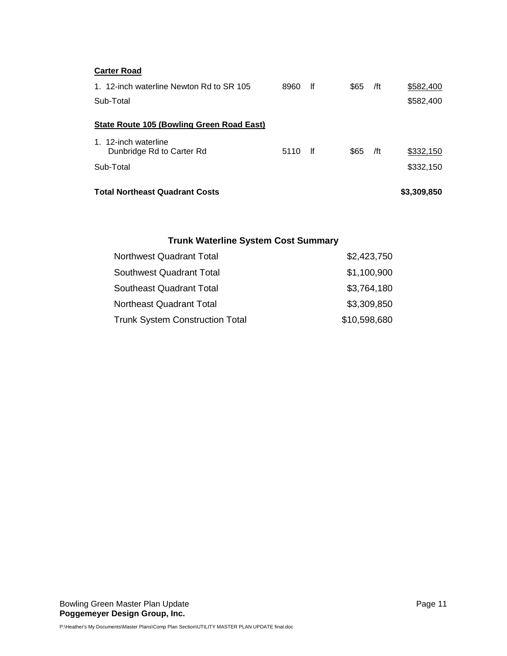| <b>Total Northeast Quadrant Costs</b>                 |      |     |      |     | \$3,309,850            |
|-------------------------------------------------------|------|-----|------|-----|------------------------|
| Sub-Total                                             |      |     |      |     | \$332,150              |
| 1. 12-inch waterline<br>Dunbridge Rd to Carter Rd     | 5110 | -lf | \$65 | /ft | \$332,150              |
| State Route 105 (Bowling Green Road East)             |      |     |      |     |                        |
| 1. 12-inch waterline Newton Rd to SR 105<br>Sub-Total | 8960 | lf  | \$65 | /ft | \$582,400<br>\$582,400 |
| <b>Carter Road</b>                                    |      |     |      |     |                        |

# **Trunk Waterline System Cost Summary**

| <b>Northwest Quadrant Total</b>        | \$2,423,750  |
|----------------------------------------|--------------|
| <b>Southwest Quadrant Total</b>        | \$1,100,900  |
| <b>Southeast Quadrant Total</b>        | \$3,764,180  |
| <b>Northeast Quadrant Total</b>        | \$3,309,850  |
| <b>Trunk System Construction Total</b> | \$10,598,680 |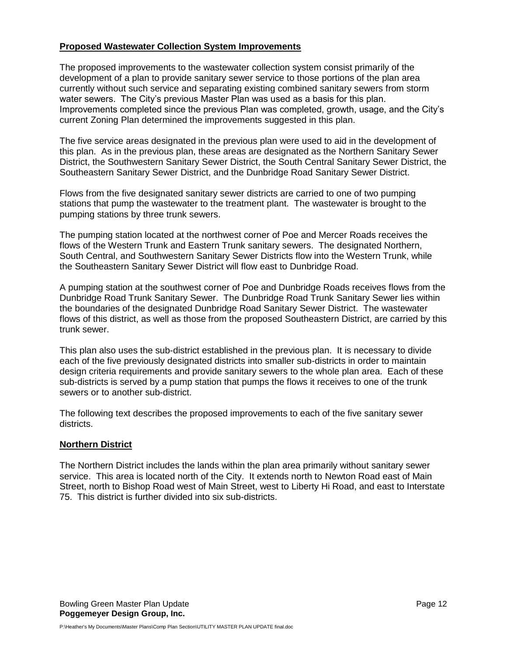## **Proposed Wastewater Collection System Improvements**

The proposed improvements to the wastewater collection system consist primarily of the development of a plan to provide sanitary sewer service to those portions of the plan area currently without such service and separating existing combined sanitary sewers from storm water sewers. The City's previous Master Plan was used as a basis for this plan. Improvements completed since the previous Plan was completed, growth, usage, and the City's current Zoning Plan determined the improvements suggested in this plan.

The five service areas designated in the previous plan were used to aid in the development of this plan. As in the previous plan, these areas are designated as the Northern Sanitary Sewer District, the Southwestern Sanitary Sewer District, the South Central Sanitary Sewer District, the Southeastern Sanitary Sewer District, and the Dunbridge Road Sanitary Sewer District.

Flows from the five designated sanitary sewer districts are carried to one of two pumping stations that pump the wastewater to the treatment plant. The wastewater is brought to the pumping stations by three trunk sewers.

The pumping station located at the northwest corner of Poe and Mercer Roads receives the flows of the Western Trunk and Eastern Trunk sanitary sewers. The designated Northern, South Central, and Southwestern Sanitary Sewer Districts flow into the Western Trunk, while the Southeastern Sanitary Sewer District will flow east to Dunbridge Road.

A pumping station at the southwest corner of Poe and Dunbridge Roads receives flows from the Dunbridge Road Trunk Sanitary Sewer. The Dunbridge Road Trunk Sanitary Sewer lies within the boundaries of the designated Dunbridge Road Sanitary Sewer District. The wastewater flows of this district, as well as those from the proposed Southeastern District, are carried by this trunk sewer.

This plan also uses the sub-district established in the previous plan. It is necessary to divide each of the five previously designated districts into smaller sub-districts in order to maintain design criteria requirements and provide sanitary sewers to the whole plan area. Each of these sub-districts is served by a pump station that pumps the flows it receives to one of the trunk sewers or to another sub-district.

The following text describes the proposed improvements to each of the five sanitary sewer districts.

## **Northern District**

The Northern District includes the lands within the plan area primarily without sanitary sewer service. This area is located north of the City. It extends north to Newton Road east of Main Street, north to Bishop Road west of Main Street, west to Liberty Hi Road, and east to Interstate 75. This district is further divided into six sub-districts.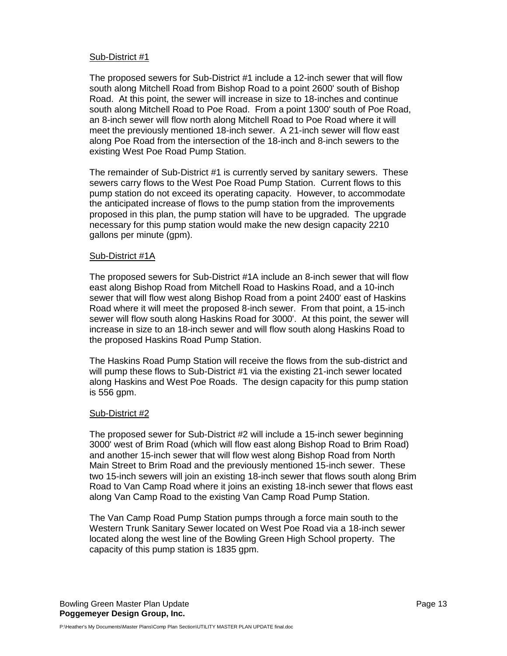## Sub-District #1

The proposed sewers for Sub-District #1 include a 12-inch sewer that will flow south along Mitchell Road from Bishop Road to a point 2600' south of Bishop Road. At this point, the sewer will increase in size to 18-inches and continue south along Mitchell Road to Poe Road. From a point 1300' south of Poe Road, an 8-inch sewer will flow north along Mitchell Road to Poe Road where it will meet the previously mentioned 18-inch sewer. A 21-inch sewer will flow east along Poe Road from the intersection of the 18-inch and 8-inch sewers to the existing West Poe Road Pump Station.

The remainder of Sub-District #1 is currently served by sanitary sewers. These sewers carry flows to the West Poe Road Pump Station. Current flows to this pump station do not exceed its operating capacity. However, to accommodate the anticipated increase of flows to the pump station from the improvements proposed in this plan, the pump station will have to be upgraded. The upgrade necessary for this pump station would make the new design capacity 2210 gallons per minute (gpm).

## Sub-District #1A

The proposed sewers for Sub-District #1A include an 8-inch sewer that will flow east along Bishop Road from Mitchell Road to Haskins Road, and a 10-inch sewer that will flow west along Bishop Road from a point 2400' east of Haskins Road where it will meet the proposed 8-inch sewer. From that point, a 15-inch sewer will flow south along Haskins Road for 3000'. At this point, the sewer will increase in size to an 18-inch sewer and will flow south along Haskins Road to the proposed Haskins Road Pump Station.

The Haskins Road Pump Station will receive the flows from the sub-district and will pump these flows to Sub-District #1 via the existing 21-inch sewer located along Haskins and West Poe Roads. The design capacity for this pump station is 556 gpm.

## Sub-District #2

The proposed sewer for Sub-District #2 will include a 15-inch sewer beginning 3000' west of Brim Road (which will flow east along Bishop Road to Brim Road) and another 15-inch sewer that will flow west along Bishop Road from North Main Street to Brim Road and the previously mentioned 15-inch sewer. These two 15-inch sewers will join an existing 18-inch sewer that flows south along Brim Road to Van Camp Road where it joins an existing 18-inch sewer that flows east along Van Camp Road to the existing Van Camp Road Pump Station.

The Van Camp Road Pump Station pumps through a force main south to the Western Trunk Sanitary Sewer located on West Poe Road via a 18-inch sewer located along the west line of the Bowling Green High School property. The capacity of this pump station is 1835 gpm.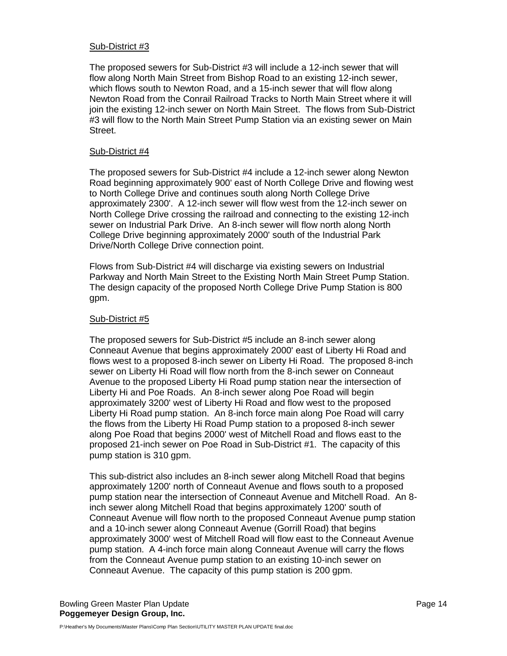## Sub-District #3

The proposed sewers for Sub-District #3 will include a 12-inch sewer that will flow along North Main Street from Bishop Road to an existing 12-inch sewer, which flows south to Newton Road, and a 15-inch sewer that will flow along Newton Road from the Conrail Railroad Tracks to North Main Street where it will join the existing 12-inch sewer on North Main Street. The flows from Sub-District #3 will flow to the North Main Street Pump Station via an existing sewer on Main Street.

## Sub-District #4

The proposed sewers for Sub-District #4 include a 12-inch sewer along Newton Road beginning approximately 900' east of North College Drive and flowing west to North College Drive and continues south along North College Drive approximately 2300'. A 12-inch sewer will flow west from the 12-inch sewer on North College Drive crossing the railroad and connecting to the existing 12-inch sewer on Industrial Park Drive. An 8-inch sewer will flow north along North College Drive beginning approximately 2000' south of the Industrial Park Drive/North College Drive connection point.

Flows from Sub-District #4 will discharge via existing sewers on Industrial Parkway and North Main Street to the Existing North Main Street Pump Station. The design capacity of the proposed North College Drive Pump Station is 800 gpm.

## Sub-District #5

The proposed sewers for Sub-District #5 include an 8-inch sewer along Conneaut Avenue that begins approximately 2000' east of Liberty Hi Road and flows west to a proposed 8-inch sewer on Liberty Hi Road. The proposed 8-inch sewer on Liberty Hi Road will flow north from the 8-inch sewer on Conneaut Avenue to the proposed Liberty Hi Road pump station near the intersection of Liberty Hi and Poe Roads. An 8-inch sewer along Poe Road will begin approximately 3200' west of Liberty Hi Road and flow west to the proposed Liberty Hi Road pump station. An 8-inch force main along Poe Road will carry the flows from the Liberty Hi Road Pump station to a proposed 8-inch sewer along Poe Road that begins 2000' west of Mitchell Road and flows east to the proposed 21-inch sewer on Poe Road in Sub-District #1. The capacity of this pump station is 310 gpm.

This sub-district also includes an 8-inch sewer along Mitchell Road that begins approximately 1200' north of Conneaut Avenue and flows south to a proposed pump station near the intersection of Conneaut Avenue and Mitchell Road. An 8 inch sewer along Mitchell Road that begins approximately 1200' south of Conneaut Avenue will flow north to the proposed Conneaut Avenue pump station and a 10-inch sewer along Conneaut Avenue (Gorrill Road) that begins approximately 3000' west of Mitchell Road will flow east to the Conneaut Avenue pump station. A 4-inch force main along Conneaut Avenue will carry the flows from the Conneaut Avenue pump station to an existing 10-inch sewer on Conneaut Avenue. The capacity of this pump station is 200 gpm.

Bowling Green Master Plan Update **Page 14** and the Page 14 and the Page 14 and the Page 14 and the Page 14 **Poggemeyer Design Group, Inc.**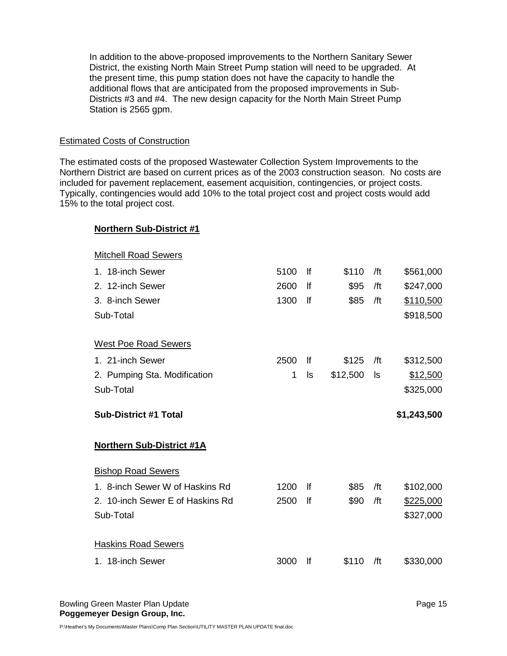In addition to the above-proposed improvements to the Northern Sanitary Sewer District, the existing North Main Street Pump station will need to be upgraded. At the present time, this pump station does not have the capacity to handle the additional flows that are anticipated from the proposed improvements in Sub-Districts #3 and #4. The new design capacity for the North Main Street Pump Station is 2565 gpm.

## Estimated Costs of Construction

**Northern Sub-District #1**

The estimated costs of the proposed Wastewater Collection System Improvements to the Northern District are based on current prices as of the 2003 construction season. No costs are included for pavement replacement, easement acquisition, contingencies, or project costs. Typically, contingencies would add 10% to the total project cost and project costs would add 15% to the total project cost.

| <b>Mitchell Road Sewers</b>      |      |    |          |     |             |
|----------------------------------|------|----|----------|-----|-------------|
| 1. 18-inch Sewer                 | 5100 | Ιf | \$110    | /ft | \$561,000   |
| 2. 12-inch Sewer                 | 2600 | lf | \$95     | /ft | \$247,000   |
| 3. 8-inch Sewer                  | 1300 | lf | \$85     | /ft | \$110,500   |
| Sub-Total                        |      |    |          |     | \$918,500   |
| <b>West Poe Road Sewers</b>      |      |    |          |     |             |
| 1. 21-inch Sewer                 | 2500 | lf | \$125    | /ft | \$312,500   |
| 2. Pumping Sta. Modification     | 1    | ls | \$12,500 | ls  | \$12,500    |
| Sub-Total                        |      |    |          |     | \$325,000   |
|                                  |      |    |          |     |             |
| <b>Sub-District #1 Total</b>     |      |    |          |     | \$1,243,500 |
| <b>Northern Sub-District #1A</b> |      |    |          |     |             |
| <b>Bishop Road Sewers</b>        |      |    |          |     |             |
| 1. 8-inch Sewer W of Haskins Rd  | 1200 | Ιf | \$85     | /ft | \$102,000   |
| 2. 10-inch Sewer E of Haskins Rd | 2500 | lf | \$90     | /ft | \$225,000   |
| Sub-Total                        |      |    |          |     | \$327,000   |
| <b>Haskins Road Sewers</b>       |      |    |          |     |             |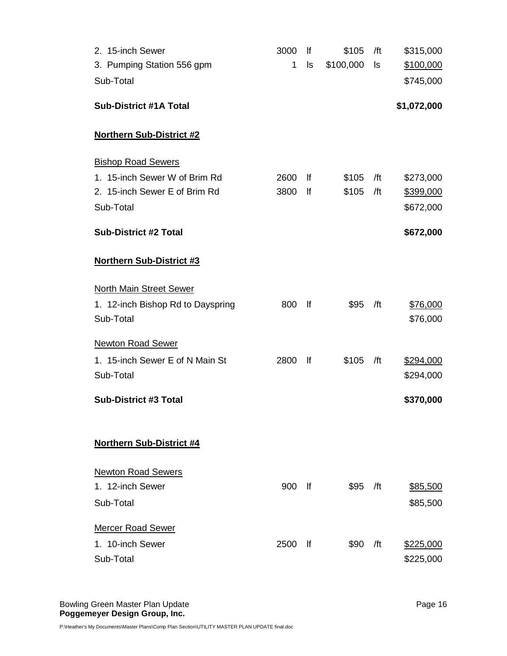| 2. 15-inch Sewer                  | 3000 | lf        | \$105     | /ft | \$315,000   |
|-----------------------------------|------|-----------|-----------|-----|-------------|
| 3. Pumping Station 556 gpm        | 1    | ls        | \$100,000 | ls  | \$100,000   |
| Sub-Total                         |      |           |           |     | \$745,000   |
| <b>Sub-District #1A Total</b>     |      |           |           |     | \$1,072,000 |
|                                   |      |           |           |     |             |
| <b>Northern Sub-District #2</b>   |      |           |           |     |             |
| <b>Bishop Road Sewers</b>         |      |           |           |     |             |
| 1. 15-inch Sewer W of Brim Rd     | 2600 | lf        | \$105     | /ft | \$273,000   |
| 2. 15-inch Sewer E of Brim Rd     | 3800 | lf        | \$105     | /ft | \$399,000   |
| Sub-Total                         |      |           |           |     | \$672,000   |
| <b>Sub-District #2 Total</b>      |      |           |           |     | \$672,000   |
| Northern Sub-District #3          |      |           |           |     |             |
| <b>North Main Street Sewer</b>    |      |           |           |     |             |
| 1. 12-inch Bishop Rd to Dayspring | 800  | lf        | \$95      | /ft | \$76,000    |
| Sub-Total                         |      |           |           |     | \$76,000    |
|                                   |      |           |           |     |             |
| <b>Newton Road Sewer</b>          |      |           |           |     |             |
| 1. 15-inch Sewer E of N Main St   | 2800 | f         | \$105     | /ft | \$294,000   |
| Sub-Total                         |      |           |           |     | \$294,000   |
| <b>Sub-District #3 Total</b>      |      |           |           |     | \$370,000   |
|                                   |      |           |           |     |             |
| <b>Northern Sub-District #4</b>   |      |           |           |     |             |
| <b>Newton Road Sewers</b>         |      |           |           |     |             |
| 1. 12-inch Sewer                  | 900  | lf        | \$95      | /ft | \$85,500    |
| Sub-Total                         |      |           |           |     | \$85,500    |
|                                   |      |           |           |     |             |
| <b>Mercer Road Sewer</b>          |      |           |           |     |             |
| 1. 10-inch Sewer                  | 2500 | <u>lf</u> | \$90      | /ft | \$225,000   |
| Sub-Total                         |      |           |           |     | \$225,000   |
|                                   |      |           |           |     |             |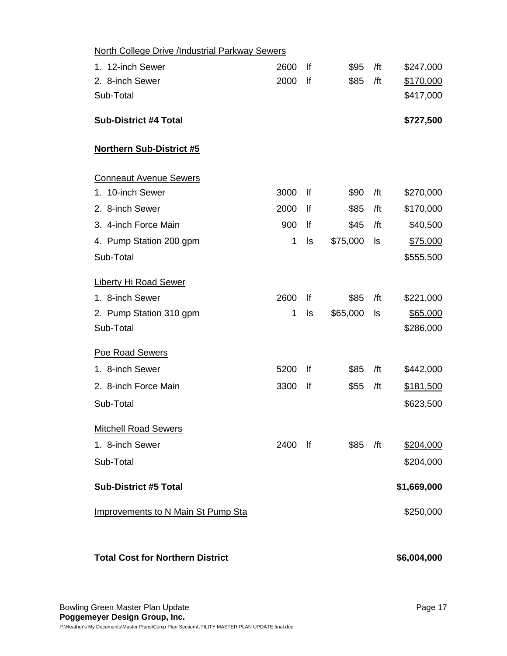| <b>North College Drive /Industrial Parkway Sewers</b> |      |      |          |     |             |
|-------------------------------------------------------|------|------|----------|-----|-------------|
| 1. 12-inch Sewer                                      | 2600 | lf   | \$95     | /ft | \$247,000   |
| 2. 8-inch Sewer                                       | 2000 | lf   | \$85     | /ft | \$170,000   |
| Sub-Total                                             |      |      |          |     | \$417,000   |
| <b>Sub-District #4 Total</b>                          |      |      |          |     | \$727,500   |
| <b>Northern Sub-District #5</b>                       |      |      |          |     |             |
| <b>Conneaut Avenue Sewers</b>                         |      |      |          |     |             |
| 1. 10-inch Sewer                                      | 3000 | lf   | \$90     | /ft | \$270,000   |
| 2. 8-inch Sewer                                       | 2000 | lf   | \$85     | /ft | \$170,000   |
| 3. 4-inch Force Main                                  | 900  | lf   | \$45     | /ft | \$40,500    |
| 4. Pump Station 200 gpm                               | 1    | ls   | \$75,000 | ls  | \$75,000    |
| Sub-Total                                             |      |      |          |     | \$555,500   |
| <b>Liberty Hi Road Sewer</b>                          |      |      |          |     |             |
| 1. 8-inch Sewer                                       | 2600 | lf   | \$85     | /ft | \$221,000   |
| 2. Pump Station 310 gpm                               | 1    | ls   | \$65,000 | ls  | \$65,000    |
| Sub-Total                                             |      |      |          |     | \$286,000   |
| Poe Road Sewers                                       |      |      |          |     |             |
| 1. 8-inch Sewer                                       | 5200 | lf   | \$85     | /ft | \$442,000   |
| 2. 8-inch Force Main                                  | 3300 | lf   | \$55     | /ft | \$181,500   |
| Sub-Total                                             |      |      |          |     | \$623,500   |
| <b>Mitchell Road Sewers</b>                           |      |      |          |     |             |
| 1. 8-inch Sewer                                       | 2400 | - If | \$85     | /ft | \$204,000   |
| Sub-Total                                             |      |      |          |     | \$204,000   |
| <b>Sub-District #5 Total</b>                          |      |      |          |     | \$1,669,000 |
| <b>Improvements to N Main St Pump Sta</b>             |      |      |          |     | \$250,000   |
|                                                       |      |      |          |     |             |
| <b>Total Cost for Northern District</b>               |      |      |          |     | \$6,004,000 |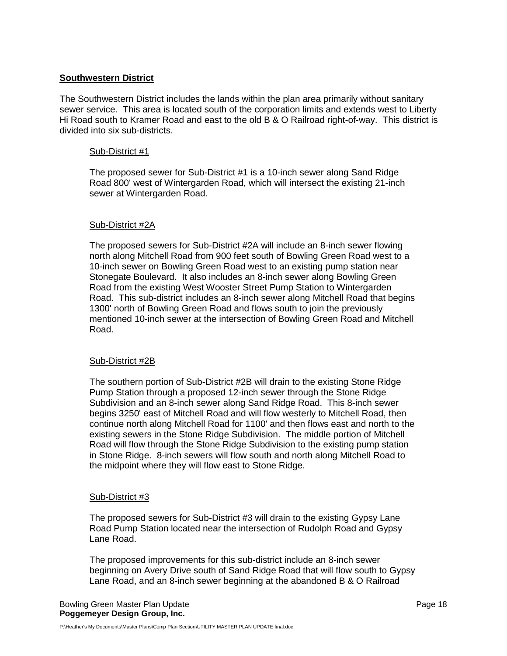# **Southwestern District**

The Southwestern District includes the lands within the plan area primarily without sanitary sewer service. This area is located south of the corporation limits and extends west to Liberty Hi Road south to Kramer Road and east to the old B & O Railroad right-of-way. This district is divided into six sub-districts.

## Sub-District #1

The proposed sewer for Sub-District #1 is a 10-inch sewer along Sand Ridge Road 800' west of Wintergarden Road, which will intersect the existing 21-inch sewer at Wintergarden Road.

## Sub-District #2A

The proposed sewers for Sub-District #2A will include an 8-inch sewer flowing north along Mitchell Road from 900 feet south of Bowling Green Road west to a 10-inch sewer on Bowling Green Road west to an existing pump station near Stonegate Boulevard. It also includes an 8-inch sewer along Bowling Green Road from the existing West Wooster Street Pump Station to Wintergarden Road. This sub-district includes an 8-inch sewer along Mitchell Road that begins 1300' north of Bowling Green Road and flows south to join the previously mentioned 10-inch sewer at the intersection of Bowling Green Road and Mitchell Road.

## Sub-District #2B

The southern portion of Sub-District #2B will drain to the existing Stone Ridge Pump Station through a proposed 12-inch sewer through the Stone Ridge Subdivision and an 8-inch sewer along Sand Ridge Road. This 8-inch sewer begins 3250' east of Mitchell Road and will flow westerly to Mitchell Road, then continue north along Mitchell Road for 1100' and then flows east and north to the existing sewers in the Stone Ridge Subdivision. The middle portion of Mitchell Road will flow through the Stone Ridge Subdivision to the existing pump station in Stone Ridge. 8-inch sewers will flow south and north along Mitchell Road to the midpoint where they will flow east to Stone Ridge.

## Sub-District #3

The proposed sewers for Sub-District #3 will drain to the existing Gypsy Lane Road Pump Station located near the intersection of Rudolph Road and Gypsy Lane Road.

The proposed improvements for this sub-district include an 8-inch sewer beginning on Avery Drive south of Sand Ridge Road that will flow south to Gypsy Lane Road, and an 8-inch sewer beginning at the abandoned B & O Railroad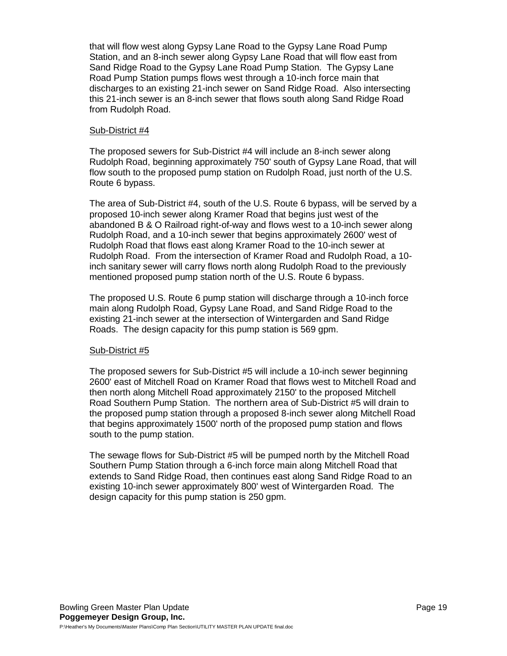that will flow west along Gypsy Lane Road to the Gypsy Lane Road Pump Station, and an 8-inch sewer along Gypsy Lane Road that will flow east from Sand Ridge Road to the Gypsy Lane Road Pump Station. The Gypsy Lane Road Pump Station pumps flows west through a 10-inch force main that discharges to an existing 21-inch sewer on Sand Ridge Road. Also intersecting this 21-inch sewer is an 8-inch sewer that flows south along Sand Ridge Road from Rudolph Road.

## Sub-District #4

The proposed sewers for Sub-District #4 will include an 8-inch sewer along Rudolph Road, beginning approximately 750' south of Gypsy Lane Road, that will flow south to the proposed pump station on Rudolph Road, just north of the U.S. Route 6 bypass.

The area of Sub-District #4, south of the U.S. Route 6 bypass, will be served by a proposed 10-inch sewer along Kramer Road that begins just west of the abandoned B & O Railroad right-of-way and flows west to a 10-inch sewer along Rudolph Road, and a 10-inch sewer that begins approximately 2600' west of Rudolph Road that flows east along Kramer Road to the 10-inch sewer at Rudolph Road. From the intersection of Kramer Road and Rudolph Road, a 10 inch sanitary sewer will carry flows north along Rudolph Road to the previously mentioned proposed pump station north of the U.S. Route 6 bypass.

The proposed U.S. Route 6 pump station will discharge through a 10-inch force main along Rudolph Road, Gypsy Lane Road, and Sand Ridge Road to the existing 21-inch sewer at the intersection of Wintergarden and Sand Ridge Roads. The design capacity for this pump station is 569 gpm.

## Sub-District #5

The proposed sewers for Sub-District #5 will include a 10-inch sewer beginning 2600' east of Mitchell Road on Kramer Road that flows west to Mitchell Road and then north along Mitchell Road approximately 2150' to the proposed Mitchell Road Southern Pump Station. The northern area of Sub-District #5 will drain to the proposed pump station through a proposed 8-inch sewer along Mitchell Road that begins approximately 1500' north of the proposed pump station and flows south to the pump station.

The sewage flows for Sub-District #5 will be pumped north by the Mitchell Road Southern Pump Station through a 6-inch force main along Mitchell Road that extends to Sand Ridge Road, then continues east along Sand Ridge Road to an existing 10-inch sewer approximately 800' west of Wintergarden Road. The design capacity for this pump station is 250 gpm.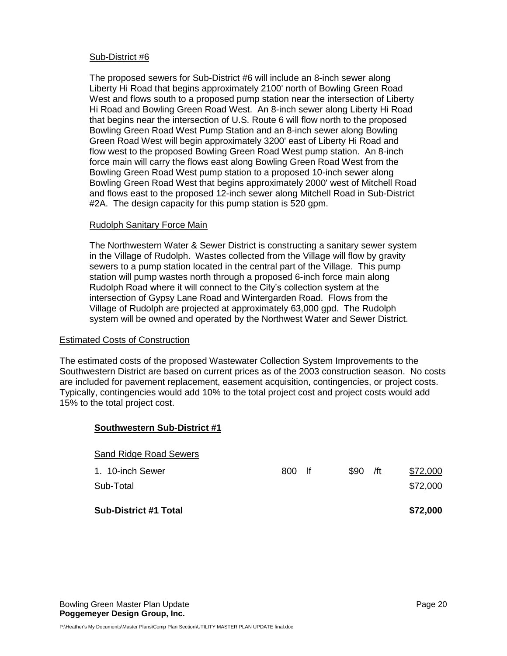## Sub-District #6

The proposed sewers for Sub-District #6 will include an 8-inch sewer along Liberty Hi Road that begins approximately 2100' north of Bowling Green Road West and flows south to a proposed pump station near the intersection of Liberty Hi Road and Bowling Green Road West. An 8-inch sewer along Liberty Hi Road that begins near the intersection of U.S. Route 6 will flow north to the proposed Bowling Green Road West Pump Station and an 8-inch sewer along Bowling Green Road West will begin approximately 3200' east of Liberty Hi Road and flow west to the proposed Bowling Green Road West pump station. An 8-inch force main will carry the flows east along Bowling Green Road West from the Bowling Green Road West pump station to a proposed 10-inch sewer along Bowling Green Road West that begins approximately 2000' west of Mitchell Road and flows east to the proposed 12-inch sewer along Mitchell Road in Sub-District #2A. The design capacity for this pump station is 520 gpm.

## Rudolph Sanitary Force Main

The Northwestern Water & Sewer District is constructing a sanitary sewer system in the Village of Rudolph. Wastes collected from the Village will flow by gravity sewers to a pump station located in the central part of the Village. This pump station will pump wastes north through a proposed 6-inch force main along Rudolph Road where it will connect to the City's collection system at the intersection of Gypsy Lane Road and Wintergarden Road. Flows from the Village of Rudolph are projected at approximately 63,000 gpd. The Rudolph system will be owned and operated by the Northwest Water and Sewer District.

## Estimated Costs of Construction

The estimated costs of the proposed Wastewater Collection System Improvements to the Southwestern District are based on current prices as of the 2003 construction season. No costs are included for pavement replacement, easement acquisition, contingencies, or project costs. Typically, contingencies would add 10% to the total project cost and project costs would add 15% to the total project cost.

| <b>Southwestern Sub-District #1</b> |        |      |     |          |
|-------------------------------------|--------|------|-----|----------|
| <b>Sand Ridge Road Sewers</b>       |        |      |     |          |
| 1. 10-inch Sewer                    | 800 lf | \$90 | /ft | \$72,000 |
| Sub-Total                           |        |      |     | \$72,000 |
| <b>Sub-District #1 Total</b>        |        |      |     | \$72,000 |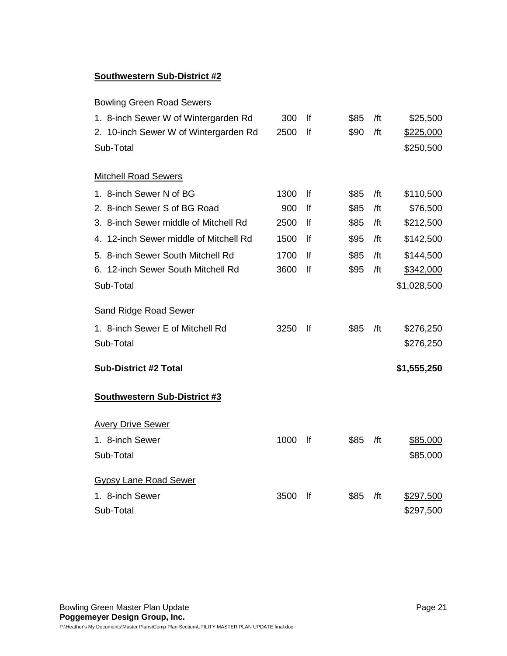# **Southwestern Sub-District #2**

# Bowling Green Road Sewers

| 1. 8-inch Sewer W of Wintergarden Rd   | 300  | lf | \$85 | /ft | \$25,500    |
|----------------------------------------|------|----|------|-----|-------------|
| 2. 10-inch Sewer W of Wintergarden Rd  | 2500 | lf | \$90 | /ft | \$225,000   |
| Sub-Total                              |      |    |      |     | \$250,500   |
| <b>Mitchell Road Sewers</b>            |      |    |      |     |             |
| 1. 8-inch Sewer N of BG                | 1300 | lf | \$85 | /ft | \$110,500   |
| 2. 8-inch Sewer S of BG Road           | 900  | lf | \$85 | /ft | \$76,500    |
| 3. 8-inch Sewer middle of Mitchell Rd  | 2500 | lf | \$85 | /ft | \$212,500   |
| 4. 12-inch Sewer middle of Mitchell Rd | 1500 | lf | \$95 | /ft | \$142,500   |
| 5. 8-inch Sewer South Mitchell Rd      | 1700 | lf | \$85 | /ft | \$144,500   |
| 6. 12-inch Sewer South Mitchell Rd     | 3600 | lf | \$95 | /ft | \$342,000   |
| Sub-Total                              |      |    |      |     | \$1,028,500 |
| <b>Sand Ridge Road Sewer</b>           |      |    |      |     |             |
| 1. 8-inch Sewer E of Mitchell Rd       | 3250 | lf | \$85 | /ft | \$276,250   |
| Sub-Total                              |      |    |      |     | \$276,250   |
| <b>Sub-District #2 Total</b>           |      |    |      |     | \$1,555,250 |
| <b>Southwestern Sub-District #3</b>    |      |    |      |     |             |
| <b>Avery Drive Sewer</b>               |      |    |      |     |             |
| 1. 8-inch Sewer                        | 1000 | lf | \$85 | /ft | \$85,000    |
| Sub-Total                              |      |    |      |     | \$85,000    |
| <b>Gypsy Lane Road Sewer</b>           |      |    |      |     |             |
| 1. 8-inch Sewer                        | 3500 | lf | \$85 | /ft | \$297,500   |
| Sub-Total                              |      |    |      |     | \$297,500   |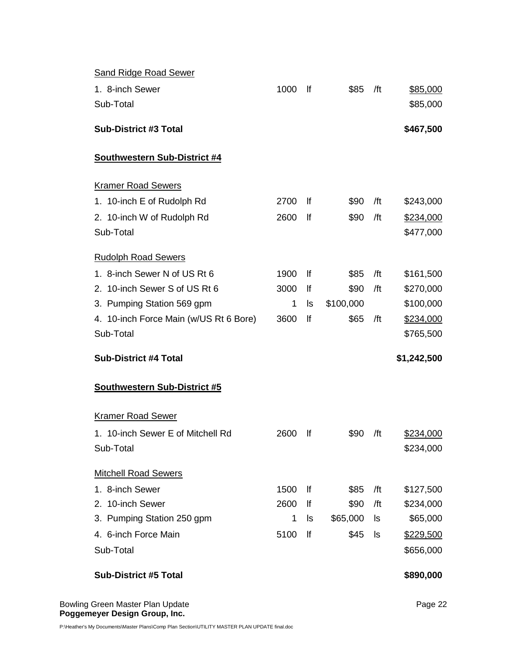| <b>Sand Ridge Road Sewer</b>           |           |           |                  |           |                       |
|----------------------------------------|-----------|-----------|------------------|-----------|-----------------------|
| 1. 8-inch Sewer                        | 1000      | lf        | \$85             | /ft       | \$85,000              |
| Sub-Total                              |           |           |                  |           | \$85,000              |
| <b>Sub-District #3 Total</b>           |           |           |                  |           | \$467,500             |
| <b>Southwestern Sub-District #4</b>    |           |           |                  |           |                       |
| <b>Kramer Road Sewers</b>              |           |           |                  |           |                       |
| 1. 10-inch E of Rudolph Rd             | 2700      | <u>lf</u> | \$90             | /ft       | \$243,000             |
| 2. 10-inch W of Rudolph Rd             | 2600      | lf        | \$90             | /ft       | \$234,000             |
| Sub-Total                              |           |           |                  |           | \$477,000             |
| <b>Rudolph Road Sewers</b>             |           |           |                  |           |                       |
| 1. 8-inch Sewer N of US Rt 6           | 1900      | lf        | \$85             | /ft       | \$161,500             |
| 2. 10-inch Sewer S of US Rt 6          | 3000      | lf        | \$90             | /ft       | \$270,000             |
| 3. Pumping Station 569 gpm             | 1         | ls        | \$100,000        |           | \$100,000             |
| 4. 10-inch Force Main (w/US Rt 6 Bore) | 3600      | lf        | \$65             | /ft       | \$234,000             |
| Sub-Total                              |           |           |                  |           | \$765,500             |
| <b>Sub-District #4 Total</b>           |           |           |                  |           | \$1,242,500           |
|                                        |           |           |                  |           |                       |
| Southwestern Sub-District #5           |           |           |                  |           |                       |
| <b>Kramer Road Sewer</b>               |           |           |                  |           |                       |
| 1. 10-inch Sewer E of Mitchell Rd      | 2600      | lf        | \$90             | /ft       | \$234,000             |
| Sub-Total                              |           |           |                  |           | \$234,000             |
|                                        |           |           |                  |           |                       |
| <b>Mitchell Road Sewers</b>            |           |           |                  |           |                       |
| 1. 8-inch Sewer<br>2. 10-inch Sewer    | 1500      | lf        | \$85             | /ft       | \$127,500             |
| 3. Pumping Station 250 gpm             | 2600<br>1 | lf<br>ls  | \$90<br>\$65,000 | /ft<br>ls | \$234,000<br>\$65,000 |
| 4. 6-inch Force Main                   | 5100      | lf        | \$45             | ls        |                       |
| Sub-Total                              |           |           |                  |           | \$229,500             |
|                                        |           |           |                  |           | \$656,000             |
| <b>Sub-District #5 Total</b>           |           |           |                  |           | \$890,000             |

Bowling Green Master Plan Update **Page 22 Page 22 Poggemeyer Design Group, Inc.**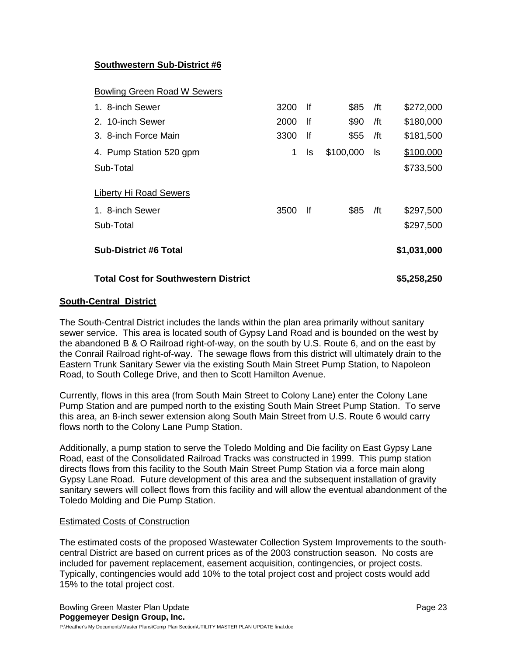# **Southwestern Sub-District #6**

## Bowling Green Road W Sewers

| 1. 8-inch Sewer                                        | 3200 | lf | \$85      | /ft | \$272,000              |
|--------------------------------------------------------|------|----|-----------|-----|------------------------|
| 2. 10-inch Sewer                                       | 2000 | lf | \$90      | /ft | \$180,000              |
| 3. 8-inch Force Main                                   | 3300 | lf | \$55      | /ft | \$181,500              |
| 4. Pump Station 520 gpm                                | 1    | ls | \$100,000 | ls  | \$100,000              |
| Sub-Total                                              |      |    |           |     | \$733,500              |
| Liberty Hi Road Sewers<br>1. 8-inch Sewer<br>Sub-Total | 3500 | lf | \$85      | /ft | \$297,500<br>\$297,500 |
| <b>Sub-District #6 Total</b>                           |      |    |           |     | \$1,031,000            |
| <b>Total Cost for Southwestern District</b>            |      |    |           |     | \$5,258,250            |

## **South-Central District**

The South-Central District includes the lands within the plan area primarily without sanitary sewer service. This area is located south of Gypsy Land Road and is bounded on the west by the abandoned B & O Railroad right-of-way, on the south by U.S. Route 6, and on the east by the Conrail Railroad right-of-way. The sewage flows from this district will ultimately drain to the Eastern Trunk Sanitary Sewer via the existing South Main Street Pump Station, to Napoleon Road, to South College Drive, and then to Scott Hamilton Avenue.

Currently, flows in this area (from South Main Street to Colony Lane) enter the Colony Lane Pump Station and are pumped north to the existing South Main Street Pump Station. To serve this area, an 8-inch sewer extension along South Main Street from U.S. Route 6 would carry flows north to the Colony Lane Pump Station.

Additionally, a pump station to serve the Toledo Molding and Die facility on East Gypsy Lane Road, east of the Consolidated Railroad Tracks was constructed in 1999. This pump station directs flows from this facility to the South Main Street Pump Station via a force main along Gypsy Lane Road. Future development of this area and the subsequent installation of gravity sanitary sewers will collect flows from this facility and will allow the eventual abandonment of the Toledo Molding and Die Pump Station.

## Estimated Costs of Construction

The estimated costs of the proposed Wastewater Collection System Improvements to the southcentral District are based on current prices as of the 2003 construction season. No costs are included for pavement replacement, easement acquisition, contingencies, or project costs. Typically, contingencies would add 10% to the total project cost and project costs would add 15% to the total project cost.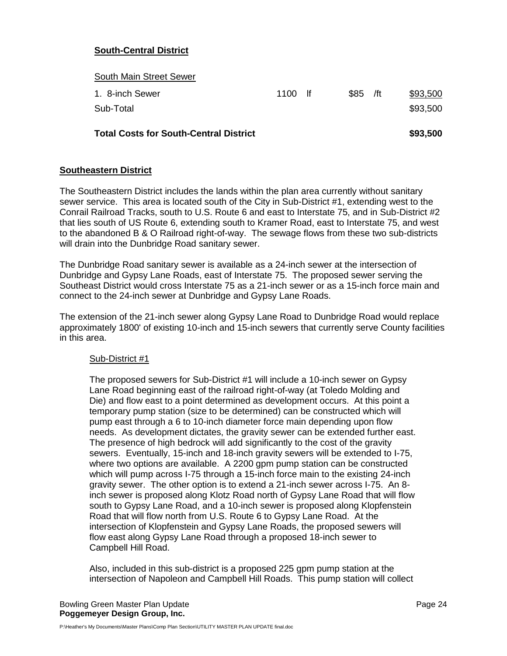# **South-Central District**

| <b>Total Costs for South-Central District</b> |           |           | \$93,500 |
|-----------------------------------------------|-----------|-----------|----------|
| Sub-Total                                     |           |           | \$93,500 |
| 1. 8-inch Sewer                               | $1100$ If | $$85$ /ft | \$93,500 |
| <b>South Main Street Sewer</b>                |           |           |          |

# **Southeastern District**

The Southeastern District includes the lands within the plan area currently without sanitary sewer service. This area is located south of the City in Sub-District #1, extending west to the Conrail Railroad Tracks, south to U.S. Route 6 and east to Interstate 75, and in Sub-District #2 that lies south of US Route 6, extending south to Kramer Road, east to Interstate 75, and west to the abandoned B & O Railroad right-of-way. The sewage flows from these two sub-districts will drain into the Dunbridge Road sanitary sewer.

The Dunbridge Road sanitary sewer is available as a 24-inch sewer at the intersection of Dunbridge and Gypsy Lane Roads, east of Interstate 75. The proposed sewer serving the Southeast District would cross Interstate 75 as a 21-inch sewer or as a 15-inch force main and connect to the 24-inch sewer at Dunbridge and Gypsy Lane Roads.

The extension of the 21-inch sewer along Gypsy Lane Road to Dunbridge Road would replace approximately 1800' of existing 10-inch and 15-inch sewers that currently serve County facilities in this area.

## Sub-District #1

The proposed sewers for Sub-District #1 will include a 10-inch sewer on Gypsy Lane Road beginning east of the railroad right-of-way (at Toledo Molding and Die) and flow east to a point determined as development occurs. At this point a temporary pump station (size to be determined) can be constructed which will pump east through a 6 to 10-inch diameter force main depending upon flow needs. As development dictates, the gravity sewer can be extended further east. The presence of high bedrock will add significantly to the cost of the gravity sewers. Eventually, 15-inch and 18-inch gravity sewers will be extended to I-75, where two options are available. A 2200 gpm pump station can be constructed which will pump across I-75 through a 15-inch force main to the existing 24-inch gravity sewer. The other option is to extend a 21-inch sewer across I-75. An 8 inch sewer is proposed along Klotz Road north of Gypsy Lane Road that will flow south to Gypsy Lane Road, and a 10-inch sewer is proposed along Klopfenstein Road that will flow north from U.S. Route 6 to Gypsy Lane Road. At the intersection of Klopfenstein and Gypsy Lane Roads, the proposed sewers will flow east along Gypsy Lane Road through a proposed 18-inch sewer to Campbell Hill Road.

Also, included in this sub-district is a proposed 225 gpm pump station at the intersection of Napoleon and Campbell Hill Roads. This pump station will collect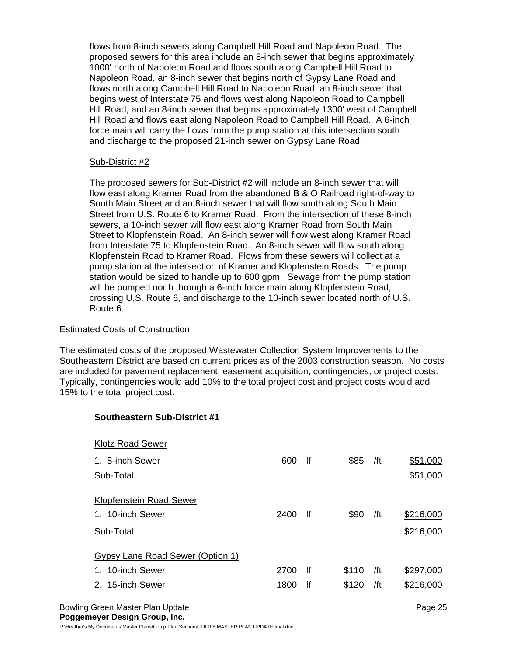flows from 8-inch sewers along Campbell Hill Road and Napoleon Road. The proposed sewers for this area include an 8-inch sewer that begins approximately 1000' north of Napoleon Road and flows south along Campbell Hill Road to Napoleon Road, an 8-inch sewer that begins north of Gypsy Lane Road and flows north along Campbell Hill Road to Napoleon Road, an 8-inch sewer that begins west of Interstate 75 and flows west along Napoleon Road to Campbell Hill Road, and an 8-inch sewer that begins approximately 1300' west of Campbell Hill Road and flows east along Napoleon Road to Campbell Hill Road. A 6-inch force main will carry the flows from the pump station at this intersection south and discharge to the proposed 21-inch sewer on Gypsy Lane Road.

## Sub-District #2

The proposed sewers for Sub-District #2 will include an 8-inch sewer that will flow east along Kramer Road from the abandoned B & O Railroad right-of-way to South Main Street and an 8-inch sewer that will flow south along South Main Street from U.S. Route 6 to Kramer Road. From the intersection of these 8-inch sewers, a 10-inch sewer will flow east along Kramer Road from South Main Street to Klopfenstein Road. An 8-inch sewer will flow west along Kramer Road from Interstate 75 to Klopfenstein Road. An 8-inch sewer will flow south along Klopfenstein Road to Kramer Road. Flows from these sewers will collect at a pump station at the intersection of Kramer and Klopfenstein Roads. The pump station would be sized to handle up to 600 gpm. Sewage from the pump station will be pumped north through a 6-inch force main along Klopfenstein Road, crossing U.S. Route 6, and discharge to the 10-inch sewer located north of U.S. Route 6.

## Estimated Costs of Construction

The estimated costs of the proposed Wastewater Collection System Improvements to the Southeastern District are based on current prices as of the 2003 construction season. No costs are included for pavement replacement, easement acquisition, contingencies, or project costs. Typically, contingencies would add 10% to the total project cost and project costs would add 15% to the total project cost.

# **Southeastern Sub-District #1**

| <b>Klotz Road Sewer</b>          |      |     |       |     |           |
|----------------------------------|------|-----|-------|-----|-----------|
| 1. 8-inch Sewer                  | 600  | f   | \$85  | /ft | \$51,000  |
| Sub-Total                        |      |     |       |     | \$51,000  |
| Klopfenstein Road Sewer          |      |     |       |     |           |
|                                  |      |     |       |     |           |
| 1. 10-inch Sewer                 | 2400 | lf  | \$90  | /ft | \$216,000 |
| Sub-Total                        |      |     |       |     | \$216,000 |
|                                  |      |     |       |     |           |
| Gypsy Lane Road Sewer (Option 1) |      |     |       |     |           |
| 1. 10-inch Sewer                 | 2700 | -lf | \$110 | /ft | \$297,000 |
| 2. 15-inch Sewer                 | 1800 | lf  | \$120 | /ft | \$216,000 |
|                                  |      |     |       |     |           |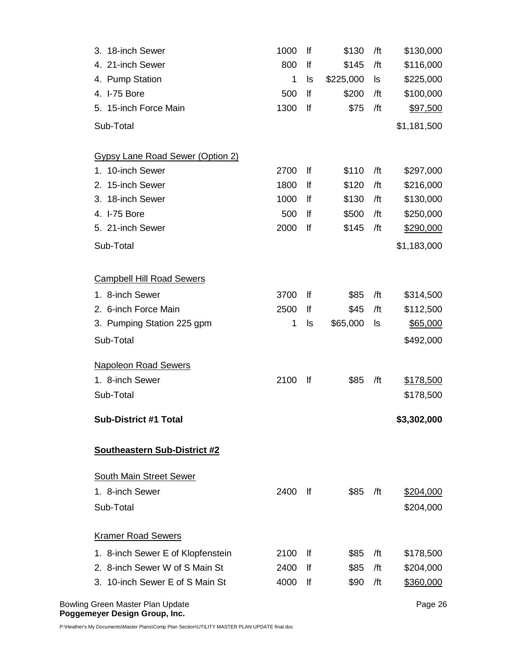| 3. 18-inch Sewer                                             | 1000 | lf | \$130     | /ft | \$130,000       |
|--------------------------------------------------------------|------|----|-----------|-----|-----------------|
| 4. 21-inch Sewer                                             | 800  | lf | \$145     | /ft | \$116,000       |
| 4. Pump Station                                              | 1    | ls | \$225,000 | ls  | \$225,000       |
| 4. I-75 Bore                                                 | 500  | lf | \$200     | /ft | \$100,000       |
| 5. 15-inch Force Main                                        | 1300 | lf | \$75      | /ft | \$97,500        |
| Sub-Total                                                    |      |    |           |     | \$1,181,500     |
| <b>Gypsy Lane Road Sewer (Option 2)</b>                      |      |    |           |     |                 |
| 1. 10-inch Sewer                                             | 2700 | lf | \$110     | /ft | \$297,000       |
| 2. 15-inch Sewer                                             | 1800 | lf | \$120     | /ft | \$216,000       |
| 3. 18-inch Sewer                                             | 1000 | lf | \$130     | /ft | \$130,000       |
| 4. I-75 Bore                                                 | 500  | lf | \$500     | /ft | \$250,000       |
| 5. 21-inch Sewer                                             | 2000 | lf | \$145     | /ft | \$290,000       |
| Sub-Total                                                    |      |    |           |     | \$1,183,000     |
| <b>Campbell Hill Road Sewers</b>                             |      |    |           |     |                 |
| 1. 8-inch Sewer                                              | 3700 | lf | \$85      | /ft | \$314,500       |
| 2. 6-inch Force Main                                         | 2500 | lf | \$45      | /ft | \$112,500       |
| 3. Pumping Station 225 gpm                                   | 1    | ls | \$65,000  | ls  | <u>\$65,000</u> |
| Sub-Total                                                    |      |    |           |     | \$492,000       |
| <b>Napoleon Road Sewers</b>                                  |      |    |           |     |                 |
| 1. 8-inch Sewer                                              | 2100 | lf | \$85      | /ft | \$178,500       |
| Sub-Total                                                    |      |    |           |     | \$178,500       |
| <b>Sub-District #1 Total</b>                                 |      |    |           |     | \$3,302,000     |
| <b>Southeastern Sub-District #2</b>                          |      |    |           |     |                 |
| <b>South Main Street Sewer</b>                               |      |    |           |     |                 |
| 1. 8-inch Sewer                                              | 2400 | lf | \$85      | /ft | \$204,000       |
| Sub-Total                                                    |      |    |           |     | \$204,000       |
| <b>Kramer Road Sewers</b>                                    |      |    |           |     |                 |
| 1. 8-inch Sewer E of Klopfenstein                            | 2100 | lf | \$85      | /ft | \$178,500       |
| 2. 8-inch Sewer W of S Main St                               | 2400 | lf | \$85      | /ft | \$204,000       |
| 3. 10-inch Sewer E of S Main St                              | 4000 | lf | \$90      | /ft | \$360,000       |
| Bowling Green Master Plan Update<br>aamayar Dacian Craun Ina |      |    |           |     | Page 26         |

**Poggemeyer Design Group, Inc.** 

P:\Heather's My Documents\Master Plans\Comp Plan Section\UTILITY MASTER PLAN UPDATE final.doc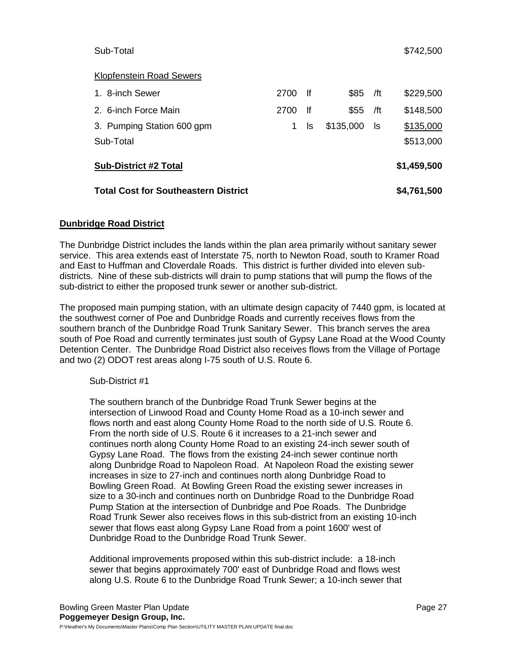## Klopfenstein Road Sewers

| <b>Total Cost for Southeastern District</b> |      |      |           |     | \$4,761,500 |
|---------------------------------------------|------|------|-----------|-----|-------------|
| <b>Sub-District #2 Total</b>                |      |      |           |     | \$1,459,500 |
| Sub-Total                                   |      |      |           |     | \$513,000   |
| 3. Pumping Station 600 gpm                  |      | ls   | \$135,000 | -ls | \$135,000   |
| 2. 6-inch Force Main                        | 2700 | -lf  | \$55      | /ft | \$148,500   |
| 1. 8-inch Sewer                             | 2700 | - If | \$85      | /ft | \$229,500   |

# **Dunbridge Road District**

The Dunbridge District includes the lands within the plan area primarily without sanitary sewer service. This area extends east of Interstate 75, north to Newton Road, south to Kramer Road and East to Huffman and Cloverdale Roads. This district is further divided into eleven subdistricts. Nine of these sub-districts will drain to pump stations that will pump the flows of the sub-district to either the proposed trunk sewer or another sub-district.

The proposed main pumping station, with an ultimate design capacity of 7440 gpm, is located at the southwest corner of Poe and Dunbridge Roads and currently receives flows from the southern branch of the Dunbridge Road Trunk Sanitary Sewer. This branch serves the area south of Poe Road and currently terminates just south of Gypsy Lane Road at the Wood County Detention Center. The Dunbridge Road District also receives flows from the Village of Portage and two (2) ODOT rest areas along I-75 south of U.S. Route 6.

## Sub-District #1

The southern branch of the Dunbridge Road Trunk Sewer begins at the intersection of Linwood Road and County Home Road as a 10-inch sewer and flows north and east along County Home Road to the north side of U.S. Route 6. From the north side of U.S. Route 6 it increases to a 21-inch sewer and continues north along County Home Road to an existing 24-inch sewer south of Gypsy Lane Road. The flows from the existing 24-inch sewer continue north along Dunbridge Road to Napoleon Road. At Napoleon Road the existing sewer increases in size to 27-inch and continues north along Dunbridge Road to Bowling Green Road. At Bowling Green Road the existing sewer increases in size to a 30-inch and continues north on Dunbridge Road to the Dunbridge Road Pump Station at the intersection of Dunbridge and Poe Roads. The Dunbridge Road Trunk Sewer also receives flows in this sub-district from an existing 10-inch sewer that flows east along Gypsy Lane Road from a point 1600' west of Dunbridge Road to the Dunbridge Road Trunk Sewer.

Additional improvements proposed within this sub-district include: a 18-inch sewer that begins approximately 700' east of Dunbridge Road and flows west along U.S. Route 6 to the Dunbridge Road Trunk Sewer; a 10-inch sewer that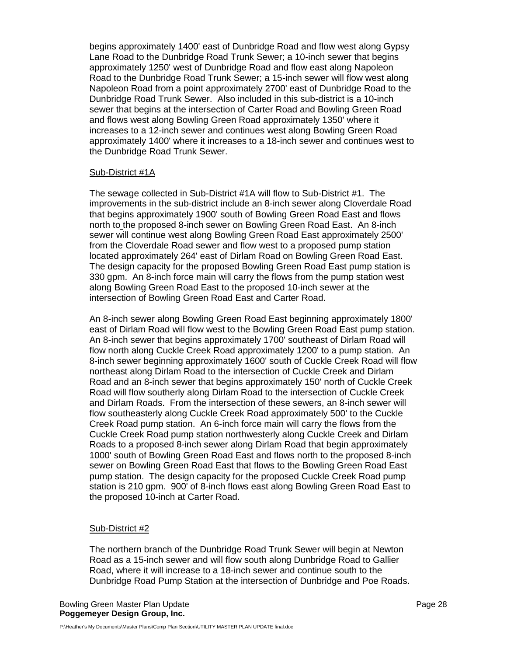begins approximately 1400' east of Dunbridge Road and flow west along Gypsy Lane Road to the Dunbridge Road Trunk Sewer; a 10-inch sewer that begins approximately 1250' west of Dunbridge Road and flow east along Napoleon Road to the Dunbridge Road Trunk Sewer; a 15-inch sewer will flow west along Napoleon Road from a point approximately 2700' east of Dunbridge Road to the Dunbridge Road Trunk Sewer. Also included in this sub-district is a 10-inch sewer that begins at the intersection of Carter Road and Bowling Green Road and flows west along Bowling Green Road approximately 1350' where it increases to a 12-inch sewer and continues west along Bowling Green Road approximately 1400' where it increases to a 18-inch sewer and continues west to the Dunbridge Road Trunk Sewer.

## Sub-District #1A

The sewage collected in Sub-District #1A will flow to Sub-District #1. The improvements in the sub-district include an 8-inch sewer along Cloverdale Road that begins approximately 1900' south of Bowling Green Road East and flows north to the proposed 8-inch sewer on Bowling Green Road East. An 8-inch sewer will continue west along Bowling Green Road East approximately 2500' from the Cloverdale Road sewer and flow west to a proposed pump station located approximately 264' east of Dirlam Road on Bowling Green Road East. The design capacity for the proposed Bowling Green Road East pump station is 330 gpm. An 8-inch force main will carry the flows from the pump station west along Bowling Green Road East to the proposed 10-inch sewer at the intersection of Bowling Green Road East and Carter Road.

An 8-inch sewer along Bowling Green Road East beginning approximately 1800' east of Dirlam Road will flow west to the Bowling Green Road East pump station. An 8-inch sewer that begins approximately 1700' southeast of Dirlam Road will flow north along Cuckle Creek Road approximately 1200' to a pump station. An 8-inch sewer beginning approximately 1600' south of Cuckle Creek Road will flow northeast along Dirlam Road to the intersection of Cuckle Creek and Dirlam Road and an 8-inch sewer that begins approximately 150' north of Cuckle Creek Road will flow southerly along Dirlam Road to the intersection of Cuckle Creek and Dirlam Roads. From the intersection of these sewers, an 8-inch sewer will flow southeasterly along Cuckle Creek Road approximately 500' to the Cuckle Creek Road pump station. An 6-inch force main will carry the flows from the Cuckle Creek Road pump station northwesterly along Cuckle Creek and Dirlam Roads to a proposed 8-inch sewer along Dirlam Road that begin approximately 1000' south of Bowling Green Road East and flows north to the proposed 8-inch sewer on Bowling Green Road East that flows to the Bowling Green Road East pump station. The design capacity for the proposed Cuckle Creek Road pump station is 210 gpm. 900' of 8-inch flows east along Bowling Green Road East to the proposed 10-inch at Carter Road.

#### Sub-District #2

The northern branch of the Dunbridge Road Trunk Sewer will begin at Newton Road as a 15-inch sewer and will flow south along Dunbridge Road to Gallier Road, where it will increase to a 18-inch sewer and continue south to the Dunbridge Road Pump Station at the intersection of Dunbridge and Poe Roads.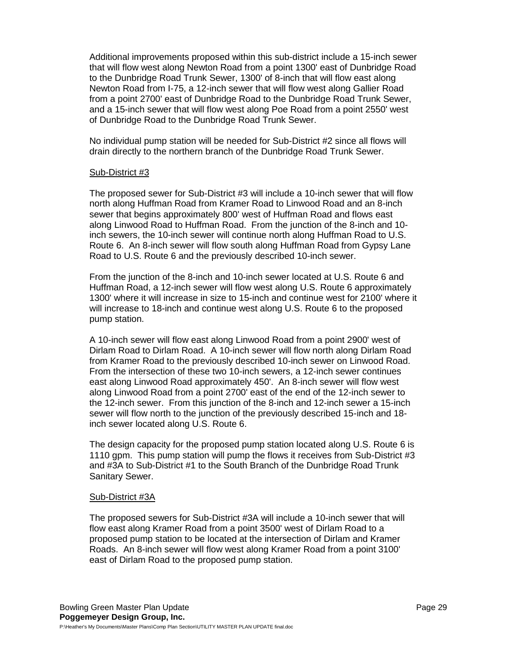Additional improvements proposed within this sub-district include a 15-inch sewer that will flow west along Newton Road from a point 1300' east of Dunbridge Road to the Dunbridge Road Trunk Sewer, 1300' of 8-inch that will flow east along Newton Road from I-75, a 12-inch sewer that will flow west along Gallier Road from a point 2700' east of Dunbridge Road to the Dunbridge Road Trunk Sewer, and a 15-inch sewer that will flow west along Poe Road from a point 2550' west of Dunbridge Road to the Dunbridge Road Trunk Sewer.

No individual pump station will be needed for Sub-District #2 since all flows will drain directly to the northern branch of the Dunbridge Road Trunk Sewer.

## Sub-District #3

The proposed sewer for Sub-District #3 will include a 10-inch sewer that will flow north along Huffman Road from Kramer Road to Linwood Road and an 8-inch sewer that begins approximately 800' west of Huffman Road and flows east along Linwood Road to Huffman Road. From the junction of the 8-inch and 10 inch sewers, the 10-inch sewer will continue north along Huffman Road to U.S. Route 6. An 8-inch sewer will flow south along Huffman Road from Gypsy Lane Road to U.S. Route 6 and the previously described 10-inch sewer.

From the junction of the 8-inch and 10-inch sewer located at U.S. Route 6 and Huffman Road, a 12-inch sewer will flow west along U.S. Route 6 approximately 1300' where it will increase in size to 15-inch and continue west for 2100' where it will increase to 18-inch and continue west along U.S. Route 6 to the proposed pump station.

A 10-inch sewer will flow east along Linwood Road from a point 2900' west of Dirlam Road to Dirlam Road. A 10-inch sewer will flow north along Dirlam Road from Kramer Road to the previously described 10-inch sewer on Linwood Road. From the intersection of these two 10-inch sewers, a 12-inch sewer continues east along Linwood Road approximately 450'. An 8-inch sewer will flow west along Linwood Road from a point 2700' east of the end of the 12-inch sewer to the 12-inch sewer. From this junction of the 8-inch and 12-inch sewer a 15-inch sewer will flow north to the junction of the previously described 15-inch and 18 inch sewer located along U.S. Route 6.

The design capacity for the proposed pump station located along U.S. Route 6 is 1110 gpm. This pump station will pump the flows it receives from Sub-District #3 and #3A to Sub-District #1 to the South Branch of the Dunbridge Road Trunk Sanitary Sewer.

## Sub-District #3A

The proposed sewers for Sub-District #3A will include a 10-inch sewer that will flow east along Kramer Road from a point 3500' west of Dirlam Road to a proposed pump station to be located at the intersection of Dirlam and Kramer Roads. An 8-inch sewer will flow west along Kramer Road from a point 3100' east of Dirlam Road to the proposed pump station.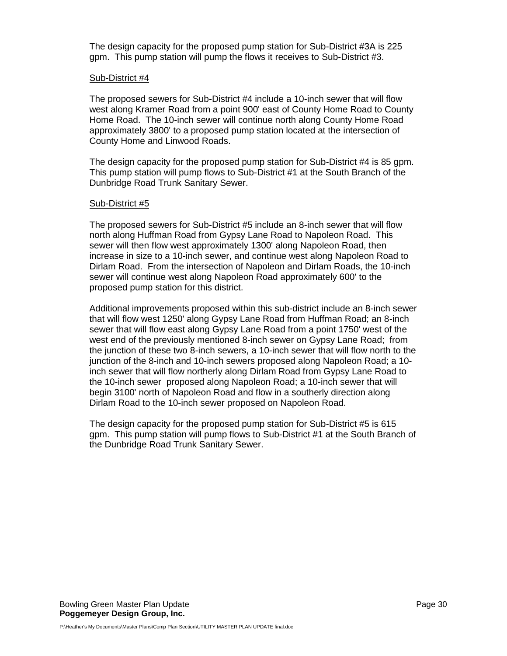The design capacity for the proposed pump station for Sub-District #3A is 225 gpm. This pump station will pump the flows it receives to Sub-District #3.

## Sub-District #4

The proposed sewers for Sub-District #4 include a 10-inch sewer that will flow west along Kramer Road from a point 900' east of County Home Road to County Home Road. The 10-inch sewer will continue north along County Home Road approximately 3800' to a proposed pump station located at the intersection of County Home and Linwood Roads.

The design capacity for the proposed pump station for Sub-District #4 is 85 gpm. This pump station will pump flows to Sub-District #1 at the South Branch of the Dunbridge Road Trunk Sanitary Sewer.

## Sub-District #5

The proposed sewers for Sub-District #5 include an 8-inch sewer that will flow north along Huffman Road from Gypsy Lane Road to Napoleon Road. This sewer will then flow west approximately 1300' along Napoleon Road, then increase in size to a 10-inch sewer, and continue west along Napoleon Road to Dirlam Road. From the intersection of Napoleon and Dirlam Roads, the 10-inch sewer will continue west along Napoleon Road approximately 600' to the proposed pump station for this district.

Additional improvements proposed within this sub-district include an 8-inch sewer that will flow west 1250' along Gypsy Lane Road from Huffman Road; an 8-inch sewer that will flow east along Gypsy Lane Road from a point 1750' west of the west end of the previously mentioned 8-inch sewer on Gypsy Lane Road; from the junction of these two 8-inch sewers, a 10-inch sewer that will flow north to the junction of the 8-inch and 10-inch sewers proposed along Napoleon Road; a 10 inch sewer that will flow northerly along Dirlam Road from Gypsy Lane Road to the 10-inch sewer proposed along Napoleon Road; a 10-inch sewer that will begin 3100' north of Napoleon Road and flow in a southerly direction along Dirlam Road to the 10-inch sewer proposed on Napoleon Road.

The design capacity for the proposed pump station for Sub-District #5 is 615 gpm. This pump station will pump flows to Sub-District #1 at the South Branch of the Dunbridge Road Trunk Sanitary Sewer.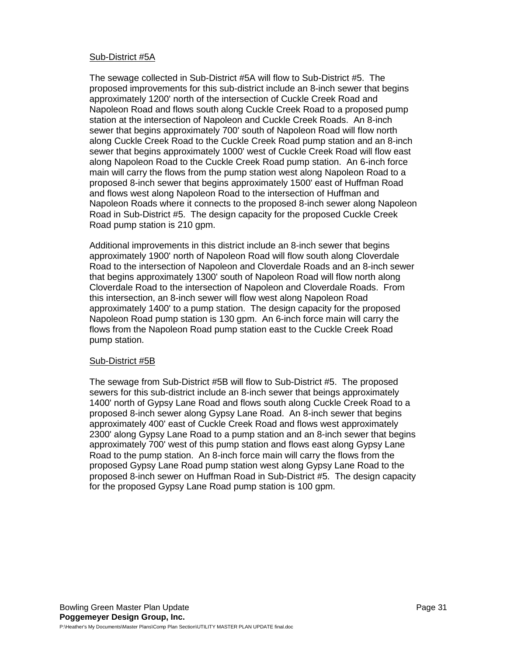## Sub-District #5A

The sewage collected in Sub-District #5A will flow to Sub-District #5. The proposed improvements for this sub-district include an 8-inch sewer that begins approximately 1200' north of the intersection of Cuckle Creek Road and Napoleon Road and flows south along Cuckle Creek Road to a proposed pump station at the intersection of Napoleon and Cuckle Creek Roads. An 8-inch sewer that begins approximately 700' south of Napoleon Road will flow north along Cuckle Creek Road to the Cuckle Creek Road pump station and an 8-inch sewer that begins approximately 1000' west of Cuckle Creek Road will flow east along Napoleon Road to the Cuckle Creek Road pump station. An 6-inch force main will carry the flows from the pump station west along Napoleon Road to a proposed 8-inch sewer that begins approximately 1500' east of Huffman Road and flows west along Napoleon Road to the intersection of Huffman and Napoleon Roads where it connects to the proposed 8-inch sewer along Napoleon Road in Sub-District #5. The design capacity for the proposed Cuckle Creek Road pump station is 210 gpm.

Additional improvements in this district include an 8-inch sewer that begins approximately 1900' north of Napoleon Road will flow south along Cloverdale Road to the intersection of Napoleon and Cloverdale Roads and an 8-inch sewer that begins approximately 1300' south of Napoleon Road will flow north along Cloverdale Road to the intersection of Napoleon and Cloverdale Roads. From this intersection, an 8-inch sewer will flow west along Napoleon Road approximately 1400' to a pump station. The design capacity for the proposed Napoleon Road pump station is 130 gpm. An 6-inch force main will carry the flows from the Napoleon Road pump station east to the Cuckle Creek Road pump station.

## Sub-District #5B

The sewage from Sub-District #5B will flow to Sub-District #5. The proposed sewers for this sub-district include an 8-inch sewer that beings approximately 1400' north of Gypsy Lane Road and flows south along Cuckle Creek Road to a proposed 8-inch sewer along Gypsy Lane Road. An 8-inch sewer that begins approximately 400' east of Cuckle Creek Road and flows west approximately 2300' along Gypsy Lane Road to a pump station and an 8-inch sewer that begins approximately 700' west of this pump station and flows east along Gypsy Lane Road to the pump station. An 8-inch force main will carry the flows from the proposed Gypsy Lane Road pump station west along Gypsy Lane Road to the proposed 8-inch sewer on Huffman Road in Sub-District #5. The design capacity for the proposed Gypsy Lane Road pump station is 100 gpm.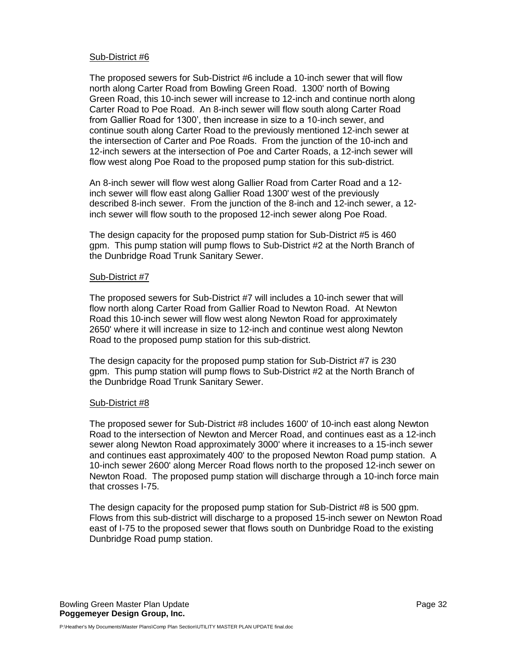## Sub-District #6

The proposed sewers for Sub-District #6 include a 10-inch sewer that will flow north along Carter Road from Bowling Green Road. 1300' north of Bowing Green Road, this 10-inch sewer will increase to 12-inch and continue north along Carter Road to Poe Road. An 8-inch sewer will flow south along Carter Road from Gallier Road for 1300', then increase in size to a 10-inch sewer, and continue south along Carter Road to the previously mentioned 12-inch sewer at the intersection of Carter and Poe Roads. From the junction of the 10-inch and 12-inch sewers at the intersection of Poe and Carter Roads, a 12-inch sewer will flow west along Poe Road to the proposed pump station for this sub-district.

An 8-inch sewer will flow west along Gallier Road from Carter Road and a 12 inch sewer will flow east along Gallier Road 1300' west of the previously described 8-inch sewer. From the junction of the 8-inch and 12-inch sewer, a 12 inch sewer will flow south to the proposed 12-inch sewer along Poe Road.

The design capacity for the proposed pump station for Sub-District #5 is 460 gpm. This pump station will pump flows to Sub-District #2 at the North Branch of the Dunbridge Road Trunk Sanitary Sewer.

## Sub-District #7

The proposed sewers for Sub-District #7 will includes a 10-inch sewer that will flow north along Carter Road from Gallier Road to Newton Road. At Newton Road this 10-inch sewer will flow west along Newton Road for approximately 2650' where it will increase in size to 12-inch and continue west along Newton Road to the proposed pump station for this sub-district.

The design capacity for the proposed pump station for Sub-District #7 is 230 gpm. This pump station will pump flows to Sub-District #2 at the North Branch of the Dunbridge Road Trunk Sanitary Sewer.

## Sub-District #8

The proposed sewer for Sub-District #8 includes 1600' of 10-inch east along Newton Road to the intersection of Newton and Mercer Road, and continues east as a 12-inch sewer along Newton Road approximately 3000' where it increases to a 15-inch sewer and continues east approximately 400' to the proposed Newton Road pump station. A 10-inch sewer 2600' along Mercer Road flows north to the proposed 12-inch sewer on Newton Road. The proposed pump station will discharge through a 10-inch force main that crosses I-75.

The design capacity for the proposed pump station for Sub-District #8 is 500 gpm. Flows from this sub-district will discharge to a proposed 15-inch sewer on Newton Road east of I-75 to the proposed sewer that flows south on Dunbridge Road to the existing Dunbridge Road pump station.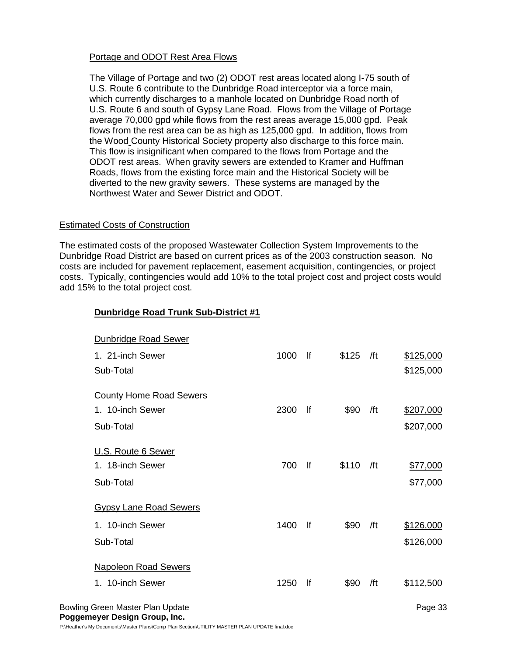# Portage and ODOT Rest Area Flows

The Village of Portage and two (2) ODOT rest areas located along I-75 south of U.S. Route 6 contribute to the Dunbridge Road interceptor via a force main, which currently discharges to a manhole located on Dunbridge Road north of U.S. Route 6 and south of Gypsy Lane Road. Flows from the Village of Portage average 70,000 gpd while flows from the rest areas average 15,000 gpd. Peak flows from the rest area can be as high as 125,000 gpd. In addition, flows from the Wood County Historical Society property also discharge to this force main. This flow is insignificant when compared to the flows from Portage and the ODOT rest areas. When gravity sewers are extended to Kramer and Huffman Roads, flows from the existing force main and the Historical Society will be diverted to the new gravity sewers. These systems are managed by the Northwest Water and Sewer District and ODOT.

## Estimated Costs of Construction

The estimated costs of the proposed Wastewater Collection System Improvements to the Dunbridge Road District are based on current prices as of the 2003 construction season. No costs are included for pavement replacement, easement acquisition, contingencies, or project costs. Typically, contingencies would add 10% to the total project cost and project costs would add 15% to the total project cost.

# **Dunbridge Road Trunk Sub-District #1**

| <b>Dunbridge Road Sewer</b>      |      |    |       |     |           |
|----------------------------------|------|----|-------|-----|-----------|
| 1. 21-inch Sewer                 | 1000 | lf | \$125 | /ft | \$125,000 |
| Sub-Total                        |      |    |       |     | \$125,000 |
|                                  |      |    |       |     |           |
| <b>County Home Road Sewers</b>   |      |    |       |     |           |
| 1. 10-inch Sewer                 | 2300 | f  | \$90  | /ft | \$207,000 |
| Sub-Total                        |      |    |       |     | \$207,000 |
|                                  |      |    |       |     |           |
| U.S. Route 6 Sewer               |      |    |       |     |           |
| 1. 18-inch Sewer                 | 700  | lf | \$110 | /ft | \$77,000  |
| Sub-Total                        |      |    |       |     | \$77,000  |
|                                  |      |    |       |     |           |
| <b>Gypsy Lane Road Sewers</b>    |      |    |       |     |           |
| 1. 10-inch Sewer                 | 1400 | lf | \$90  | /ft | \$126,000 |
| Sub-Total                        |      |    |       |     | \$126,000 |
|                                  |      |    |       |     |           |
| <b>Napoleon Road Sewers</b>      |      |    |       |     |           |
| 1. 10-inch Sewer                 | 1250 | lf | \$90  | /ft | \$112,500 |
|                                  |      |    |       |     |           |
| Bowling Green Master Plan Update |      |    |       |     | Page 33   |

**Poggemeyer Design Group, Inc.** P:\Heather's My Documents\Master Plans\Comp Plan Section\UTILITY MASTER PLAN UPDATE final.doc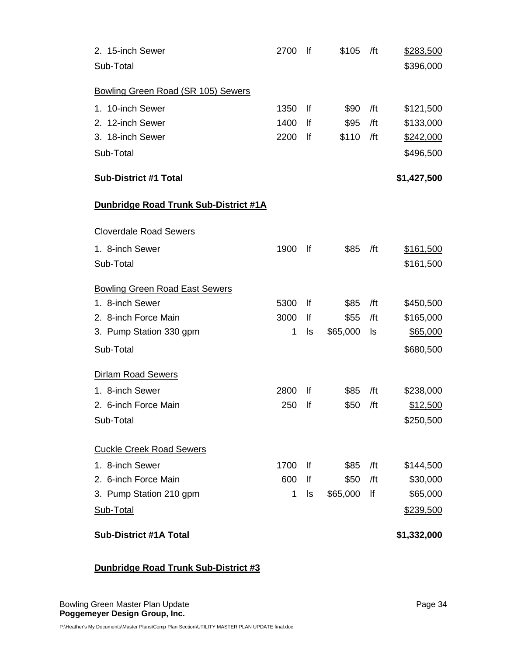| 2. 15-inch Sewer                      | 2700 | lf        | \$105    | /ft | \$283,500        |
|---------------------------------------|------|-----------|----------|-----|------------------|
| Sub-Total                             |      |           |          |     | \$396,000        |
| Bowling Green Road (SR 105) Sewers    |      |           |          |     |                  |
| 1. 10-inch Sewer                      | 1350 | lf        | \$90     | /ft | \$121,500        |
| 2. 12-inch Sewer                      | 1400 | lf        | \$95     | /ft | \$133,000        |
| 3. 18-inch Sewer                      | 2200 | lf        | \$110    | /ft | \$242,000        |
| Sub-Total                             |      |           |          |     | \$496,500        |
| <b>Sub-District #1 Total</b>          |      |           |          |     | \$1,427,500      |
| Dunbridge Road Trunk Sub-District #1A |      |           |          |     |                  |
| <b>Cloverdale Road Sewers</b>         |      |           |          |     |                  |
| 1. 8-inch Sewer                       | 1900 | <b>If</b> | \$85     | /ft | <u>\$161,500</u> |
| Sub-Total                             |      |           |          |     | \$161,500        |
| <b>Bowling Green Road East Sewers</b> |      |           |          |     |                  |
| 1. 8-inch Sewer                       | 5300 | lf        | \$85     | /ft | \$450,500        |
| 2. 8-inch Force Main                  | 3000 | lf        | \$55     | /ft | \$165,000        |
| 3. Pump Station 330 gpm               | 1    | ls        | \$65,000 | ls  | \$65,000         |
| Sub-Total                             |      |           |          |     | \$680,500        |
| <b>Dirlam Road Sewers</b>             |      |           |          |     |                  |
| 1. 8-inch Sewer                       | 2800 | <b>If</b> | \$85     | /ft | \$238,000        |
| 2. 6-inch Force Main                  | 250  | lf        | \$50     | /ft | \$12,500         |
| Sub-Total                             |      |           |          |     | \$250,500        |
| <b>Cuckle Creek Road Sewers</b>       |      |           |          |     |                  |
| 1. 8-inch Sewer                       | 1700 | lf        | \$85     | /ft | \$144,500        |
| 2. 6-inch Force Main                  | 600  | lf        | \$50     | /ft | \$30,000         |
| 3. Pump Station 210 gpm               | 1    | ls        | \$65,000 | lf  | \$65,000         |
| Sub-Total                             |      |           |          |     | \$239,500        |
| <b>Sub-District #1A Total</b>         |      |           |          |     | \$1,332,000      |

# **Dunbridge Road Trunk Sub-District #3**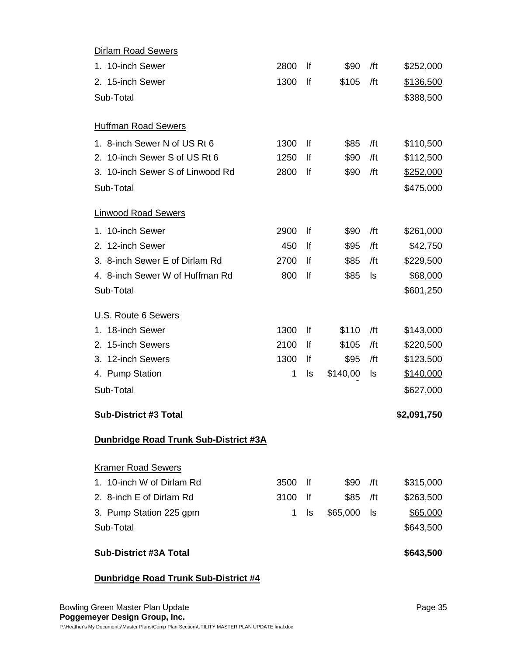| <b>Dirlam Road Sewers</b>                    |      |     |          |     |             |
|----------------------------------------------|------|-----|----------|-----|-------------|
| 1. 10-inch Sewer                             | 2800 | lf  | \$90     | /ft | \$252,000   |
| 2. 15-inch Sewer                             | 1300 | lf  | \$105    | /ft | \$136,500   |
| Sub-Total                                    |      |     |          |     | \$388,500   |
|                                              |      |     |          |     |             |
| <b>Huffman Road Sewers</b>                   |      |     |          |     |             |
| 1. 8-inch Sewer N of US Rt 6                 | 1300 | lf  | \$85     | /ft | \$110,500   |
| 2. 10-inch Sewer S of US Rt 6                | 1250 | lf  | \$90     | /ft | \$112,500   |
| 3. 10-inch Sewer S of Linwood Rd             | 2800 | lf  | \$90     | /ft | \$252,000   |
| Sub-Total                                    |      |     |          |     | \$475,000   |
| <b>Linwood Road Sewers</b>                   |      |     |          |     |             |
| 1. 10-inch Sewer                             | 2900 | lf  | \$90     | /ft | \$261,000   |
| 2. 12-inch Sewer                             | 450  | lf  | \$95     | /ft | \$42,750    |
| 3. 8-inch Sewer E of Dirlam Rd               | 2700 | lf  | \$85     | /ft | \$229,500   |
| 4. 8-inch Sewer W of Huffman Rd              | 800  | lf  | \$85     | ls  | \$68,000    |
| Sub-Total                                    |      |     |          |     | \$601,250   |
| U.S. Route 6 Sewers                          |      |     |          |     |             |
| 1. 18-inch Sewer                             | 1300 | lf  | \$110    | /ft | \$143,000   |
| 2. 15-inch Sewers                            | 2100 | lf  | \$105    | /ft | \$220,500   |
| 3. 12-inch Sewers                            | 1300 | lf  | \$95     | /ft | \$123,500   |
| 4. Pump Station                              | 1    | ls  | \$140,00 | ls  | \$140,000   |
| Sub-Total                                    |      |     |          |     | \$627,000   |
| <b>Sub-District #3 Total</b>                 |      |     |          |     | \$2,091,750 |
| <b>Dunbridge Road Trunk Sub-District #3A</b> |      |     |          |     |             |
| <b>Kramer Road Sewers</b>                    |      |     |          |     |             |
| 1. 10-inch W of Dirlam Rd                    | 3500 | lf. | \$90     | /ft | \$315,000   |
| 2. 8-inch E of Dirlam Rd                     | 3100 | lf  | \$85     | /ft | \$263,500   |
| 3. Pump Station 225 gpm                      | 1    | ls  | \$65,000 | ls  | \$65,000    |
| Sub-Total                                    |      |     |          |     | \$643,500   |
| <b>Sub-District #3A Total</b>                |      |     |          |     | \$643,500   |

# **Dunbridge Road Trunk Sub-District #4**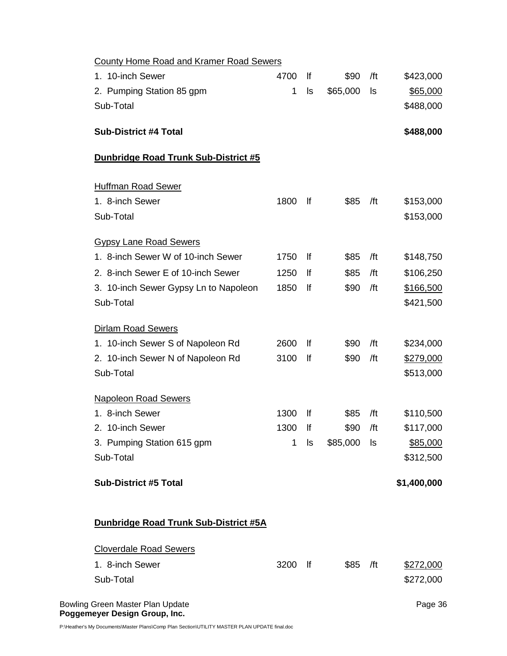| <b>County Home Road and Kramer Road Sewers</b> |      |              |          |     |             |
|------------------------------------------------|------|--------------|----------|-----|-------------|
| 1. 10-inch Sewer                               | 4700 | lf           | \$90     | /ft | \$423,000   |
| 2. Pumping Station 85 gpm                      | 1    | ls           | \$65,000 | ls  | \$65,000    |
| Sub-Total                                      |      |              |          |     | \$488,000   |
| <b>Sub-District #4 Total</b>                   |      |              |          |     | \$488,000   |
| Dunbridge Road Trunk Sub-District #5           |      |              |          |     |             |
| <b>Huffman Road Sewer</b>                      |      |              |          |     |             |
| 1. 8-inch Sewer                                | 1800 | lf           | \$85     | /ft | \$153,000   |
| Sub-Total                                      |      |              |          |     | \$153,000   |
| <b>Gypsy Lane Road Sewers</b>                  |      |              |          |     |             |
| 1. 8-inch Sewer W of 10-inch Sewer             | 1750 | lf.          | \$85     | /ft | \$148,750   |
| 2. 8-inch Sewer E of 10-inch Sewer             | 1250 | lf           | \$85     | /ft | \$106,250   |
| 3. 10-inch Sewer Gypsy Ln to Napoleon          | 1850 | lf           | \$90     | /ft | \$166,500   |
| Sub-Total                                      |      |              |          |     | \$421,500   |
| <b>Dirlam Road Sewers</b>                      |      |              |          |     |             |
| 1. 10-inch Sewer S of Napoleon Rd              | 2600 | lf           | \$90     | /ft | \$234,000   |
| 2. 10-inch Sewer N of Napoleon Rd              | 3100 | lf           | \$90     | /ft | \$279,000   |
| Sub-Total                                      |      |              |          |     | \$513,000   |
| <b>Napoleon Road Sewers</b>                    |      |              |          |     |             |
| 1. 8-inch Sewer                                | 1300 | lf           | \$85     | /ft | \$110,500   |
| 2. 10-inch Sewer                               | 1300 | lf           | \$90     | /ft | \$117,000   |
| 3. Pumping Station 615 gpm                     | 1    | ls           | \$85,000 | ls  | \$85,000    |
| Sub-Total                                      |      |              |          |     | \$312,500   |
| <b>Sub-District #5 Total</b>                   |      |              |          |     | \$1,400,000 |
| Dunbridge Road Trunk Sub-District #5A          |      |              |          |     |             |
| <b>Cloverdale Road Sewers</b>                  |      |              |          |     |             |
| 1. 8-inch Sewer                                | 3200 | $\mathsf{H}$ | \$85     | /ft | \$272,000   |
| Sub-Total                                      |      |              |          |     | \$272,000   |
| Bowling Green Master Plan Update               |      |              |          |     | Page 36     |

**Poggemeyer Design Group, Inc.** 

P:\Heather's My Documents\Master Plans\Comp Plan Section\UTILITY MASTER PLAN UPDATE final.doc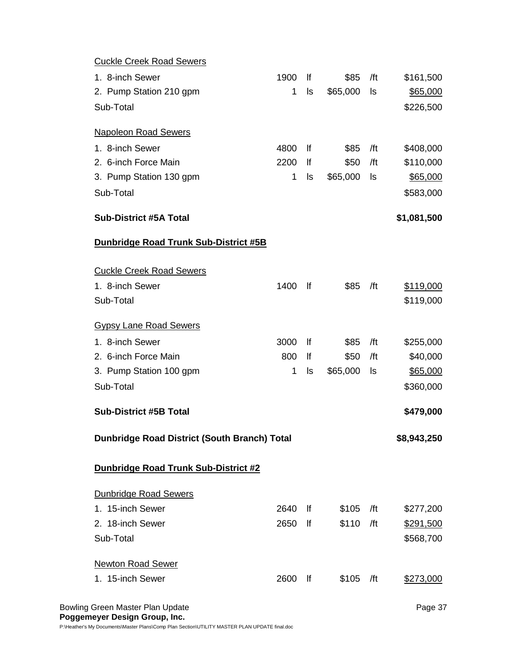| <b>Cuckle Creek Road Sewers</b>              |      |    |          |     |             |
|----------------------------------------------|------|----|----------|-----|-------------|
| 1. 8-inch Sewer                              | 1900 | lf | \$85     | /ft | \$161,500   |
| 2. Pump Station 210 gpm                      | 1    | ls | \$65,000 | ls  | \$65,000    |
| Sub-Total                                    |      |    |          |     | \$226,500   |
|                                              |      |    |          |     |             |
| <b>Napoleon Road Sewers</b>                  |      |    |          |     |             |
| 1. 8-inch Sewer                              | 4800 | lf | \$85     | /ft | \$408,000   |
| 2. 6-inch Force Main                         | 2200 | lf | \$50     | /ft | \$110,000   |
| 3. Pump Station 130 gpm                      | 1    | ls | \$65,000 | ls  | \$65,000    |
| Sub-Total                                    |      |    |          |     | \$583,000   |
| <b>Sub-District #5A Total</b>                |      |    |          |     | \$1,081,500 |
| <b>Dunbridge Road Trunk Sub-District #5B</b> |      |    |          |     |             |
|                                              |      |    |          |     |             |
| <b>Cuckle Creek Road Sewers</b>              |      |    |          |     |             |
| 1. 8-inch Sewer                              | 1400 | lf | \$85     | /ft | \$119,000   |
| Sub-Total                                    |      |    |          |     | \$119,000   |
| <b>Gypsy Lane Road Sewers</b>                |      |    |          |     |             |
| 1. 8-inch Sewer                              | 3000 | lf | \$85     | /ft | \$255,000   |
| 2. 6-inch Force Main                         | 800  | lf | \$50     | /ft | \$40,000    |
| 3. Pump Station 100 gpm                      | 1    | ls | \$65,000 | ls  | \$65,000    |
| Sub-Total                                    |      |    |          |     | \$360,000   |
|                                              |      |    |          |     |             |
| <b>Sub-District #5B Total</b>                |      |    |          |     | \$479,000   |
| Dunbridge Road District (South Branch) Total |      |    |          |     | \$8,943,250 |
| Dunbridge Road Trunk Sub-District #2         |      |    |          |     |             |
|                                              |      |    |          |     |             |
| <b>Dunbridge Road Sewers</b>                 |      |    |          |     |             |
| 1. 15-inch Sewer                             | 2640 | lf | \$105    | /ft | \$277,200   |
| 2. 18-inch Sewer                             | 2650 | lf | \$110    | /ft | \$291,500   |
| Sub-Total                                    |      |    |          |     | \$568,700   |
| <b>Newton Road Sewer</b>                     |      |    |          |     |             |
| 1. 15-inch Sewer                             | 2600 | lf | \$105    | /ft | \$273,000   |
|                                              |      |    |          |     |             |
|                                              |      |    |          |     |             |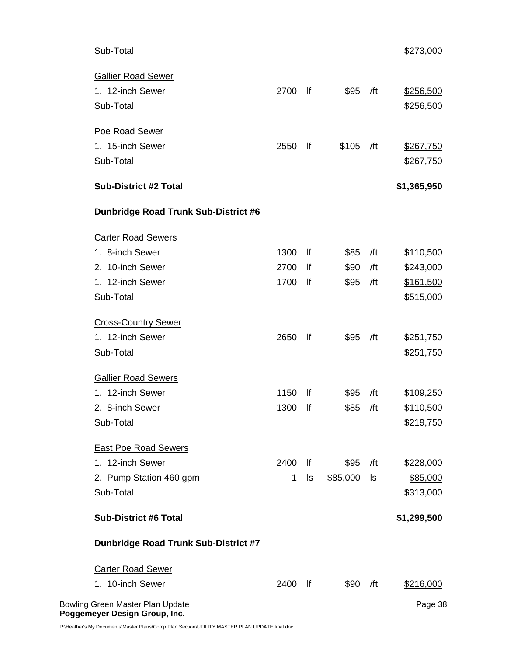| Sub-Total                                   |              |                  |          |     | \$273,000   |
|---------------------------------------------|--------------|------------------|----------|-----|-------------|
| <b>Gallier Road Sewer</b>                   |              |                  |          |     |             |
| 1. 12-inch Sewer                            | 2700         | f                | \$95     | /ft | \$256,500   |
| Sub-Total                                   |              |                  |          |     | \$256,500   |
| Poe Road Sewer                              |              |                  |          |     |             |
| 1. 15-inch Sewer                            | 2550         | lf               | \$105    | /ft | \$267,750   |
| Sub-Total                                   |              |                  |          |     | \$267,750   |
| <b>Sub-District #2 Total</b>                |              |                  |          |     | \$1,365,950 |
| <b>Dunbridge Road Trunk Sub-District #6</b> |              |                  |          |     |             |
| <b>Carter Road Sewers</b>                   |              |                  |          |     |             |
| 1. 8-inch Sewer                             | 1300         | lf               | \$85     | /ft | \$110,500   |
| 2. 10-inch Sewer                            | 2700         | lf               | \$90     | /ft | \$243,000   |
| 1. 12-inch Sewer                            | 1700         | lf               | \$95     | /ft | \$161,500   |
| Sub-Total                                   |              |                  |          |     | \$515,000   |
| <b>Cross-Country Sewer</b>                  |              |                  |          |     |             |
| 1. 12-inch Sewer                            | 2650         | lf               | \$95     | /ft | \$251,750   |
| Sub-Total                                   |              |                  |          |     | \$251,750   |
| <b>Gallier Road Sewers</b>                  |              |                  |          |     |             |
| 1. 12-inch Sewer                            | 1150         | lf               | \$95     | /ft | \$109,250   |
| 2. 8-inch Sewer                             | 1300         | lf               | \$85     | /ft | \$110,500   |
| Sub-Total                                   |              |                  |          |     | \$219,750   |
| <b>East Poe Road Sewers</b>                 |              |                  |          |     |             |
| 1. 12-inch Sewer                            | 2400         | lf               | \$95     | /ft | \$228,000   |
| 2. Pump Station 460 gpm                     | $\mathbf{1}$ | ls               | \$85,000 | ls  | \$85,000    |
| Sub-Total                                   |              |                  |          |     | \$313,000   |
| <b>Sub-District #6 Total</b>                |              |                  |          |     | \$1,299,500 |
| <b>Dunbridge Road Trunk Sub-District #7</b> |              |                  |          |     |             |
| <b>Carter Road Sewer</b>                    |              |                  |          |     |             |
| 1. 10-inch Sewer                            | 2400         | $  \mathsf{f}  $ | \$90     | /ft | \$216,000   |
| Bowling Green Master Plan Update            |              |                  |          |     | Page 38     |

**Poggemeyer Design Group, Inc.** 

P:\Heather's My Documents\Master Plans\Comp Plan Section\UTILITY MASTER PLAN UPDATE final.doc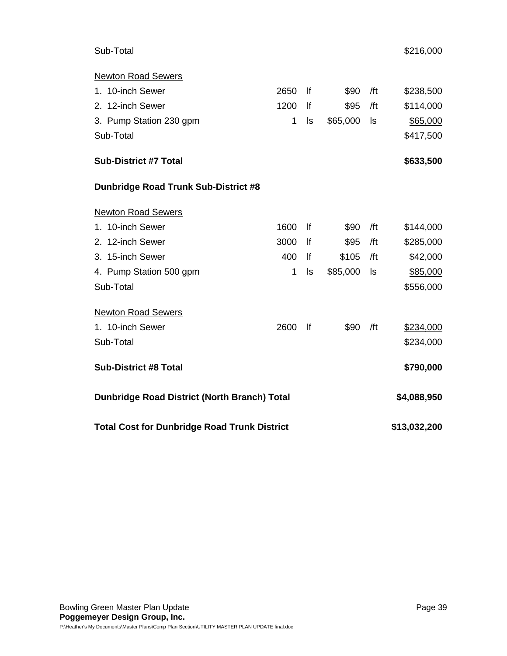# Sub-Total \$216,000

| <b>Newton Road Sewers</b>                           |      |    |          |     |              |
|-----------------------------------------------------|------|----|----------|-----|--------------|
| 1. 10-inch Sewer                                    | 2650 | lf | \$90     | /ft | \$238,500    |
| 2. 12-inch Sewer                                    | 1200 | lf | \$95     | /ft | \$114,000    |
| 3. Pump Station 230 gpm                             | 1    | ls | \$65,000 | ls  | \$65,000     |
| Sub-Total                                           |      |    |          |     | \$417,500    |
| <b>Sub-District #7 Total</b>                        |      |    |          |     | \$633,500    |
| <b>Dunbridge Road Trunk Sub-District #8</b>         |      |    |          |     |              |
| <b>Newton Road Sewers</b>                           |      |    |          |     |              |
| 1. 10-inch Sewer                                    | 1600 | lf | \$90     | /ft | \$144,000    |
| 2. 12-inch Sewer                                    | 3000 | lf | \$95     | /ft | \$285,000    |
| 3. 15-inch Sewer                                    | 400  | lf | \$105    | /ft | \$42,000     |
| 4. Pump Station 500 gpm                             | 1    | ls | \$85,000 | ls  | \$85,000     |
| Sub-Total                                           |      |    |          |     | \$556,000    |
| <b>Newton Road Sewers</b>                           |      |    |          |     |              |
| 1. 10-inch Sewer                                    | 2600 | lf | \$90     | /ft | \$234,000    |
| Sub-Total                                           |      |    |          |     | \$234,000    |
| <b>Sub-District #8 Total</b>                        |      |    |          |     | \$790,000    |
| <b>Dunbridge Road District (North Branch) Total</b> |      |    |          |     | \$4,088,950  |
| <b>Total Cost for Dunbridge Road Trunk District</b> |      |    |          |     | \$13,032,200 |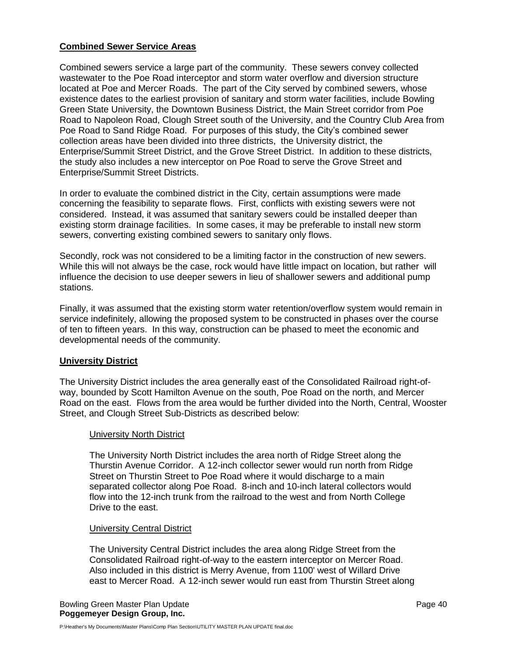## **Combined Sewer Service Areas**

Combined sewers service a large part of the community. These sewers convey collected wastewater to the Poe Road interceptor and storm water overflow and diversion structure located at Poe and Mercer Roads. The part of the City served by combined sewers, whose existence dates to the earliest provision of sanitary and storm water facilities, include Bowling Green State University, the Downtown Business District, the Main Street corridor from Poe Road to Napoleon Road, Clough Street south of the University, and the Country Club Area from Poe Road to Sand Ridge Road. For purposes of this study, the City's combined sewer collection areas have been divided into three districts, the University district, the Enterprise/Summit Street District, and the Grove Street District. In addition to these districts, the study also includes a new interceptor on Poe Road to serve the Grove Street and Enterprise/Summit Street Districts.

In order to evaluate the combined district in the City, certain assumptions were made concerning the feasibility to separate flows. First, conflicts with existing sewers were not considered. Instead, it was assumed that sanitary sewers could be installed deeper than existing storm drainage facilities. In some cases, it may be preferable to install new storm sewers, converting existing combined sewers to sanitary only flows.

Secondly, rock was not considered to be a limiting factor in the construction of new sewers. While this will not always be the case, rock would have little impact on location, but rather will influence the decision to use deeper sewers in lieu of shallower sewers and additional pump stations.

Finally, it was assumed that the existing storm water retention/overflow system would remain in service indefinitely, allowing the proposed system to be constructed in phases over the course of ten to fifteen years. In this way, construction can be phased to meet the economic and developmental needs of the community.

## **University District**

The University District includes the area generally east of the Consolidated Railroad right-ofway, bounded by Scott Hamilton Avenue on the south, Poe Road on the north, and Mercer Road on the east. Flows from the area would be further divided into the North, Central, Wooster Street, and Clough Street Sub-Districts as described below:

## University North District

The University North District includes the area north of Ridge Street along the Thurstin Avenue Corridor. A 12-inch collector sewer would run north from Ridge Street on Thurstin Street to Poe Road where it would discharge to a main separated collector along Poe Road. 8-inch and 10-inch lateral collectors would flow into the 12-inch trunk from the railroad to the west and from North College Drive to the east.

## University Central District

The University Central District includes the area along Ridge Street from the Consolidated Railroad right-of-way to the eastern interceptor on Mercer Road. Also included in this district is Merry Avenue, from 1100' west of Willard Drive east to Mercer Road. A 12-inch sewer would run east from Thurstin Street along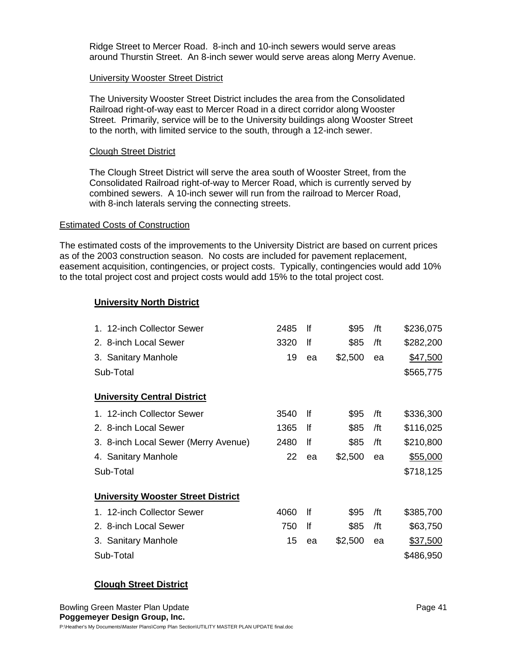Ridge Street to Mercer Road. 8-inch and 10-inch sewers would serve areas around Thurstin Street. An 8-inch sewer would serve areas along Merry Avenue.

## University Wooster Street District

The University Wooster Street District includes the area from the Consolidated Railroad right-of-way east to Mercer Road in a direct corridor along Wooster Street. Primarily, service will be to the University buildings along Wooster Street to the north, with limited service to the south, through a 12-inch sewer.

## Clough Street District

The Clough Street District will serve the area south of Wooster Street, from the Consolidated Railroad right-of-way to Mercer Road, which is currently served by combined sewers. A 10-inch sewer will run from the railroad to Mercer Road, with 8-inch laterals serving the connecting streets.

## Estimated Costs of Construction

The estimated costs of the improvements to the University District are based on current prices as of the 2003 construction season. No costs are included for pavement replacement, easement acquisition, contingencies, or project costs. Typically, contingencies would add 10% to the total project cost and project costs would add 15% to the total project cost.

## **University North District**

| 1. 12-inch Collector Sewer                | 2485 | lf | \$95    | /ft | \$236,075 |
|-------------------------------------------|------|----|---------|-----|-----------|
| 2. 8-inch Local Sewer                     | 3320 | lf | \$85    | /ft | \$282,200 |
| 3. Sanitary Manhole                       | 19   | ea | \$2,500 | ea  | \$47,500  |
| Sub-Total                                 |      |    |         |     | \$565,775 |
| <b>University Central District</b>        |      |    |         |     |           |
| 1. 12-inch Collector Sewer                | 3540 | lf | \$95    | /ft | \$336,300 |
| 2. 8-inch Local Sewer                     | 1365 | lf | \$85    | /ft | \$116,025 |
| 3. 8-inch Local Sewer (Merry Avenue)      | 2480 | lf | \$85    | /ft | \$210,800 |
| 4. Sanitary Manhole                       | 22   | ea | \$2,500 | ea  | \$55,000  |
| Sub-Total                                 |      |    |         |     | \$718,125 |
| <b>University Wooster Street District</b> |      |    |         |     |           |
| 1. 12-inch Collector Sewer                | 4060 | lf | \$95    | /ft | \$385,700 |
| 2. 8-inch Local Sewer                     | 750  | lf | \$85    | /ft | \$63,750  |
| 3. Sanitary Manhole                       | 15   | ea | \$2,500 | ea  | \$37,500  |
| Sub-Total                                 |      |    |         |     | \$486,950 |

# **Clough Street District**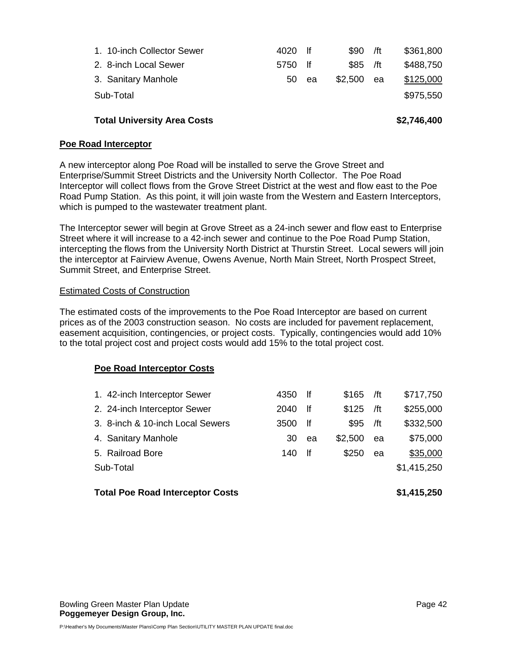| 1. 10-inch Collector Sewer | 4020    | lf | $$90$ /ft |    | \$361,800 |
|----------------------------|---------|----|-----------|----|-----------|
| 2. 8-inch Local Sewer      | 5750 lf |    | $$85$ /ft |    | \$488,750 |
| 3. Sanitary Manhole        | 50      | ea | \$2,500   | ea | \$125,000 |
| Sub-Total                  |         |    |           |    | \$975,550 |
|                            |         |    |           |    |           |

# **Total University Area Costs \$2,746,400**

## **Poe Road Interceptor**

A new interceptor along Poe Road will be installed to serve the Grove Street and Enterprise/Summit Street Districts and the University North Collector. The Poe Road Interceptor will collect flows from the Grove Street District at the west and flow east to the Poe Road Pump Station. As this point, it will join waste from the Western and Eastern Interceptors, which is pumped to the wastewater treatment plant.

The Interceptor sewer will begin at Grove Street as a 24-inch sewer and flow east to Enterprise Street where it will increase to a 42-inch sewer and continue to the Poe Road Pump Station, intercepting the flows from the University North District at Thurstin Street. Local sewers will join the interceptor at Fairview Avenue, Owens Avenue, North Main Street, North Prospect Street, Summit Street, and Enterprise Street.

## Estimated Costs of Construction

The estimated costs of the improvements to the Poe Road Interceptor are based on current prices as of the 2003 construction season. No costs are included for pavement replacement, easement acquisition, contingencies, or project costs. Typically, contingencies would add 10% to the total project cost and project costs would add 15% to the total project cost.

## **Poe Road Interceptor Costs**

| <b>Total Poe Road Interceptor Costs</b> |      |      |         |     | \$1,415,250 |
|-----------------------------------------|------|------|---------|-----|-------------|
| Sub-Total                               |      |      |         |     | \$1,415,250 |
| 5. Railroad Bore                        | 140  | -lf  | \$250   | ea  | \$35,000    |
| 4. Sanitary Manhole                     | 30   | ea   | \$2,500 | ea  | \$75,000    |
| 3. 8-inch & 10-inch Local Sewers        | 3500 | -lf  | \$95    | /ft | \$332,500   |
| 2. 24-inch Interceptor Sewer            | 2040 | -lf  | \$125   | /ft | \$255,000   |
| 1. 42-inch Interceptor Sewer            | 4350 | - If | \$165   | /ft | \$717,750   |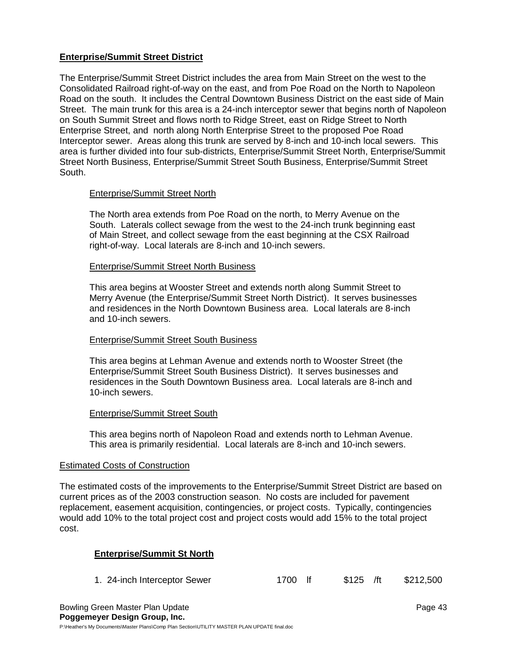## **Enterprise/Summit Street District**

The Enterprise/Summit Street District includes the area from Main Street on the west to the Consolidated Railroad right-of-way on the east, and from Poe Road on the North to Napoleon Road on the south. It includes the Central Downtown Business District on the east side of Main Street. The main trunk for this area is a 24-inch interceptor sewer that begins north of Napoleon on South Summit Street and flows north to Ridge Street, east on Ridge Street to North Enterprise Street, and north along North Enterprise Street to the proposed Poe Road Interceptor sewer. Areas along this trunk are served by 8-inch and 10-inch local sewers. This area is further divided into four sub-districts, Enterprise/Summit Street North, Enterprise/Summit Street North Business, Enterprise/Summit Street South Business, Enterprise/Summit Street South.

## Enterprise/Summit Street North

The North area extends from Poe Road on the north, to Merry Avenue on the South. Laterals collect sewage from the west to the 24-inch trunk beginning east of Main Street, and collect sewage from the east beginning at the CSX Railroad right-of-way. Local laterals are 8-inch and 10-inch sewers.

## Enterprise/Summit Street North Business

This area begins at Wooster Street and extends north along Summit Street to Merry Avenue (the Enterprise/Summit Street North District). It serves businesses and residences in the North Downtown Business area. Local laterals are 8-inch and 10-inch sewers.

## Enterprise/Summit Street South Business

This area begins at Lehman Avenue and extends north to Wooster Street (the Enterprise/Summit Street South Business District). It serves businesses and residences in the South Downtown Business area. Local laterals are 8-inch and 10-inch sewers.

## Enterprise/Summit Street South

This area begins north of Napoleon Road and extends north to Lehman Avenue. This area is primarily residential. Local laterals are 8-inch and 10-inch sewers.

## Estimated Costs of Construction

The estimated costs of the improvements to the Enterprise/Summit Street District are based on current prices as of the 2003 construction season. No costs are included for pavement replacement, easement acquisition, contingencies, or project costs. Typically, contingencies would add 10% to the total project cost and project costs would add 15% to the total project cost.

## **Enterprise/Summit St North**

| 1. 24-inch Interceptor Sewer | 1700 lf | $$125$ /ft | \$212,500 |
|------------------------------|---------|------------|-----------|
|------------------------------|---------|------------|-----------|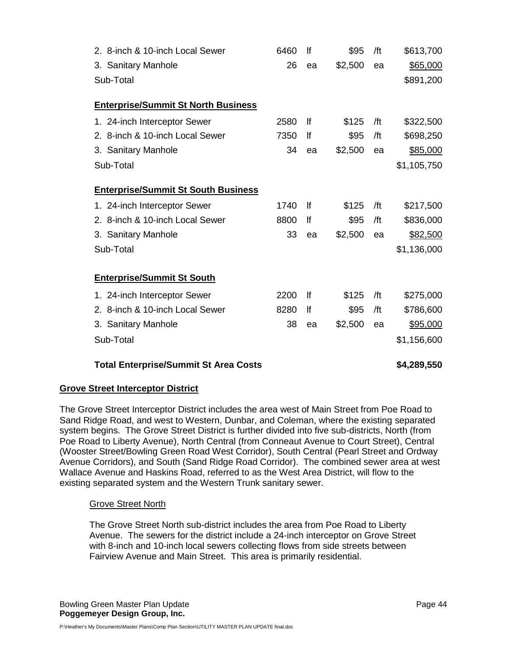| 2. 8-inch & 10-inch Local Sewer              | 6460 | lf | \$95    | /ft | \$613,700   |
|----------------------------------------------|------|----|---------|-----|-------------|
| 3. Sanitary Manhole                          | 26   | ea | \$2,500 | ea  | \$65,000    |
| Sub-Total                                    |      |    |         |     | \$891,200   |
| <b>Enterprise/Summit St North Business</b>   |      |    |         |     |             |
| 1. 24-inch Interceptor Sewer                 | 2580 | lf | \$125   | /ft | \$322,500   |
| 2. 8-inch & 10-inch Local Sewer              | 7350 | lf | \$95    | /ft | \$698,250   |
| 3. Sanitary Manhole                          | 34   | ea | \$2,500 | ea  | \$85,000    |
| Sub-Total                                    |      |    |         |     | \$1,105,750 |
| <b>Enterprise/Summit St South Business</b>   |      |    |         |     |             |
| 1. 24-inch Interceptor Sewer                 | 1740 | lf | \$125   | /ft | \$217,500   |
| 2. 8-inch & 10-inch Local Sewer              | 8800 | lf | \$95    | /ft | \$836,000   |
| 3. Sanitary Manhole                          | 33   | ea | \$2,500 | ea  | \$82,500    |
| Sub-Total                                    |      |    |         |     | \$1,136,000 |
|                                              |      |    |         |     |             |
| <b>Enterprise/Summit St South</b>            |      |    |         |     |             |
| 1. 24-inch Interceptor Sewer                 | 2200 | lf | \$125   | /ft | \$275,000   |
| 2. 8-inch & 10-inch Local Sewer              | 8280 | lf | \$95    | /ft | \$786,600   |
| 3. Sanitary Manhole                          | 38   | ea | \$2,500 | ea  | \$95,000    |
| Sub-Total                                    |      |    |         |     | \$1,156,600 |
| <b>Total Enterprise/Summit St Area Costs</b> |      |    |         |     | \$4,289,550 |

## **Grove Street Interceptor District**

The Grove Street Interceptor District includes the area west of Main Street from Poe Road to Sand Ridge Road, and west to Western, Dunbar, and Coleman, where the existing separated system begins. The Grove Street District is further divided into five sub-districts, North (from Poe Road to Liberty Avenue), North Central (from Conneaut Avenue to Court Street), Central (Wooster Street/Bowling Green Road West Corridor), South Central (Pearl Street and Ordway Avenue Corridors), and South (Sand Ridge Road Corridor). The combined sewer area at west Wallace Avenue and Haskins Road, referred to as the West Area District, will flow to the existing separated system and the Western Trunk sanitary sewer.

## Grove Street North

The Grove Street North sub-district includes the area from Poe Road to Liberty Avenue. The sewers for the district include a 24-inch interceptor on Grove Street with 8-inch and 10-inch local sewers collecting flows from side streets between Fairview Avenue and Main Street. This area is primarily residential.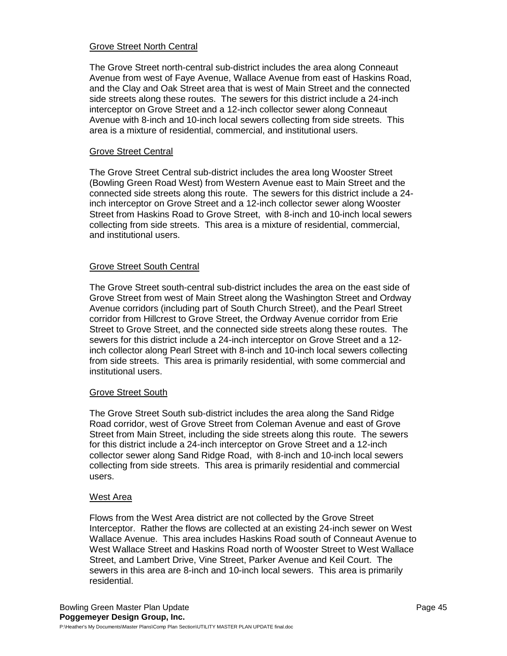## Grove Street North Central

The Grove Street north-central sub-district includes the area along Conneaut Avenue from west of Faye Avenue, Wallace Avenue from east of Haskins Road, and the Clay and Oak Street area that is west of Main Street and the connected side streets along these routes. The sewers for this district include a 24-inch interceptor on Grove Street and a 12-inch collector sewer along Conneaut Avenue with 8-inch and 10-inch local sewers collecting from side streets. This area is a mixture of residential, commercial, and institutional users.

#### Grove Street Central

The Grove Street Central sub-district includes the area long Wooster Street (Bowling Green Road West) from Western Avenue east to Main Street and the connected side streets along this route. The sewers for this district include a 24 inch interceptor on Grove Street and a 12-inch collector sewer along Wooster Street from Haskins Road to Grove Street, with 8-inch and 10-inch local sewers collecting from side streets. This area is a mixture of residential, commercial, and institutional users.

## Grove Street South Central

The Grove Street south-central sub-district includes the area on the east side of Grove Street from west of Main Street along the Washington Street and Ordway Avenue corridors (including part of South Church Street), and the Pearl Street corridor from Hillcrest to Grove Street, the Ordway Avenue corridor from Erie Street to Grove Street, and the connected side streets along these routes. The sewers for this district include a 24-inch interceptor on Grove Street and a 12 inch collector along Pearl Street with 8-inch and 10-inch local sewers collecting from side streets. This area is primarily residential, with some commercial and institutional users.

#### Grove Street South

The Grove Street South sub-district includes the area along the Sand Ridge Road corridor, west of Grove Street from Coleman Avenue and east of Grove Street from Main Street, including the side streets along this route. The sewers for this district include a 24-inch interceptor on Grove Street and a 12-inch collector sewer along Sand Ridge Road, with 8-inch and 10-inch local sewers collecting from side streets. This area is primarily residential and commercial users.

#### West Area

Flows from the West Area district are not collected by the Grove Street Interceptor. Rather the flows are collected at an existing 24-inch sewer on West Wallace Avenue. This area includes Haskins Road south of Conneaut Avenue to West Wallace Street and Haskins Road north of Wooster Street to West Wallace Street, and Lambert Drive, Vine Street, Parker Avenue and Keil Court. The sewers in this area are 8-inch and 10-inch local sewers. This area is primarily residential.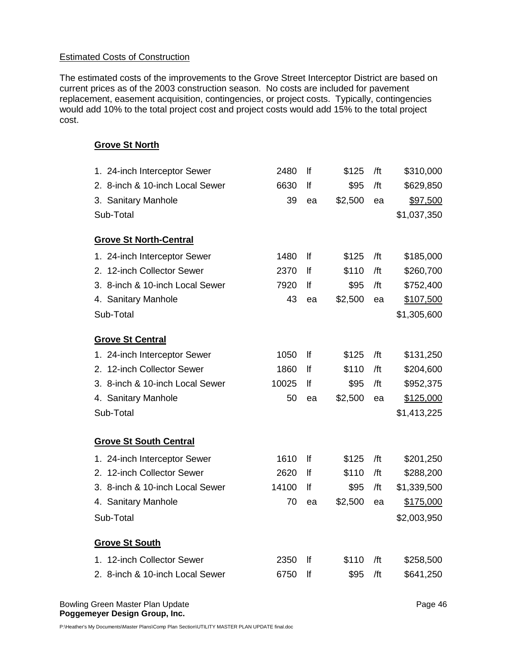## Estimated Costs of Construction

The estimated costs of the improvements to the Grove Street Interceptor District are based on current prices as of the 2003 construction season. No costs are included for pavement replacement, easement acquisition, contingencies, or project costs. Typically, contingencies would add 10% to the total project cost and project costs would add 15% to the total project cost.

## **Grove St North**

| 1. 24-inch Interceptor Sewer    | 2480  | lf | \$125   | /ft | \$310,000   |
|---------------------------------|-------|----|---------|-----|-------------|
| 2. 8-inch & 10-inch Local Sewer | 6630  | lf | \$95    | /ft | \$629,850   |
| 3. Sanitary Manhole             | 39    | ea | \$2,500 | ea  | \$97,500    |
| Sub-Total                       |       |    |         |     | \$1,037,350 |
|                                 |       |    |         |     |             |
| <b>Grove St North-Central</b>   |       |    |         |     |             |
| 1. 24-inch Interceptor Sewer    | 1480  | lf | \$125   | /ft | \$185,000   |
| 2. 12-inch Collector Sewer      | 2370  | lf | \$110   | /ft | \$260,700   |
| 3. 8-inch & 10-inch Local Sewer | 7920  | lf | \$95    | /ft | \$752,400   |
| 4. Sanitary Manhole             | 43    | ea | \$2,500 | ea  | \$107,500   |
| Sub-Total                       |       |    |         |     | \$1,305,600 |
|                                 |       |    |         |     |             |
| <b>Grove St Central</b>         |       |    |         |     |             |
| 1. 24-inch Interceptor Sewer    | 1050  | lf | \$125   | /ft | \$131,250   |
| 2. 12-inch Collector Sewer      | 1860  | lf | \$110   | /ft | \$204,600   |
| 3. 8-inch & 10-inch Local Sewer | 10025 | lf | \$95    | /ft | \$952,375   |
| 4. Sanitary Manhole             | 50    | ea | \$2,500 | ea  | \$125,000   |
| Sub-Total                       |       |    |         |     | \$1,413,225 |
| <b>Grove St South Central</b>   |       |    |         |     |             |
|                                 |       |    |         |     |             |
| 1. 24-inch Interceptor Sewer    | 1610  | If | \$125   | /ft | \$201,250   |
| 2. 12-inch Collector Sewer      | 2620  | lf | \$110   | /ft | \$288,200   |
| 3. 8-inch & 10-inch Local Sewer | 14100 | lf | \$95    | /ft | \$1,339,500 |
| 4. Sanitary Manhole             | 70    | ea | \$2,500 | ea  | \$175,000   |
| Sub-Total                       |       |    |         |     | \$2,003,950 |
| <b>Grove St South</b>           |       |    |         |     |             |
| 1. 12-inch Collector Sewer      | 2350  | lf | \$110   | /ft | \$258,500   |
| 2. 8-inch & 10-inch Local Sewer | 6750  | lf | \$95    | /ft | \$641,250   |
|                                 |       |    |         |     |             |

Bowling Green Master Plan Update **Page 46** and the Page 46 **Poggemeyer Design Group, Inc.**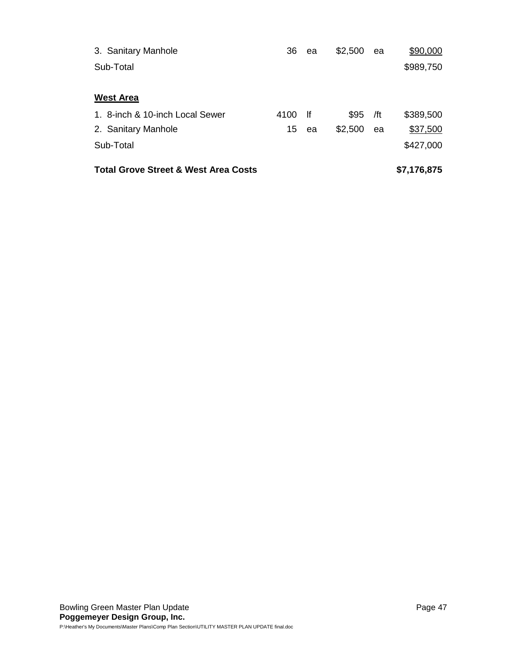| 3. Sanitary Manhole                             | 36   | ea  | \$2,500 | ea  | \$90,000    |
|-------------------------------------------------|------|-----|---------|-----|-------------|
| Sub-Total                                       |      |     |         |     | \$989,750   |
| <b>West Area</b>                                |      |     |         |     |             |
| 1. 8-inch & 10-inch Local Sewer                 | 4100 | -lf | \$95    | /ft | \$389,500   |
| 2. Sanitary Manhole                             | 15   | ea  | \$2,500 | ea  | \$37,500    |
| Sub-Total                                       |      |     |         |     | \$427,000   |
| <b>Total Grove Street &amp; West Area Costs</b> |      |     |         |     | \$7,176,875 |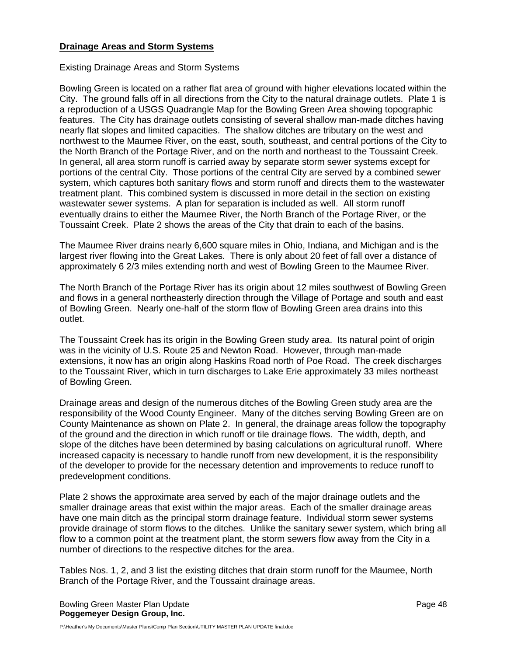## **Drainage Areas and Storm Systems**

## Existing Drainage Areas and Storm Systems

Bowling Green is located on a rather flat area of ground with higher elevations located within the City. The ground falls off in all directions from the City to the natural drainage outlets. Plate 1 is a reproduction of a USGS Quadrangle Map for the Bowling Green Area showing topographic features. The City has drainage outlets consisting of several shallow man-made ditches having nearly flat slopes and limited capacities. The shallow ditches are tributary on the west and northwest to the Maumee River, on the east, south, southeast, and central portions of the City to the North Branch of the Portage River, and on the north and northeast to the Toussaint Creek. In general, all area storm runoff is carried away by separate storm sewer systems except for portions of the central City. Those portions of the central City are served by a combined sewer system, which captures both sanitary flows and storm runoff and directs them to the wastewater treatment plant. This combined system is discussed in more detail in the section on existing wastewater sewer systems. A plan for separation is included as well. All storm runoff eventually drains to either the Maumee River, the North Branch of the Portage River, or the Toussaint Creek. Plate 2 shows the areas of the City that drain to each of the basins.

The Maumee River drains nearly 6,600 square miles in Ohio, Indiana, and Michigan and is the largest river flowing into the Great Lakes. There is only about 20 feet of fall over a distance of approximately 6 2/3 miles extending north and west of Bowling Green to the Maumee River.

The North Branch of the Portage River has its origin about 12 miles southwest of Bowling Green and flows in a general northeasterly direction through the Village of Portage and south and east of Bowling Green. Nearly one-half of the storm flow of Bowling Green area drains into this outlet.

The Toussaint Creek has its origin in the Bowling Green study area. Its natural point of origin was in the vicinity of U.S. Route 25 and Newton Road. However, through man-made extensions, it now has an origin along Haskins Road north of Poe Road. The creek discharges to the Toussaint River, which in turn discharges to Lake Erie approximately 33 miles northeast of Bowling Green.

Drainage areas and design of the numerous ditches of the Bowling Green study area are the responsibility of the Wood County Engineer. Many of the ditches serving Bowling Green are on County Maintenance as shown on Plate 2. In general, the drainage areas follow the topography of the ground and the direction in which runoff or tile drainage flows. The width, depth, and slope of the ditches have been determined by basing calculations on agricultural runoff. Where increased capacity is necessary to handle runoff from new development, it is the responsibility of the developer to provide for the necessary detention and improvements to reduce runoff to predevelopment conditions.

Plate 2 shows the approximate area served by each of the major drainage outlets and the smaller drainage areas that exist within the major areas. Each of the smaller drainage areas have one main ditch as the principal storm drainage feature. Individual storm sewer systems provide drainage of storm flows to the ditches. Unlike the sanitary sewer system, which bring all flow to a common point at the treatment plant, the storm sewers flow away from the City in a number of directions to the respective ditches for the area.

Tables Nos. 1, 2, and 3 list the existing ditches that drain storm runoff for the Maumee, North Branch of the Portage River, and the Toussaint drainage areas.

Bowling Green Master Plan Update **Page 48** and the Page 48 **Poggemeyer Design Group, Inc.**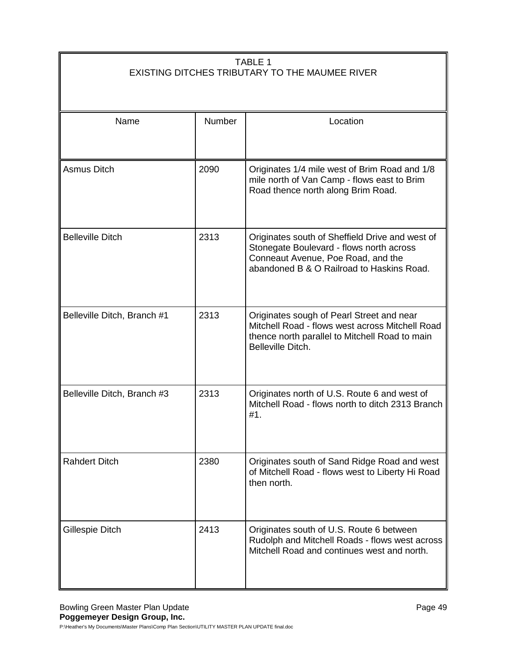# TABLE 1 EXISTING DITCHES TRIBUTARY TO THE MAUMEE RIVER

| Name                        | <b>Number</b> | Location                                                                                                                                                                       |
|-----------------------------|---------------|--------------------------------------------------------------------------------------------------------------------------------------------------------------------------------|
| Asmus Ditch                 | 2090          | Originates 1/4 mile west of Brim Road and 1/8<br>mile north of Van Camp - flows east to Brim<br>Road thence north along Brim Road.                                             |
| <b>Belleville Ditch</b>     | 2313          | Originates south of Sheffield Drive and west of<br>Stonegate Boulevard - flows north across<br>Conneaut Avenue, Poe Road, and the<br>abandoned B & O Railroad to Haskins Road. |
| Belleville Ditch, Branch #1 | 2313          | Originates sough of Pearl Street and near<br>Mitchell Road - flows west across Mitchell Road<br>thence north parallel to Mitchell Road to main<br>Belleville Ditch.            |
| Belleville Ditch, Branch #3 | 2313          | Originates north of U.S. Route 6 and west of<br>Mitchell Road - flows north to ditch 2313 Branch<br>#1.                                                                        |
| <b>Rahdert Ditch</b>        | 2380          | Originates south of Sand Ridge Road and west<br>of Mitchell Road - flows west to Liberty Hi Road<br>then north.                                                                |
| Gillespie Ditch             | 2413          | Originates south of U.S. Route 6 between<br>Rudolph and Mitchell Roads - flows west across<br>Mitchell Road and continues west and north.                                      |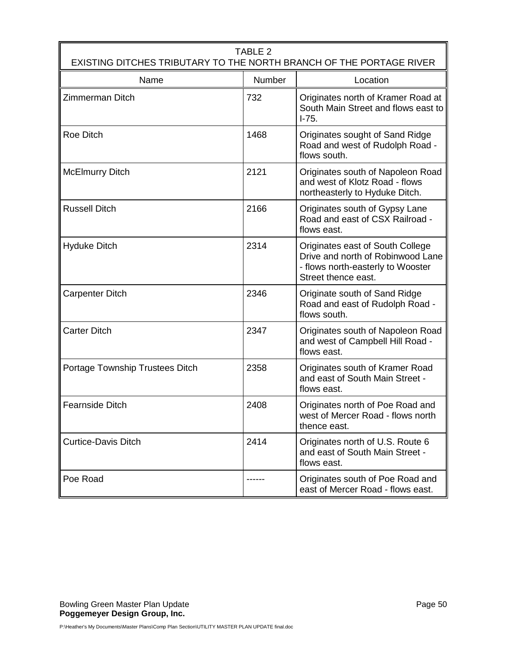| TABLE 2<br>EXISTING DITCHES TRIBUTARY TO THE NORTH BRANCH OF THE PORTAGE RIVER |        |                                                                                                                                   |  |  |  |
|--------------------------------------------------------------------------------|--------|-----------------------------------------------------------------------------------------------------------------------------------|--|--|--|
| Name                                                                           | Number | Location                                                                                                                          |  |  |  |
| <b>Zimmerman Ditch</b>                                                         | 732    | Originates north of Kramer Road at<br>South Main Street and flows east to<br>$1 - 75.$                                            |  |  |  |
| <b>Roe Ditch</b>                                                               | 1468   | Originates sought of Sand Ridge<br>Road and west of Rudolph Road -<br>flows south.                                                |  |  |  |
| <b>McElmurry Ditch</b>                                                         | 2121   | Originates south of Napoleon Road<br>and west of Klotz Road - flows<br>northeasterly to Hyduke Ditch.                             |  |  |  |
| <b>Russell Ditch</b>                                                           | 2166   | Originates south of Gypsy Lane<br>Road and east of CSX Railroad -<br>flows east.                                                  |  |  |  |
| <b>Hyduke Ditch</b>                                                            | 2314   | Originates east of South College<br>Drive and north of Robinwood Lane<br>- flows north-easterly to Wooster<br>Street thence east. |  |  |  |
| Carpenter Ditch                                                                | 2346   | Originate south of Sand Ridge<br>Road and east of Rudolph Road -<br>flows south.                                                  |  |  |  |
| <b>Carter Ditch</b>                                                            | 2347   | Originates south of Napoleon Road<br>and west of Campbell Hill Road -<br>flows east.                                              |  |  |  |
| Portage Township Trustees Ditch                                                | 2358   | Originates south of Kramer Road<br>and east of South Main Street -<br>flows east.                                                 |  |  |  |
| <b>Fearnside Ditch</b>                                                         | 2408   | Originates north of Poe Road and<br>west of Mercer Road - flows north<br>thence east.                                             |  |  |  |
| <b>Curtice-Davis Ditch</b>                                                     | 2414   | Originates north of U.S. Route 6<br>and east of South Main Street -<br>flows east.                                                |  |  |  |
| Poe Road                                                                       |        | Originates south of Poe Road and<br>east of Mercer Road - flows east.                                                             |  |  |  |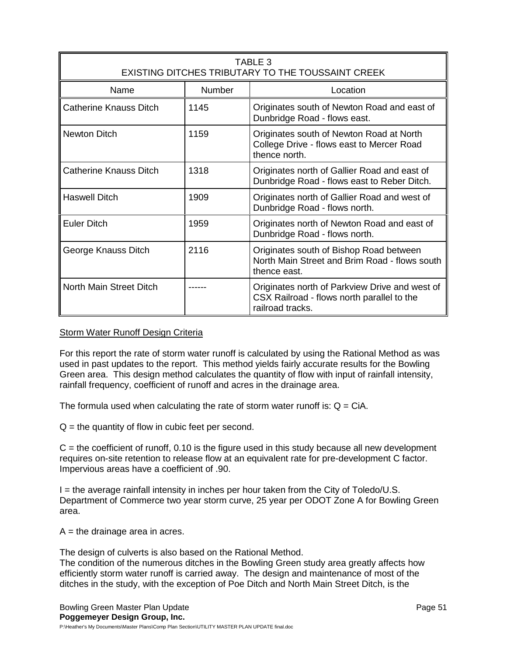| TABLE 3<br>EXISTING DITCHES TRIBUTARY TO THE TOUSSAINT CREEK |               |                                                                                                                  |
|--------------------------------------------------------------|---------------|------------------------------------------------------------------------------------------------------------------|
| Name                                                         | <b>Number</b> | Location                                                                                                         |
| Catherine Knauss Ditch                                       | 1145          | Originates south of Newton Road and east of<br>Dunbridge Road - flows east.                                      |
| <b>Newton Ditch</b>                                          | 1159          | Originates south of Newton Road at North<br>College Drive - flows east to Mercer Road<br>thence north.           |
| <b>Catherine Knauss Ditch</b>                                | 1318          | Originates north of Gallier Road and east of<br>Dunbridge Road - flows east to Reber Ditch.                      |
| <b>Haswell Ditch</b>                                         | 1909          | Originates north of Gallier Road and west of<br>Dunbridge Road - flows north.                                    |
| <b>Euler Ditch</b>                                           | 1959          | Originates north of Newton Road and east of<br>Dunbridge Road - flows north.                                     |
| George Knauss Ditch                                          | 2116          | Originates south of Bishop Road between<br>North Main Street and Brim Road - flows south<br>thence east.         |
| North Main Street Ditch                                      |               | Originates north of Parkview Drive and west of<br>CSX Railroad - flows north parallel to the<br>railroad tracks. |

## Storm Water Runoff Design Criteria

For this report the rate of storm water runoff is calculated by using the Rational Method as was used in past updates to the report. This method yields fairly accurate results for the Bowling Green area. This design method calculates the quantity of flow with input of rainfall intensity, rainfall frequency, coefficient of runoff and acres in the drainage area.

The formula used when calculating the rate of storm water runoff is:  $Q = CIA$ .

 $Q =$  the quantity of flow in cubic feet per second.

 $C =$  the coefficient of runoff, 0.10 is the figure used in this study because all new development requires on-site retention to release flow at an equivalent rate for pre-development C factor. Impervious areas have a coefficient of .90.

I = the average rainfall intensity in inches per hour taken from the City of Toledo/U.S. Department of Commerce two year storm curve, 25 year per ODOT Zone A for Bowling Green area.

 $A =$  the drainage area in acres.

The design of culverts is also based on the Rational Method.

The condition of the numerous ditches in the Bowling Green study area greatly affects how efficiently storm water runoff is carried away. The design and maintenance of most of the ditches in the study, with the exception of Poe Ditch and North Main Street Ditch, is the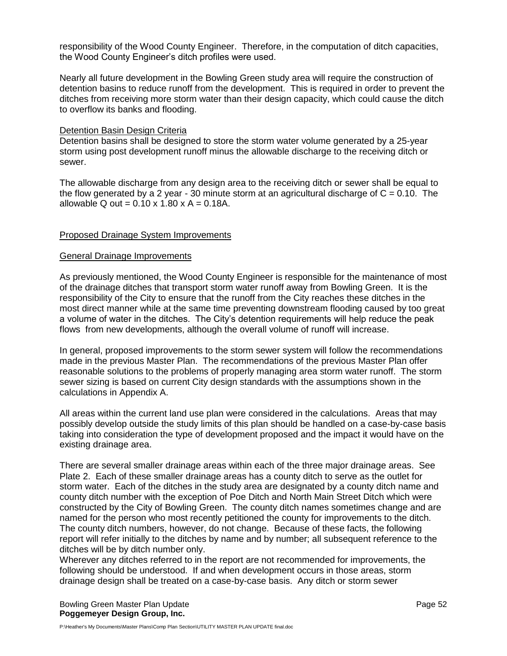responsibility of the Wood County Engineer. Therefore, in the computation of ditch capacities, the Wood County Engineer's ditch profiles were used.

Nearly all future development in the Bowling Green study area will require the construction of detention basins to reduce runoff from the development. This is required in order to prevent the ditches from receiving more storm water than their design capacity, which could cause the ditch to overflow its banks and flooding.

#### Detention Basin Design Criteria

Detention basins shall be designed to store the storm water volume generated by a 25-year storm using post development runoff minus the allowable discharge to the receiving ditch or sewer.

The allowable discharge from any design area to the receiving ditch or sewer shall be equal to the flow generated by a 2 year - 30 minute storm at an agricultural discharge of  $C = 0.10$ . The allowable Q out =  $0.10 \times 1.80 \times A = 0.18A$ .

#### Proposed Drainage System Improvements

#### General Drainage Improvements

As previously mentioned, the Wood County Engineer is responsible for the maintenance of most of the drainage ditches that transport storm water runoff away from Bowling Green. It is the responsibility of the City to ensure that the runoff from the City reaches these ditches in the most direct manner while at the same time preventing downstream flooding caused by too great a volume of water in the ditches. The City's detention requirements will help reduce the peak flows from new developments, although the overall volume of runoff will increase.

In general, proposed improvements to the storm sewer system will follow the recommendations made in the previous Master Plan. The recommendations of the previous Master Plan offer reasonable solutions to the problems of properly managing area storm water runoff. The storm sewer sizing is based on current City design standards with the assumptions shown in the calculations in Appendix A.

All areas within the current land use plan were considered in the calculations. Areas that may possibly develop outside the study limits of this plan should be handled on a case-by-case basis taking into consideration the type of development proposed and the impact it would have on the existing drainage area.

There are several smaller drainage areas within each of the three major drainage areas. See Plate 2. Each of these smaller drainage areas has a county ditch to serve as the outlet for storm water. Each of the ditches in the study area are designated by a county ditch name and county ditch number with the exception of Poe Ditch and North Main Street Ditch which were constructed by the City of Bowling Green. The county ditch names sometimes change and are named for the person who most recently petitioned the county for improvements to the ditch. The county ditch numbers, however, do not change. Because of these facts, the following report will refer initially to the ditches by name and by number; all subsequent reference to the ditches will be by ditch number only.

Wherever any ditches referred to in the report are not recommended for improvements, the following should be understood. If and when development occurs in those areas, storm drainage design shall be treated on a case-by-case basis. Any ditch or storm sewer

Bowling Green Master Plan Update **Page 52 Page 52 Poggemeyer Design Group, Inc.**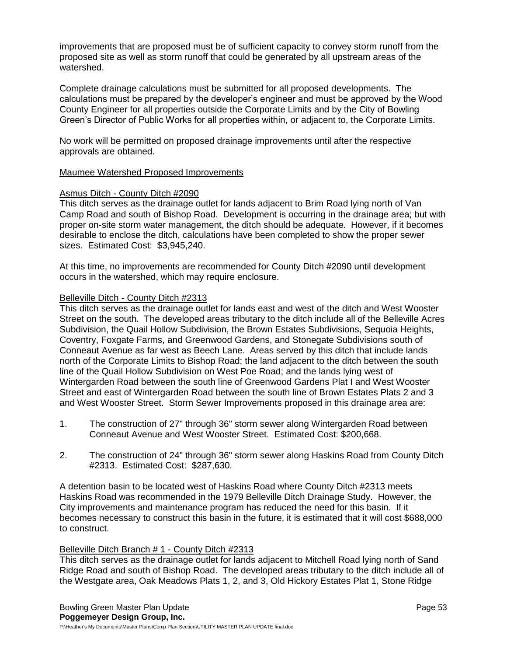improvements that are proposed must be of sufficient capacity to convey storm runoff from the proposed site as well as storm runoff that could be generated by all upstream areas of the watershed.

Complete drainage calculations must be submitted for all proposed developments. The calculations must be prepared by the developer's engineer and must be approved by the Wood County Engineer for all properties outside the Corporate Limits and by the City of Bowling Green's Director of Public Works for all properties within, or adjacent to, the Corporate Limits.

No work will be permitted on proposed drainage improvements until after the respective approvals are obtained.

## Maumee Watershed Proposed Improvements

## Asmus Ditch - County Ditch #2090

This ditch serves as the drainage outlet for lands adjacent to Brim Road lying north of Van Camp Road and south of Bishop Road. Development is occurring in the drainage area; but with proper on-site storm water management, the ditch should be adequate. However, if it becomes desirable to enclose the ditch, calculations have been completed to show the proper sewer sizes. Estimated Cost: \$3,945,240.

At this time, no improvements are recommended for County Ditch #2090 until development occurs in the watershed, which may require enclosure.

#### Belleville Ditch - County Ditch #2313

This ditch serves as the drainage outlet for lands east and west of the ditch and West Wooster Street on the south. The developed areas tributary to the ditch include all of the Belleville Acres Subdivision, the Quail Hollow Subdivision, the Brown Estates Subdivisions, Sequoia Heights, Coventry, Foxgate Farms, and Greenwood Gardens, and Stonegate Subdivisions south of Conneaut Avenue as far west as Beech Lane. Areas served by this ditch that include lands north of the Corporate Limits to Bishop Road; the land adjacent to the ditch between the south line of the Quail Hollow Subdivision on West Poe Road; and the lands lying west of Wintergarden Road between the south line of Greenwood Gardens Plat I and West Wooster Street and east of Wintergarden Road between the south line of Brown Estates Plats 2 and 3 and West Wooster Street. Storm Sewer Improvements proposed in this drainage area are:

- 1. The construction of 27" through 36" storm sewer along Wintergarden Road between Conneaut Avenue and West Wooster Street. Estimated Cost: \$200,668.
- 2. The construction of 24" through 36" storm sewer along Haskins Road from County Ditch #2313. Estimated Cost: \$287,630.

A detention basin to be located west of Haskins Road where County Ditch #2313 meets Haskins Road was recommended in the 1979 Belleville Ditch Drainage Study. However, the City improvements and maintenance program has reduced the need for this basin. If it becomes necessary to construct this basin in the future, it is estimated that it will cost \$688,000 to construct.

## Belleville Ditch Branch # 1 - County Ditch #2313

This ditch serves as the drainage outlet for lands adjacent to Mitchell Road lying north of Sand Ridge Road and south of Bishop Road. The developed areas tributary to the ditch include all of the Westgate area, Oak Meadows Plats 1, 2, and 3, Old Hickory Estates Plat 1, Stone Ridge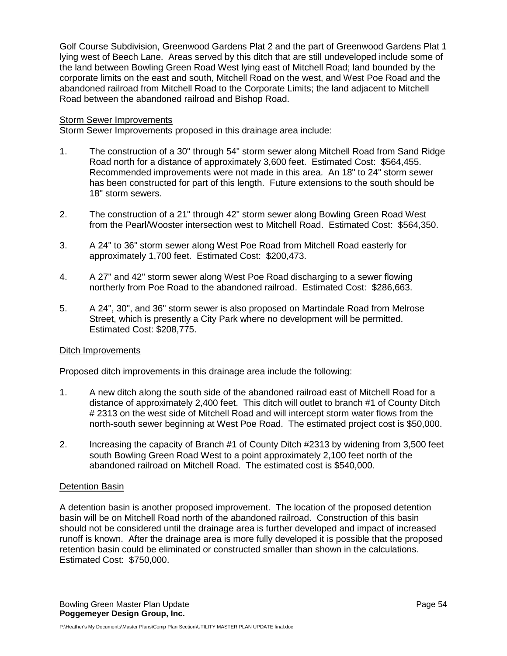Golf Course Subdivision, Greenwood Gardens Plat 2 and the part of Greenwood Gardens Plat 1 lying west of Beech Lane. Areas served by this ditch that are still undeveloped include some of the land between Bowling Green Road West lying east of Mitchell Road; land bounded by the corporate limits on the east and south, Mitchell Road on the west, and West Poe Road and the abandoned railroad from Mitchell Road to the Corporate Limits; the land adjacent to Mitchell Road between the abandoned railroad and Bishop Road.

## Storm Sewer Improvements

Storm Sewer Improvements proposed in this drainage area include:

- 1. The construction of a 30" through 54" storm sewer along Mitchell Road from Sand Ridge Road north for a distance of approximately 3,600 feet. Estimated Cost: \$564,455. Recommended improvements were not made in this area. An 18" to 24" storm sewer has been constructed for part of this length. Future extensions to the south should be 18" storm sewers.
- 2. The construction of a 21" through 42" storm sewer along Bowling Green Road West from the Pearl/Wooster intersection west to Mitchell Road. Estimated Cost: \$564,350.
- 3. A 24" to 36" storm sewer along West Poe Road from Mitchell Road easterly for approximately 1,700 feet. Estimated Cost: \$200,473.
- 4. A 27" and 42" storm sewer along West Poe Road discharging to a sewer flowing northerly from Poe Road to the abandoned railroad. Estimated Cost: \$286,663.
- 5. A 24", 30", and 36" storm sewer is also proposed on Martindale Road from Melrose Street, which is presently a City Park where no development will be permitted. Estimated Cost: \$208,775.

## Ditch Improvements

Proposed ditch improvements in this drainage area include the following:

- 1. A new ditch along the south side of the abandoned railroad east of Mitchell Road for a distance of approximately 2,400 feet. This ditch will outlet to branch #1 of County Ditch # 2313 on the west side of Mitchell Road and will intercept storm water flows from the north-south sewer beginning at West Poe Road. The estimated project cost is \$50,000.
- 2. Increasing the capacity of Branch #1 of County Ditch #2313 by widening from 3,500 feet south Bowling Green Road West to a point approximately 2,100 feet north of the abandoned railroad on Mitchell Road. The estimated cost is \$540,000.

## Detention Basin

A detention basin is another proposed improvement. The location of the proposed detention basin will be on Mitchell Road north of the abandoned railroad. Construction of this basin should not be considered until the drainage area is further developed and impact of increased runoff is known. After the drainage area is more fully developed it is possible that the proposed retention basin could be eliminated or constructed smaller than shown in the calculations. Estimated Cost: \$750,000.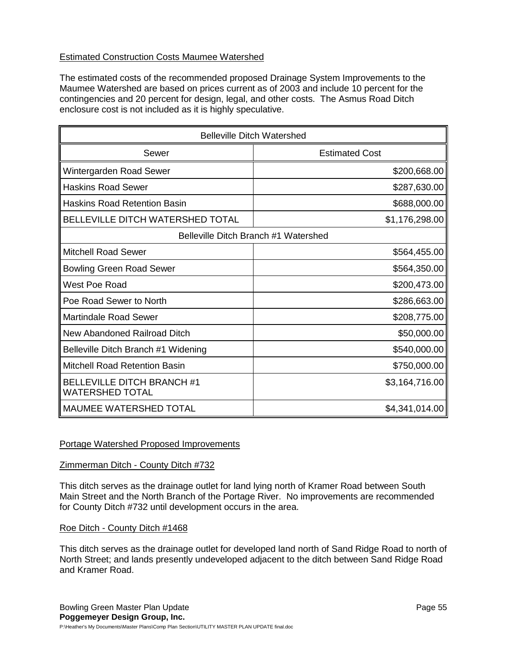## Estimated Construction Costs Maumee Watershed

The estimated costs of the recommended proposed Drainage System Improvements to the Maumee Watershed are based on prices current as of 2003 and include 10 percent for the contingencies and 20 percent for design, legal, and other costs. The Asmus Road Ditch enclosure cost is not included as it is highly speculative.

| <b>Belleville Ditch Watershed</b>                           |                       |
|-------------------------------------------------------------|-----------------------|
| Sewer                                                       | <b>Estimated Cost</b> |
| Wintergarden Road Sewer                                     | \$200,668.00          |
| <b>Haskins Road Sewer</b>                                   | \$287,630.00          |
| <b>Haskins Road Retention Basin</b>                         | \$688,000.00          |
| <b>BELLEVILLE DITCH WATERSHED TOTAL</b>                     | \$1,176,298.00        |
| Belleville Ditch Branch #1 Watershed                        |                       |
| <b>Mitchell Road Sewer</b>                                  | \$564,455.00          |
| <b>Bowling Green Road Sewer</b>                             | \$564,350.00          |
| West Poe Road                                               | \$200,473.00          |
| Poe Road Sewer to North                                     | \$286,663.00          |
| <b>Martindale Road Sewer</b>                                | \$208,775.00          |
| New Abandoned Railroad Ditch                                | \$50,000.00           |
| Belleville Ditch Branch #1 Widening                         | \$540,000.00          |
| Mitchell Road Retention Basin                               | \$750,000.00          |
| <b>BELLEVILLE DITCH BRANCH #1</b><br><b>WATERSHED TOTAL</b> | \$3,164,716.00        |
| <b>MAUMEE WATERSHED TOTAL</b>                               | \$4,341,014.00        |

## Portage Watershed Proposed Improvements

## Zimmerman Ditch - County Ditch #732

This ditch serves as the drainage outlet for land lying north of Kramer Road between South Main Street and the North Branch of the Portage River. No improvements are recommended for County Ditch #732 until development occurs in the area.

## Roe Ditch - County Ditch #1468

This ditch serves as the drainage outlet for developed land north of Sand Ridge Road to north of North Street; and lands presently undeveloped adjacent to the ditch between Sand Ridge Road and Kramer Road.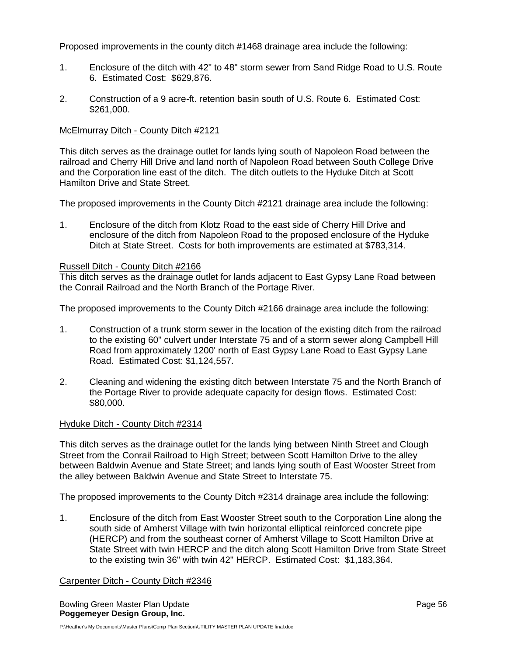Proposed improvements in the county ditch #1468 drainage area include the following:

- 1. Enclosure of the ditch with 42" to 48" storm sewer from Sand Ridge Road to U.S. Route 6. Estimated Cost: \$629,876.
- 2. Construction of a 9 acre-ft. retention basin south of U.S. Route 6. Estimated Cost: \$261,000.

#### McElmurray Ditch - County Ditch #2121

This ditch serves as the drainage outlet for lands lying south of Napoleon Road between the railroad and Cherry Hill Drive and land north of Napoleon Road between South College Drive and the Corporation line east of the ditch. The ditch outlets to the Hyduke Ditch at Scott Hamilton Drive and State Street.

The proposed improvements in the County Ditch #2121 drainage area include the following:

1. Enclosure of the ditch from Klotz Road to the east side of Cherry Hill Drive and enclosure of the ditch from Napoleon Road to the proposed enclosure of the Hyduke Ditch at State Street. Costs for both improvements are estimated at \$783,314.

#### Russell Ditch - County Ditch #2166

This ditch serves as the drainage outlet for lands adjacent to East Gypsy Lane Road between the Conrail Railroad and the North Branch of the Portage River.

The proposed improvements to the County Ditch #2166 drainage area include the following:

- 1. Construction of a trunk storm sewer in the location of the existing ditch from the railroad to the existing 60" culvert under Interstate 75 and of a storm sewer along Campbell Hill Road from approximately 1200' north of East Gypsy Lane Road to East Gypsy Lane Road. Estimated Cost: \$1,124,557.
- 2. Cleaning and widening the existing ditch between Interstate 75 and the North Branch of the Portage River to provide adequate capacity for design flows. Estimated Cost: \$80,000.

## Hyduke Ditch - County Ditch #2314

This ditch serves as the drainage outlet for the lands lying between Ninth Street and Clough Street from the Conrail Railroad to High Street; between Scott Hamilton Drive to the alley between Baldwin Avenue and State Street; and lands lying south of East Wooster Street from the alley between Baldwin Avenue and State Street to Interstate 75.

The proposed improvements to the County Ditch #2314 drainage area include the following:

1. Enclosure of the ditch from East Wooster Street south to the Corporation Line along the south side of Amherst Village with twin horizontal elliptical reinforced concrete pipe (HERCP) and from the southeast corner of Amherst Village to Scott Hamilton Drive at State Street with twin HERCP and the ditch along Scott Hamilton Drive from State Street to the existing twin 36" with twin 42" HERCP. Estimated Cost: \$1,183,364.

#### Carpenter Ditch - County Ditch #2346

Bowling Green Master Plan Update **Page 56** and the Page 56 and the Page 56 and the Page 56 and the Page 56 and the Page 56 and the Page 56 and the Page 56 and the Page 56 and the Page 56 and the Page 10 and the Page 10 and **Poggemeyer Design Group, Inc.**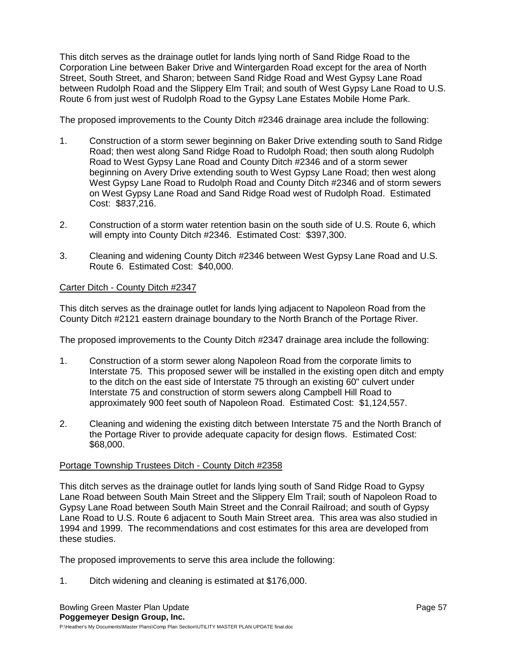This ditch serves as the drainage outlet for lands lying north of Sand Ridge Road to the Corporation Line between Baker Drive and Wintergarden Road except for the area of North Street, South Street, and Sharon; between Sand Ridge Road and West Gypsy Lane Road between Rudolph Road and the Slippery Elm Trail; and south of West Gypsy Lane Road to U.S. Route 6 from just west of Rudolph Road to the Gypsy Lane Estates Mobile Home Park.

The proposed improvements to the County Ditch #2346 drainage area include the following:

- 1. Construction of a storm sewer beginning on Baker Drive extending south to Sand Ridge Road; then west along Sand Ridge Road to Rudolph Road; then south along Rudolph Road to West Gypsy Lane Road and County Ditch #2346 and of a storm sewer beginning on Avery Drive extending south to West Gypsy Lane Road; then west along West Gypsy Lane Road to Rudolph Road and County Ditch #2346 and of storm sewers on West Gypsy Lane Road and Sand Ridge Road west of Rudolph Road. Estimated Cost: \$837,216.
- 2. Construction of a storm water retention basin on the south side of U.S. Route 6, which will empty into County Ditch #2346. Estimated Cost: \$397,300.
- 3. Cleaning and widening County Ditch #2346 between West Gypsy Lane Road and U.S. Route 6. Estimated Cost: \$40,000.

## Carter Ditch - County Ditch #2347

This ditch serves as the drainage outlet for lands lying adjacent to Napoleon Road from the County Ditch #2121 eastern drainage boundary to the North Branch of the Portage River.

The proposed improvements to the County Ditch #2347 drainage area include the following:

- 1. Construction of a storm sewer along Napoleon Road from the corporate limits to Interstate 75. This proposed sewer will be installed in the existing open ditch and empty to the ditch on the east side of Interstate 75 through an existing 60" culvert under Interstate 75 and construction of storm sewers along Campbell Hill Road to approximately 900 feet south of Napoleon Road. Estimated Cost: \$1,124,557.
- 2. Cleaning and widening the existing ditch between Interstate 75 and the North Branch of the Portage River to provide adequate capacity for design flows. Estimated Cost: \$68,000.

## Portage Township Trustees Ditch - County Ditch #2358

This ditch serves as the drainage outlet for lands lying south of Sand Ridge Road to Gypsy Lane Road between South Main Street and the Slippery Elm Trail; south of Napoleon Road to Gypsy Lane Road between South Main Street and the Conrail Railroad; and south of Gypsy Lane Road to U.S. Route 6 adjacent to South Main Street area. This area was also studied in 1994 and 1999. The recommendations and cost estimates for this area are developed from these studies.

The proposed improvements to serve this area include the following:

1. Ditch widening and cleaning is estimated at \$176,000.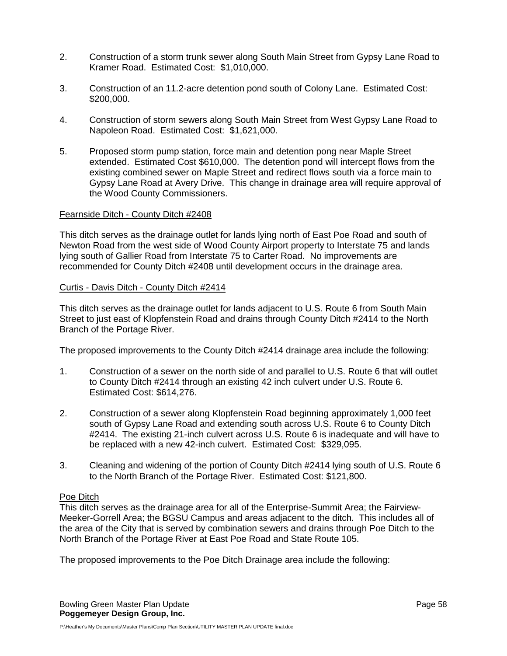- 2. Construction of a storm trunk sewer along South Main Street from Gypsy Lane Road to Kramer Road. Estimated Cost: \$1,010,000.
- 3. Construction of an 11.2-acre detention pond south of Colony Lane. Estimated Cost: \$200,000.
- 4. Construction of storm sewers along South Main Street from West Gypsy Lane Road to Napoleon Road. Estimated Cost: \$1,621,000.
- 5. Proposed storm pump station, force main and detention pong near Maple Street extended. Estimated Cost \$610,000. The detention pond will intercept flows from the existing combined sewer on Maple Street and redirect flows south via a force main to Gypsy Lane Road at Avery Drive. This change in drainage area will require approval of the Wood County Commissioners.

#### Fearnside Ditch - County Ditch #2408

This ditch serves as the drainage outlet for lands lying north of East Poe Road and south of Newton Road from the west side of Wood County Airport property to Interstate 75 and lands lying south of Gallier Road from Interstate 75 to Carter Road. No improvements are recommended for County Ditch #2408 until development occurs in the drainage area.

#### Curtis - Davis Ditch - County Ditch #2414

This ditch serves as the drainage outlet for lands adjacent to U.S. Route 6 from South Main Street to just east of Klopfenstein Road and drains through County Ditch #2414 to the North Branch of the Portage River.

The proposed improvements to the County Ditch #2414 drainage area include the following:

- 1. Construction of a sewer on the north side of and parallel to U.S. Route 6 that will outlet to County Ditch #2414 through an existing 42 inch culvert under U.S. Route 6. Estimated Cost: \$614,276.
- 2. Construction of a sewer along Klopfenstein Road beginning approximately 1,000 feet south of Gypsy Lane Road and extending south across U.S. Route 6 to County Ditch #2414. The existing 21-inch culvert across U.S. Route 6 is inadequate and will have to be replaced with a new 42-inch culvert. Estimated Cost: \$329,095.
- 3. Cleaning and widening of the portion of County Ditch #2414 lying south of U.S. Route 6 to the North Branch of the Portage River. Estimated Cost: \$121,800.

#### Poe Ditch

This ditch serves as the drainage area for all of the Enterprise-Summit Area; the Fairview-Meeker-Gorrell Area; the BGSU Campus and areas adjacent to the ditch. This includes all of the area of the City that is served by combination sewers and drains through Poe Ditch to the North Branch of the Portage River at East Poe Road and State Route 105.

The proposed improvements to the Poe Ditch Drainage area include the following: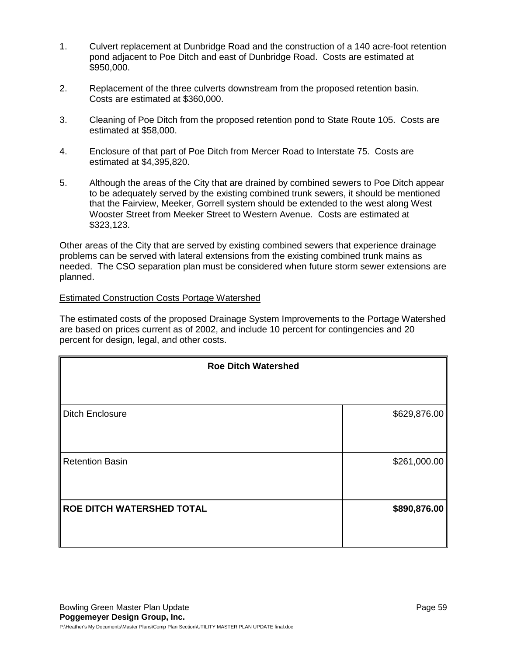- 1. Culvert replacement at Dunbridge Road and the construction of a 140 acre-foot retention pond adjacent to Poe Ditch and east of Dunbridge Road. Costs are estimated at \$950,000.
- 2. Replacement of the three culverts downstream from the proposed retention basin. Costs are estimated at \$360,000.
- 3. Cleaning of Poe Ditch from the proposed retention pond to State Route 105. Costs are estimated at \$58,000.
- 4. Enclosure of that part of Poe Ditch from Mercer Road to Interstate 75. Costs are estimated at \$4,395,820.
- 5. Although the areas of the City that are drained by combined sewers to Poe Ditch appear to be adequately served by the existing combined trunk sewers, it should be mentioned that the Fairview, Meeker, Gorrell system should be extended to the west along West Wooster Street from Meeker Street to Western Avenue. Costs are estimated at \$323,123.

Other areas of the City that are served by existing combined sewers that experience drainage problems can be served with lateral extensions from the existing combined trunk mains as needed. The CSO separation plan must be considered when future storm sewer extensions are planned.

## Estimated Construction Costs Portage Watershed

The estimated costs of the proposed Drainage System Improvements to the Portage Watershed are based on prices current as of 2002, and include 10 percent for contingencies and 20 percent for design, legal, and other costs.

| <b>Roe Ditch Watershed</b> |              |
|----------------------------|--------------|
|                            |              |
| <b>Ditch Enclosure</b>     | \$629,876.00 |
|                            |              |
| <b>Retention Basin</b>     | \$261,000.00 |
|                            |              |
| ROE DITCH WATERSHED TOTAL  | \$890,876.00 |
|                            |              |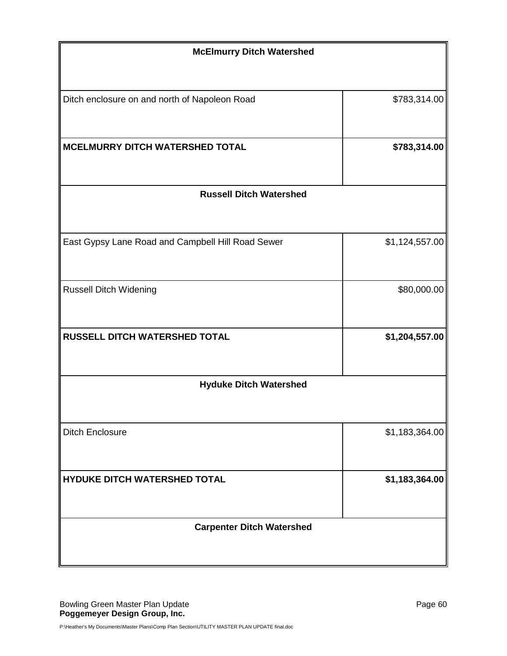| <b>McElmurry Ditch Watershed</b>                  |                |
|---------------------------------------------------|----------------|
| Ditch enclosure on and north of Napoleon Road     | \$783,314.00   |
| MCELMURRY DITCH WATERSHED TOTAL                   | \$783,314.00   |
| <b>Russell Ditch Watershed</b>                    |                |
| East Gypsy Lane Road and Campbell Hill Road Sewer | \$1,124,557.00 |
| <b>Russell Ditch Widening</b>                     | \$80,000.00    |
| <b>RUSSELL DITCH WATERSHED TOTAL</b>              | \$1,204,557.00 |
| <b>Hyduke Ditch Watershed</b>                     |                |
| <b>Ditch Enclosure</b>                            | \$1,183,364.00 |
| HYDUKE DITCH WATERSHED TOTAL                      | \$1,183,364.00 |
| <b>Carpenter Ditch Watershed</b>                  |                |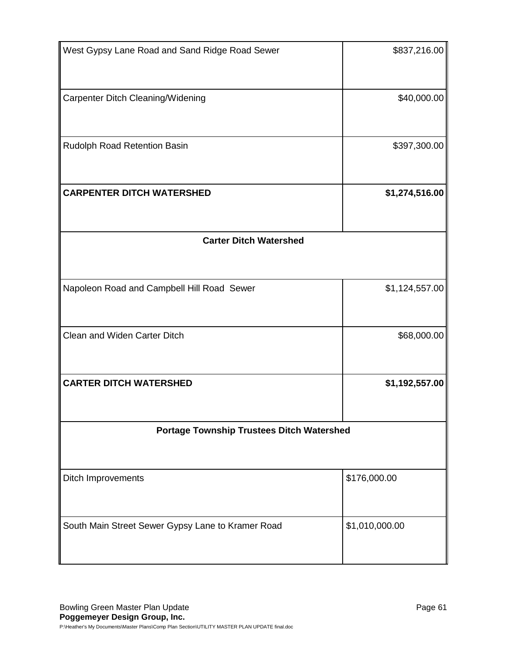| West Gypsy Lane Road and Sand Ridge Road Sewer    | \$837,216.00   |
|---------------------------------------------------|----------------|
| Carpenter Ditch Cleaning/Widening                 | \$40,000.00    |
| Rudolph Road Retention Basin                      | \$397,300.00   |
| <b>CARPENTER DITCH WATERSHED</b>                  | \$1,274,516.00 |
| <b>Carter Ditch Watershed</b>                     |                |
|                                                   |                |
| Napoleon Road and Campbell Hill Road Sewer        | \$1,124,557.00 |
| Clean and Widen Carter Ditch                      | \$68,000.00    |
| <b>CARTER DITCH WATERSHED</b>                     | \$1,192,557.00 |
| <b>Portage Township Trustees Ditch Watershed</b>  |                |
|                                                   |                |
| <b>Ditch Improvements</b>                         | \$176,000.00   |
| South Main Street Sewer Gypsy Lane to Kramer Road | \$1,010,000.00 |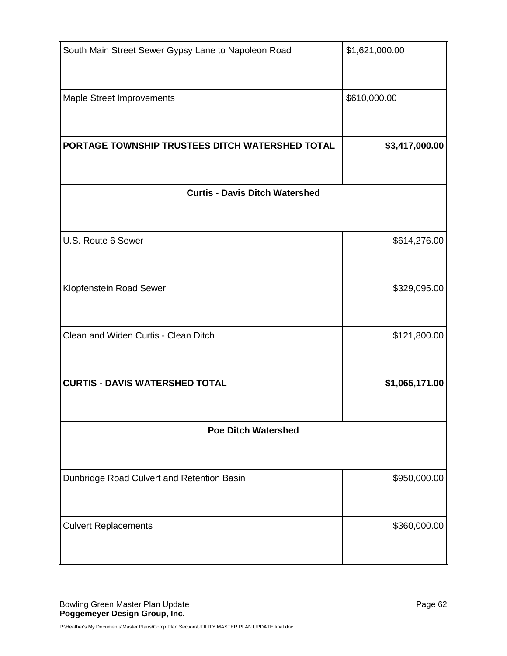| South Main Street Sewer Gypsy Lane to Napoleon Road | \$1,621,000.00 |
|-----------------------------------------------------|----------------|
| Maple Street Improvements                           | \$610,000.00   |
| PORTAGE TOWNSHIP TRUSTEES DITCH WATERSHED TOTAL     | \$3,417,000.00 |
| <b>Curtis - Davis Ditch Watershed</b>               |                |
|                                                     |                |
| U.S. Route 6 Sewer                                  | \$614,276.00   |
| Klopfenstein Road Sewer                             | \$329,095.00   |
| Clean and Widen Curtis - Clean Ditch                | \$121,800.00   |
| <b>CURTIS - DAVIS WATERSHED TOTAL</b>               | \$1,065,171.00 |
| <b>Poe Ditch Watershed</b>                          |                |
|                                                     |                |
| Dunbridge Road Culvert and Retention Basin          | \$950,000.00   |
| <b>Culvert Replacements</b>                         | \$360,000.00   |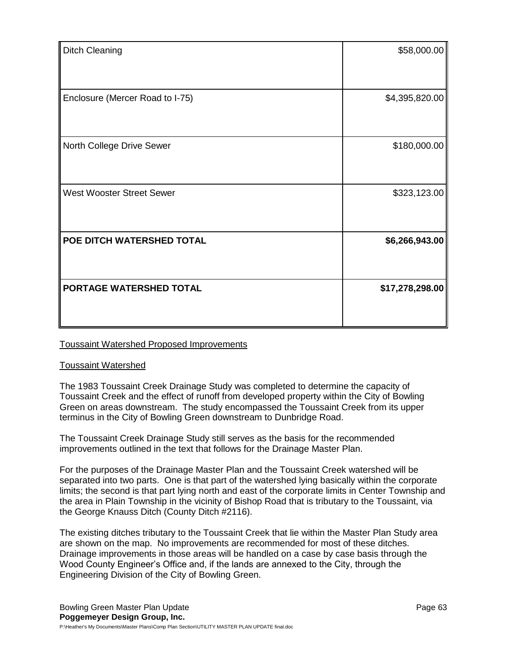| <b>Ditch Cleaning</b>            | \$58,000.00     |
|----------------------------------|-----------------|
|                                  |                 |
| Enclosure (Mercer Road to I-75)  | \$4,395,820.00  |
| North College Drive Sewer        | \$180,000.00    |
| <b>West Wooster Street Sewer</b> | \$323,123.00    |
| POE DITCH WATERSHED TOTAL        | \$6,266,943.00  |
| PORTAGE WATERSHED TOTAL          | \$17,278,298.00 |

## Toussaint Watershed Proposed Improvements

## Toussaint Watershed

The 1983 Toussaint Creek Drainage Study was completed to determine the capacity of Toussaint Creek and the effect of runoff from developed property within the City of Bowling Green on areas downstream. The study encompassed the Toussaint Creek from its upper terminus in the City of Bowling Green downstream to Dunbridge Road.

The Toussaint Creek Drainage Study still serves as the basis for the recommended improvements outlined in the text that follows for the Drainage Master Plan.

For the purposes of the Drainage Master Plan and the Toussaint Creek watershed will be separated into two parts. One is that part of the watershed lying basically within the corporate limits; the second is that part lying north and east of the corporate limits in Center Township and the area in Plain Township in the vicinity of Bishop Road that is tributary to the Toussaint, via the George Knauss Ditch (County Ditch #2116).

The existing ditches tributary to the Toussaint Creek that lie within the Master Plan Study area are shown on the map. No improvements are recommended for most of these ditches. Drainage improvements in those areas will be handled on a case by case basis through the Wood County Engineer's Office and, if the lands are annexed to the City, through the Engineering Division of the City of Bowling Green.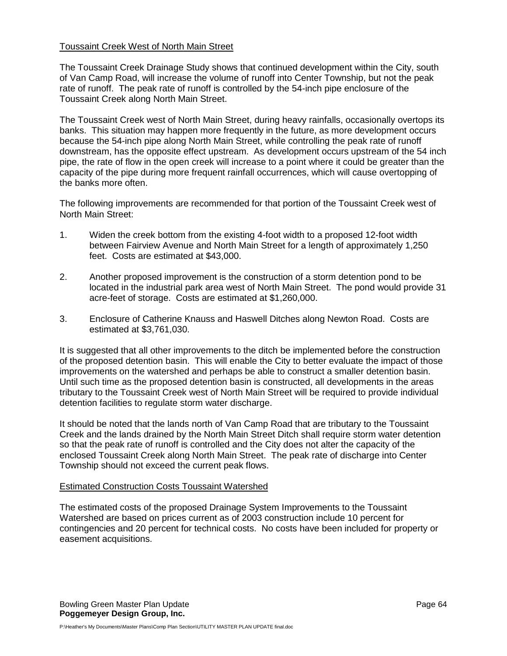## Toussaint Creek West of North Main Street

The Toussaint Creek Drainage Study shows that continued development within the City, south of Van Camp Road, will increase the volume of runoff into Center Township, but not the peak rate of runoff. The peak rate of runoff is controlled by the 54-inch pipe enclosure of the Toussaint Creek along North Main Street.

The Toussaint Creek west of North Main Street, during heavy rainfalls, occasionally overtops its banks. This situation may happen more frequently in the future, as more development occurs because the 54-inch pipe along North Main Street, while controlling the peak rate of runoff downstream, has the opposite effect upstream. As development occurs upstream of the 54 inch pipe, the rate of flow in the open creek will increase to a point where it could be greater than the capacity of the pipe during more frequent rainfall occurrences, which will cause overtopping of the banks more often.

The following improvements are recommended for that portion of the Toussaint Creek west of North Main Street:

- 1. Widen the creek bottom from the existing 4-foot width to a proposed 12-foot width between Fairview Avenue and North Main Street for a length of approximately 1,250 feet. Costs are estimated at \$43,000.
- 2. Another proposed improvement is the construction of a storm detention pond to be located in the industrial park area west of North Main Street. The pond would provide 31 acre-feet of storage. Costs are estimated at \$1,260,000.
- 3. Enclosure of Catherine Knauss and Haswell Ditches along Newton Road. Costs are estimated at \$3,761,030.

It is suggested that all other improvements to the ditch be implemented before the construction of the proposed detention basin. This will enable the City to better evaluate the impact of those improvements on the watershed and perhaps be able to construct a smaller detention basin. Until such time as the proposed detention basin is constructed, all developments in the areas tributary to the Toussaint Creek west of North Main Street will be required to provide individual detention facilities to regulate storm water discharge.

It should be noted that the lands north of Van Camp Road that are tributary to the Toussaint Creek and the lands drained by the North Main Street Ditch shall require storm water detention so that the peak rate of runoff is controlled and the City does not alter the capacity of the enclosed Toussaint Creek along North Main Street. The peak rate of discharge into Center Township should not exceed the current peak flows.

## Estimated Construction Costs Toussaint Watershed

The estimated costs of the proposed Drainage System Improvements to the Toussaint Watershed are based on prices current as of 2003 construction include 10 percent for contingencies and 20 percent for technical costs. No costs have been included for property or easement acquisitions.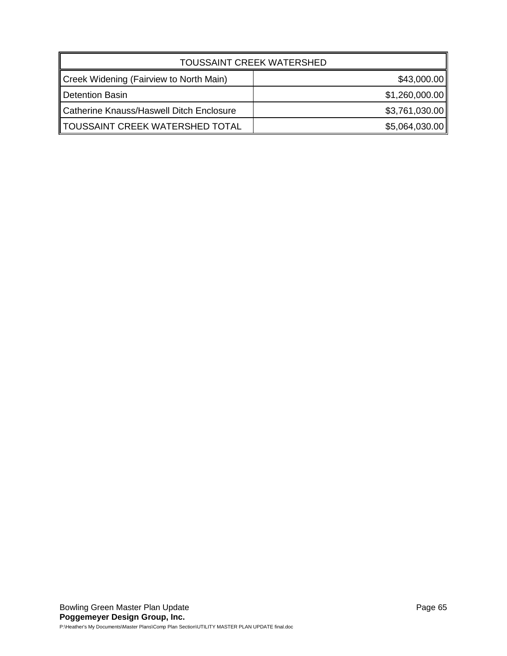| <b>TOUSSAINT CREEK WATERSHED</b>         |                |  |
|------------------------------------------|----------------|--|
| Creek Widening (Fairview to North Main)  | \$43,000.00    |  |
| Detention Basin                          | \$1,260,000.00 |  |
| Catherine Knauss/Haswell Ditch Enclosure | \$3,761,030.00 |  |
| TOUSSAINT CREEK WATERSHED TOTAL          | \$5,064,030.00 |  |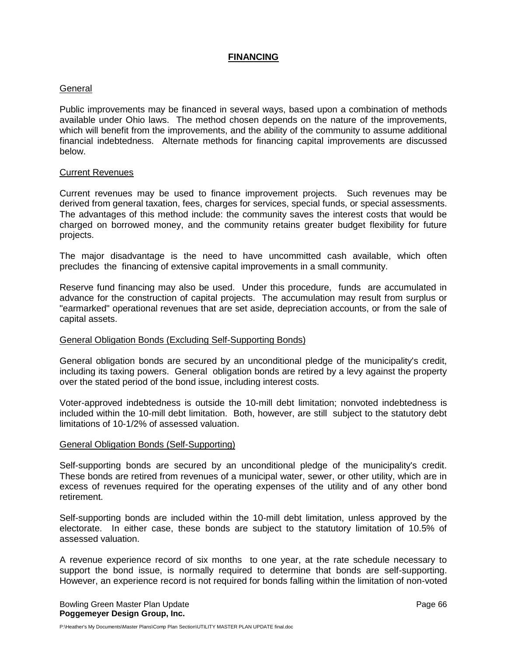## **FINANCING**

## General

Public improvements may be financed in several ways, based upon a combination of methods available under Ohio laws. The method chosen depends on the nature of the improvements, which will benefit from the improvements, and the ability of the community to assume additional financial indebtedness. Alternate methods for financing capital improvements are discussed below.

#### Current Revenues

Current revenues may be used to finance improvement projects. Such revenues may be derived from general taxation, fees, charges for services, special funds, or special assessments. The advantages of this method include: the community saves the interest costs that would be charged on borrowed money, and the community retains greater budget flexibility for future projects.

The major disadvantage is the need to have uncommitted cash available, which often precludes the financing of extensive capital improvements in a small community.

Reserve fund financing may also be used. Under this procedure, funds are accumulated in advance for the construction of capital projects. The accumulation may result from surplus or "earmarked" operational revenues that are set aside, depreciation accounts, or from the sale of capital assets.

## General Obligation Bonds (Excluding Self-Supporting Bonds)

General obligation bonds are secured by an unconditional pledge of the municipality's credit, including its taxing powers. General obligation bonds are retired by a levy against the property over the stated period of the bond issue, including interest costs.

Voter-approved indebtedness is outside the 10-mill debt limitation; nonvoted indebtedness is included within the 10-mill debt limitation. Both, however, are still subject to the statutory debt limitations of 10-1/2% of assessed valuation.

#### General Obligation Bonds (Self-Supporting)

Self-supporting bonds are secured by an unconditional pledge of the municipality's credit. These bonds are retired from revenues of a municipal water, sewer, or other utility, which are in excess of revenues required for the operating expenses of the utility and of any other bond retirement.

Self-supporting bonds are included within the 10-mill debt limitation, unless approved by the electorate. In either case, these bonds are subject to the statutory limitation of 10.5% of assessed valuation.

A revenue experience record of six months to one year, at the rate schedule necessary to support the bond issue, is normally required to determine that bonds are self-supporting. However, an experience record is not required for bonds falling within the limitation of non-voted

Bowling Green Master Plan Update **Page 66** and the Page 66 and the Page 66 and the Page 66 and the Page 86 and the Page 86 and the Page 86 and the Page 86 and the Page 86 and the Page 86 and the Page 86 and the Page 86 and **Poggemeyer Design Group, Inc.**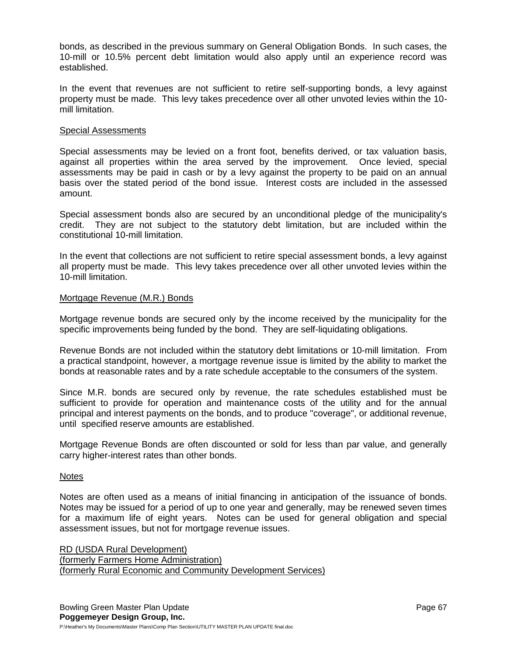bonds, as described in the previous summary on General Obligation Bonds. In such cases, the 10-mill or 10.5% percent debt limitation would also apply until an experience record was established.

In the event that revenues are not sufficient to retire self-supporting bonds, a levy against property must be made. This levy takes precedence over all other unvoted levies within the 10 mill limitation.

#### Special Assessments

Special assessments may be levied on a front foot, benefits derived, or tax valuation basis, against all properties within the area served by the improvement. Once levied, special assessments may be paid in cash or by a levy against the property to be paid on an annual basis over the stated period of the bond issue. Interest costs are included in the assessed amount.

Special assessment bonds also are secured by an unconditional pledge of the municipality's credit. They are not subject to the statutory debt limitation, but are included within the constitutional 10-mill limitation.

In the event that collections are not sufficient to retire special assessment bonds, a levy against all property must be made. This levy takes precedence over all other unvoted levies within the 10-mill limitation.

#### Mortgage Revenue (M.R.) Bonds

Mortgage revenue bonds are secured only by the income received by the municipality for the specific improvements being funded by the bond. They are self-liquidating obligations.

Revenue Bonds are not included within the statutory debt limitations or 10-mill limitation. From a practical standpoint, however, a mortgage revenue issue is limited by the ability to market the bonds at reasonable rates and by a rate schedule acceptable to the consumers of the system.

Since M.R. bonds are secured only by revenue, the rate schedules established must be sufficient to provide for operation and maintenance costs of the utility and for the annual principal and interest payments on the bonds, and to produce "coverage", or additional revenue, until specified reserve amounts are established.

Mortgage Revenue Bonds are often discounted or sold for less than par value, and generally carry higher-interest rates than other bonds.

#### Notes

Notes are often used as a means of initial financing in anticipation of the issuance of bonds. Notes may be issued for a period of up to one year and generally, may be renewed seven times for a maximum life of eight years. Notes can be used for general obligation and special assessment issues, but not for mortgage revenue issues.

RD (USDA Rural Development) (formerly Farmers Home Administration) (formerly Rural Economic and Community Development Services)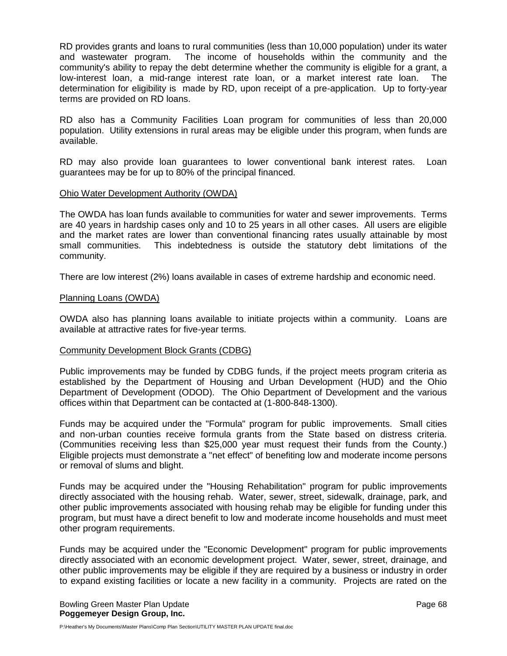RD provides grants and loans to rural communities (less than 10,000 population) under its water and wastewater program. The income of households within the community and the community's ability to repay the debt determine whether the community is eligible for a grant, a low-interest loan, a mid-range interest rate loan, or a market interest rate loan. The determination for eligibility is made by RD, upon receipt of a pre-application. Up to forty-year terms are provided on RD loans.

RD also has a Community Facilities Loan program for communities of less than 20,000 population. Utility extensions in rural areas may be eligible under this program, when funds are available.

RD may also provide loan guarantees to lower conventional bank interest rates. Loan guarantees may be for up to 80% of the principal financed.

#### Ohio Water Development Authority (OWDA)

The OWDA has loan funds available to communities for water and sewer improvements. Terms are 40 years in hardship cases only and 10 to 25 years in all other cases. All users are eligible and the market rates are lower than conventional financing rates usually attainable by most small communities. This indebtedness is outside the statutory debt limitations of the community.

There are low interest (2%) loans available in cases of extreme hardship and economic need.

#### Planning Loans (OWDA)

OWDA also has planning loans available to initiate projects within a community. Loans are available at attractive rates for five-year terms.

## Community Development Block Grants (CDBG)

Public improvements may be funded by CDBG funds, if the project meets program criteria as established by the Department of Housing and Urban Development (HUD) and the Ohio Department of Development (ODOD). The Ohio Department of Development and the various offices within that Department can be contacted at (1-800-848-1300).

Funds may be acquired under the "Formula" program for public improvements. Small cities and non-urban counties receive formula grants from the State based on distress criteria. (Communities receiving less than \$25,000 year must request their funds from the County.) Eligible projects must demonstrate a "net effect" of benefiting low and moderate income persons or removal of slums and blight.

Funds may be acquired under the "Housing Rehabilitation" program for public improvements directly associated with the housing rehab. Water, sewer, street, sidewalk, drainage, park, and other public improvements associated with housing rehab may be eligible for funding under this program, but must have a direct benefit to low and moderate income households and must meet other program requirements.

Funds may be acquired under the "Economic Development" program for public improvements directly associated with an economic development project. Water, sewer, street, drainage, and other public improvements may be eligible if they are required by a business or industry in order to expand existing facilities or locate a new facility in a community. Projects are rated on the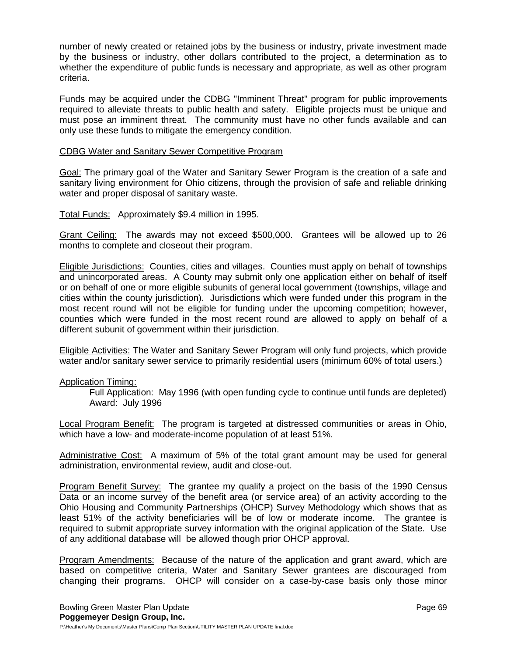number of newly created or retained jobs by the business or industry, private investment made by the business or industry, other dollars contributed to the project, a determination as to whether the expenditure of public funds is necessary and appropriate, as well as other program criteria.

Funds may be acquired under the CDBG "Imminent Threat" program for public improvements required to alleviate threats to public health and safety. Eligible projects must be unique and must pose an imminent threat. The community must have no other funds available and can only use these funds to mitigate the emergency condition.

## CDBG Water and Sanitary Sewer Competitive Program

Goal: The primary goal of the Water and Sanitary Sewer Program is the creation of a safe and sanitary living environment for Ohio citizens, through the provision of safe and reliable drinking water and proper disposal of sanitary waste.

Total Funds: Approximately \$9.4 million in 1995.

Grant Ceiling: The awards may not exceed \$500,000. Grantees will be allowed up to 26 months to complete and closeout their program.

Eligible Jurisdictions: Counties, cities and villages. Counties must apply on behalf of townships and unincorporated areas. A County may submit only one application either on behalf of itself or on behalf of one or more eligible subunits of general local government (townships, village and cities within the county jurisdiction). Jurisdictions which were funded under this program in the most recent round will not be eligible for funding under the upcoming competition; however, counties which were funded in the most recent round are allowed to apply on behalf of a different subunit of government within their jurisdiction.

Eligible Activities: The Water and Sanitary Sewer Program will only fund projects, which provide water and/or sanitary sewer service to primarily residential users (minimum 60% of total users.)

## Application Timing:

Full Application: May 1996 (with open funding cycle to continue until funds are depleted) Award: July 1996

Local Program Benefit: The program is targeted at distressed communities or areas in Ohio, which have a low- and moderate-income population of at least 51%.

Administrative Cost: A maximum of 5% of the total grant amount may be used for general administration, environmental review, audit and close-out.

Program Benefit Survey: The grantee my qualify a project on the basis of the 1990 Census Data or an income survey of the benefit area (or service area) of an activity according to the Ohio Housing and Community Partnerships (OHCP) Survey Methodology which shows that as least 51% of the activity beneficiaries will be of low or moderate income. The grantee is required to submit appropriate survey information with the original application of the State. Use of any additional database will be allowed though prior OHCP approval.

Program Amendments: Because of the nature of the application and grant award, which are based on competitive criteria, Water and Sanitary Sewer grantees are discouraged from changing their programs. OHCP will consider on a case-by-case basis only those minor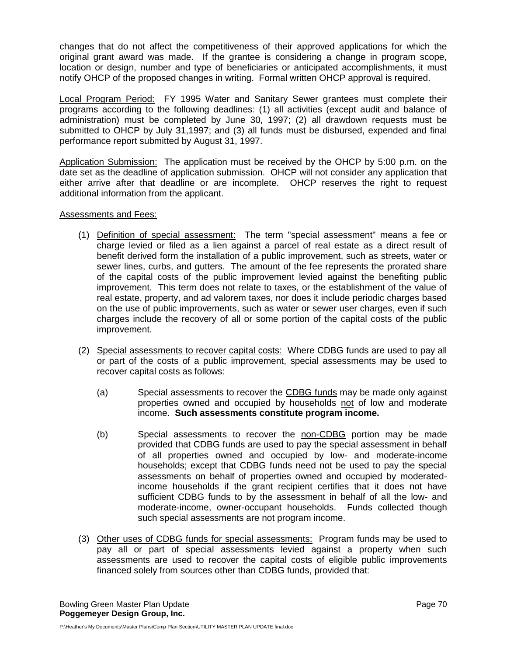changes that do not affect the competitiveness of their approved applications for which the original grant award was made. If the grantee is considering a change in program scope, location or design, number and type of beneficiaries or anticipated accomplishments, it must notify OHCP of the proposed changes in writing. Formal written OHCP approval is required.

Local Program Period: FY 1995 Water and Sanitary Sewer grantees must complete their programs according to the following deadlines: (1) all activities (except audit and balance of administration) must be completed by June 30, 1997; (2) all drawdown requests must be submitted to OHCP by July 31,1997; and (3) all funds must be disbursed, expended and final performance report submitted by August 31, 1997.

Application Submission: The application must be received by the OHCP by 5:00 p.m. on the date set as the deadline of application submission. OHCP will not consider any application that either arrive after that deadline or are incomplete. OHCP reserves the right to request additional information from the applicant.

## Assessments and Fees:

- (1) Definition of special assessment: The term "special assessment" means a fee or charge levied or filed as a lien against a parcel of real estate as a direct result of benefit derived form the installation of a public improvement, such as streets, water or sewer lines, curbs, and gutters. The amount of the fee represents the prorated share of the capital costs of the public improvement levied against the benefiting public improvement. This term does not relate to taxes, or the establishment of the value of real estate, property, and ad valorem taxes, nor does it include periodic charges based on the use of public improvements, such as water or sewer user charges, even if such charges include the recovery of all or some portion of the capital costs of the public improvement.
- (2) Special assessments to recover capital costs: Where CDBG funds are used to pay all or part of the costs of a public improvement, special assessments may be used to recover capital costs as follows:
	- (a) Special assessments to recover the CDBG funds may be made only against properties owned and occupied by households not of low and moderate income. **Such assessments constitute program income.**
	- (b) Special assessments to recover the non-CDBG portion may be made provided that CDBG funds are used to pay the special assessment in behalf of all properties owned and occupied by low- and moderate-income households; except that CDBG funds need not be used to pay the special assessments on behalf of properties owned and occupied by moderatedincome households if the grant recipient certifies that it does not have sufficient CDBG funds to by the assessment in behalf of all the low- and moderate-income, owner-occupant households. Funds collected though such special assessments are not program income.
- (3) Other uses of CDBG funds for special assessments: Program funds may be used to pay all or part of special assessments levied against a property when such assessments are used to recover the capital costs of eligible public improvements financed solely from sources other than CDBG funds, provided that: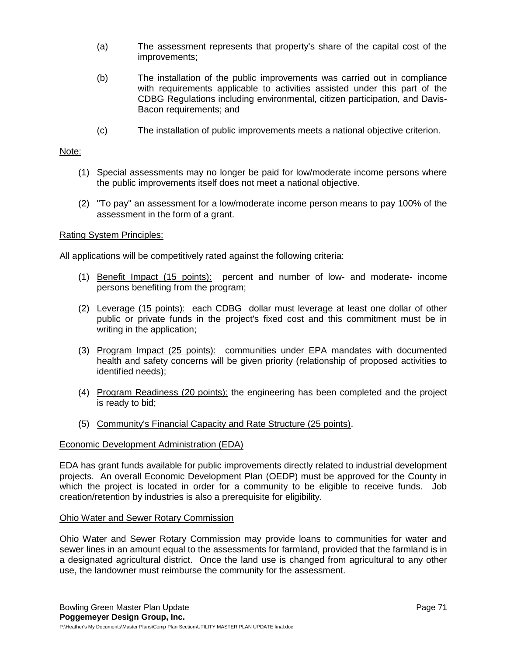- (a) The assessment represents that property's share of the capital cost of the improvements;
- (b) The installation of the public improvements was carried out in compliance with requirements applicable to activities assisted under this part of the CDBG Regulations including environmental, citizen participation, and Davis-Bacon requirements; and
- (c) The installation of public improvements meets a national objective criterion.

#### Note:

- (1) Special assessments may no longer be paid for low/moderate income persons where the public improvements itself does not meet a national objective.
- (2) "To pay" an assessment for a low/moderate income person means to pay 100% of the assessment in the form of a grant.

## Rating System Principles:

All applications will be competitively rated against the following criteria:

- (1) Benefit Impact (15 points): percent and number of low- and moderate- income persons benefiting from the program;
- (2) Leverage (15 points): each CDBG dollar must leverage at least one dollar of other public or private funds in the project's fixed cost and this commitment must be in writing in the application;
- (3) Program Impact (25 points): communities under EPA mandates with documented health and safety concerns will be given priority (relationship of proposed activities to identified needs);
- (4) Program Readiness (20 points): the engineering has been completed and the project is ready to bid;
- (5) Community's Financial Capacity and Rate Structure (25 points).

## Economic Development Administration (EDA)

EDA has grant funds available for public improvements directly related to industrial development projects. An overall Economic Development Plan (OEDP) must be approved for the County in which the project is located in order for a community to be eligible to receive funds. Job creation/retention by industries is also a prerequisite for eligibility.

#### Ohio Water and Sewer Rotary Commission

Ohio Water and Sewer Rotary Commission may provide loans to communities for water and sewer lines in an amount equal to the assessments for farmland, provided that the farmland is in a designated agricultural district. Once the land use is changed from agricultural to any other use, the landowner must reimburse the community for the assessment.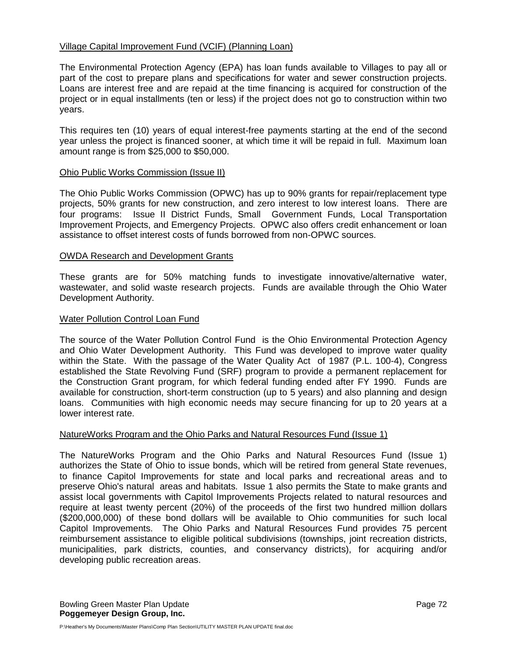## Village Capital Improvement Fund (VCIF) (Planning Loan)

The Environmental Protection Agency (EPA) has loan funds available to Villages to pay all or part of the cost to prepare plans and specifications for water and sewer construction projects. Loans are interest free and are repaid at the time financing is acquired for construction of the project or in equal installments (ten or less) if the project does not go to construction within two years.

This requires ten (10) years of equal interest-free payments starting at the end of the second year unless the project is financed sooner, at which time it will be repaid in full. Maximum loan amount range is from \$25,000 to \$50,000.

## Ohio Public Works Commission (Issue II)

The Ohio Public Works Commission (OPWC) has up to 90% grants for repair/replacement type projects, 50% grants for new construction, and zero interest to low interest loans. There are four programs: Issue II District Funds, Small Government Funds, Local Transportation Improvement Projects, and Emergency Projects. OPWC also offers credit enhancement or loan assistance to offset interest costs of funds borrowed from non-OPWC sources.

## OWDA Research and Development Grants

These grants are for 50% matching funds to investigate innovative/alternative water, wastewater, and solid waste research projects. Funds are available through the Ohio Water Development Authority.

## Water Pollution Control Loan Fund

The source of the Water Pollution Control Fund is the Ohio Environmental Protection Agency and Ohio Water Development Authority. This Fund was developed to improve water quality within the State. With the passage of the Water Quality Act of 1987 (P.L. 100-4), Congress established the State Revolving Fund (SRF) program to provide a permanent replacement for the Construction Grant program, for which federal funding ended after FY 1990. Funds are available for construction, short-term construction (up to 5 years) and also planning and design loans. Communities with high economic needs may secure financing for up to 20 years at a lower interest rate.

## NatureWorks Program and the Ohio Parks and Natural Resources Fund (Issue 1)

The NatureWorks Program and the Ohio Parks and Natural Resources Fund (Issue 1) authorizes the State of Ohio to issue bonds, which will be retired from general State revenues, to finance Capitol Improvements for state and local parks and recreational areas and to preserve Ohio's natural areas and habitats. Issue 1 also permits the State to make grants and assist local governments with Capitol Improvements Projects related to natural resources and require at least twenty percent (20%) of the proceeds of the first two hundred million dollars (\$200,000,000) of these bond dollars will be available to Ohio communities for such local Capitol Improvements. The Ohio Parks and Natural Resources Fund provides 75 percent reimbursement assistance to eligible political subdivisions (townships, joint recreation districts, municipalities, park districts, counties, and conservancy districts), for acquiring and/or developing public recreation areas.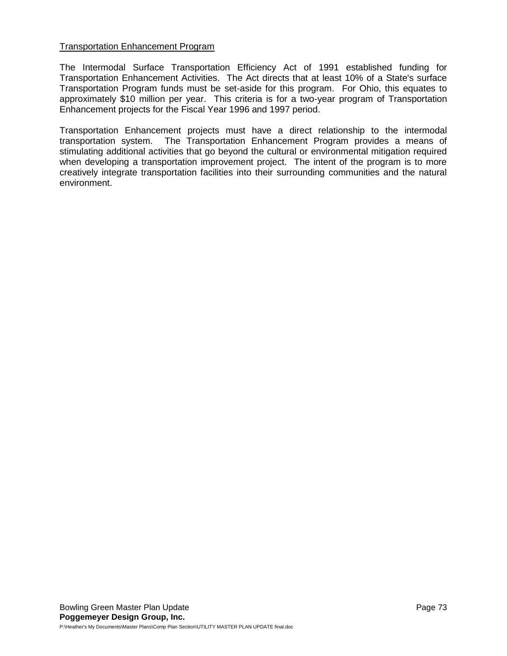### Transportation Enhancement Program

The Intermodal Surface Transportation Efficiency Act of 1991 established funding for Transportation Enhancement Activities. The Act directs that at least 10% of a State's surface Transportation Program funds must be set-aside for this program. For Ohio, this equates to approximately \$10 million per year. This criteria is for a two-year program of Transportation Enhancement projects for the Fiscal Year 1996 and 1997 period.

Transportation Enhancement projects must have a direct relationship to the intermodal transportation system. The Transportation Enhancement Program provides a means of stimulating additional activities that go beyond the cultural or environmental mitigation required when developing a transportation improvement project. The intent of the program is to more creatively integrate transportation facilities into their surrounding communities and the natural environment.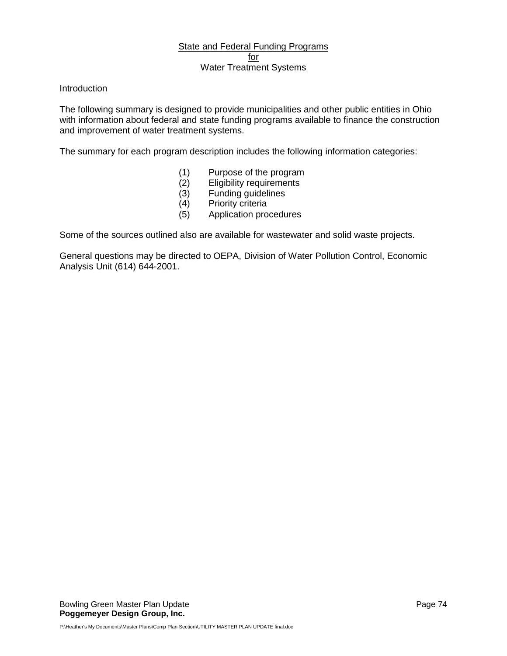# State and Federal Funding Programs for Water Treatment Systems

# Introduction

The following summary is designed to provide municipalities and other public entities in Ohio with information about federal and state funding programs available to finance the construction and improvement of water treatment systems.

The summary for each program description includes the following information categories:

- (1) Purpose of the program<br>(2) Eligibility requirements
- Eligibility requirements
- (3) Funding guidelines
- (4) Priority criteria
- (5) Application procedures

Some of the sources outlined also are available for wastewater and solid waste projects.

General questions may be directed to OEPA, Division of Water Pollution Control, Economic Analysis Unit (614) 644-2001.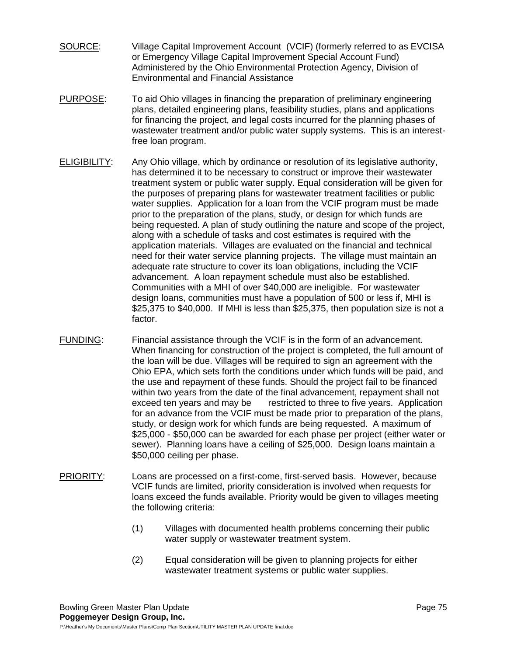- SOURCE: Village Capital Improvement Account (VCIF) (formerly referred to as EVCISA or Emergency Village Capital Improvement Special Account Fund) Administered by the Ohio Environmental Protection Agency, Division of Environmental and Financial Assistance
- PURPOSE: To aid Ohio villages in financing the preparation of preliminary engineering plans, detailed engineering plans, feasibility studies, plans and applications for financing the project, and legal costs incurred for the planning phases of wastewater treatment and/or public water supply systems. This is an interestfree loan program.
- ELIGIBILITY: Any Ohio village, which by ordinance or resolution of its legislative authority, has determined it to be necessary to construct or improve their wastewater treatment system or public water supply. Equal consideration will be given for the purposes of preparing plans for wastewater treatment facilities or public water supplies. Application for a loan from the VCIF program must be made prior to the preparation of the plans, study, or design for which funds are being requested. A plan of study outlining the nature and scope of the project, along with a schedule of tasks and cost estimates is required with the application materials. Villages are evaluated on the financial and technical need for their water service planning projects. The village must maintain an adequate rate structure to cover its loan obligations, including the VCIF advancement. A loan repayment schedule must also be established. Communities with a MHI of over \$40,000 are ineligible. For wastewater design loans, communities must have a population of 500 or less if, MHI is \$25,375 to \$40,000. If MHI is less than \$25,375, then population size is not a factor.
- FUNDING: Financial assistance through the VCIF is in the form of an advancement. When financing for construction of the project is completed, the full amount of the loan will be due. Villages will be required to sign an agreement with the Ohio EPA, which sets forth the conditions under which funds will be paid, and the use and repayment of these funds. Should the project fail to be financed within two years from the date of the final advancement, repayment shall not exceed ten years and may be restricted to three to five years. Application for an advance from the VCIF must be made prior to preparation of the plans, study, or design work for which funds are being requested. A maximum of \$25,000 - \$50,000 can be awarded for each phase per project (either water or sewer). Planning loans have a ceiling of \$25,000. Design loans maintain a \$50,000 ceiling per phase.
- PRIORITY: Loans are processed on a first-come, first-served basis. However, because VCIF funds are limited, priority consideration is involved when requests for loans exceed the funds available. Priority would be given to villages meeting the following criteria:
	- (1) Villages with documented health problems concerning their public water supply or wastewater treatment system.
	- (2) Equal consideration will be given to planning projects for either wastewater treatment systems or public water supplies.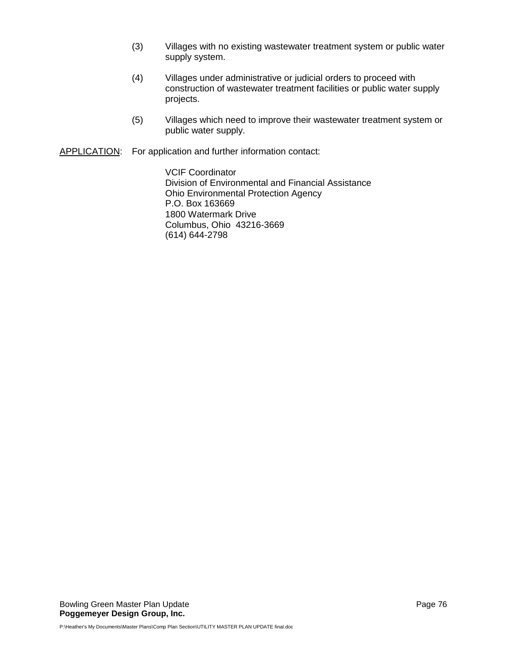- (3) Villages with no existing wastewater treatment system or public water supply system.
- (4) Villages under administrative or judicial orders to proceed with construction of wastewater treatment facilities or public water supply projects.
- (5) Villages which need to improve their wastewater treatment system or public water supply.

APPLICATION: For application and further information contact:

VCIF Coordinator Division of Environmental and Financial Assistance Ohio Environmental Protection Agency P.O. Box 163669 1800 Watermark Drive Columbus, Ohio 43216-3669 (614) 644-2798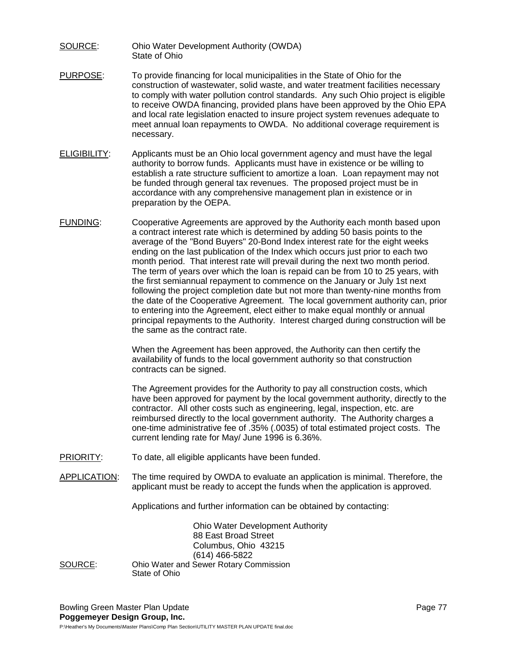- SOURCE: Ohio Water Development Authority (OWDA) State of Ohio
- PURPOSE: To provide financing for local municipalities in the State of Ohio for the construction of wastewater, solid waste, and water treatment facilities necessary to comply with water pollution control standards. Any such Ohio project is eligible to receive OWDA financing, provided plans have been approved by the Ohio EPA and local rate legislation enacted to insure project system revenues adequate to meet annual loan repayments to OWDA. No additional coverage requirement is necessary.
- ELIGIBILITY: Applicants must be an Ohio local government agency and must have the legal authority to borrow funds. Applicants must have in existence or be willing to establish a rate structure sufficient to amortize a loan. Loan repayment may not be funded through general tax revenues. The proposed project must be in accordance with any comprehensive management plan in existence or in preparation by the OEPA.
- FUNDING: Cooperative Agreements are approved by the Authority each month based upon a contract interest rate which is determined by adding 50 basis points to the average of the "Bond Buyers" 20-Bond Index interest rate for the eight weeks ending on the last publication of the Index which occurs just prior to each two month period. That interest rate will prevail during the next two month period. The term of years over which the loan is repaid can be from 10 to 25 years, with the first semiannual repayment to commence on the January or July 1st next following the project completion date but not more than twenty-nine months from the date of the Cooperative Agreement. The local government authority can, prior to entering into the Agreement, elect either to make equal monthly or annual principal repayments to the Authority. Interest charged during construction will be the same as the contract rate.

When the Agreement has been approved, the Authority can then certify the availability of funds to the local government authority so that construction contracts can be signed.

The Agreement provides for the Authority to pay all construction costs, which have been approved for payment by the local government authority, directly to the contractor. All other costs such as engineering, legal, inspection, etc. are reimbursed directly to the local government authority. The Authority charges a one-time administrative fee of .35% (.0035) of total estimated project costs. The current lending rate for May/ June 1996 is 6.36%.

- PRIORITY: To date, all eligible applicants have been funded.
- APPLICATION: The time required by OWDA to evaluate an application is minimal. Therefore, the applicant must be ready to accept the funds when the application is approved.

Applications and further information can be obtained by contacting:

Ohio Water Development Authority 88 East Broad Street Columbus, Ohio 43215 (614) 466-5822 SOURCE: Ohio Water and Sewer Rotary Commission State of Ohio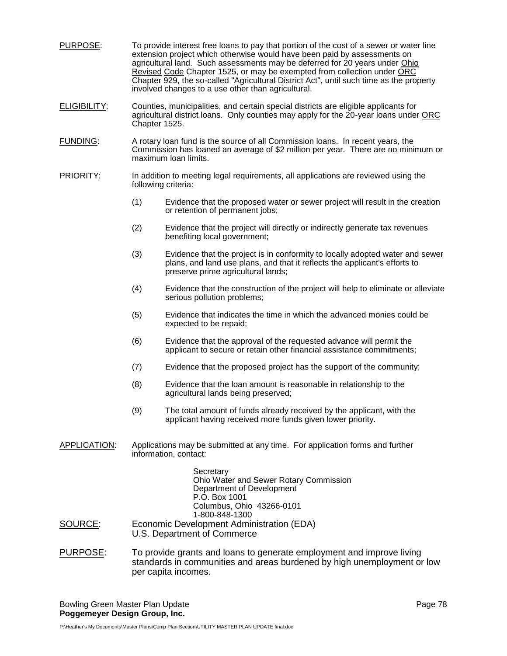- PURPOSE: To provide interest free loans to pay that portion of the cost of a sewer or water line extension project which otherwise would have been paid by assessments on agricultural land. Such assessments may be deferred for 20 years under Ohio Revised Code Chapter 1525, or may be exempted from collection under ORC Chapter 929, the so-called "Agricultural District Act", until such time as the property involved changes to a use other than agricultural.
- ELIGIBILITY: Counties, municipalities, and certain special districts are eligible applicants for agricultural district loans. Only counties may apply for the 20-year loans under ORC Chapter 1525.
- FUNDING: A rotary loan fund is the source of all Commission loans. In recent years, the Commission has loaned an average of \$2 million per year. There are no minimum or maximum loan limits.
- **PRIORITY:** In addition to meeting legal requirements, all applications are reviewed using the following criteria:
	- (1) Evidence that the proposed water or sewer project will result in the creation or retention of permanent jobs;
	- (2) Evidence that the project will directly or indirectly generate tax revenues benefiting local government;
	- (3) Evidence that the project is in conformity to locally adopted water and sewer plans, and land use plans, and that it reflects the applicant's efforts to preserve prime agricultural lands;
	- (4) Evidence that the construction of the project will help to eliminate or alleviate serious pollution problems;
	- (5) Evidence that indicates the time in which the advanced monies could be expected to be repaid;
	- (6) Evidence that the approval of the requested advance will permit the applicant to secure or retain other financial assistance commitments;
	- (7) Evidence that the proposed project has the support of the community;
	- (8) Evidence that the loan amount is reasonable in relationship to the agricultural lands being preserved;
	- (9) The total amount of funds already received by the applicant, with the applicant having received more funds given lower priority.
- APPLICATION: Applications may be submitted at any time. For application forms and further information, contact:

**Secretary** Ohio Water and Sewer Rotary Commission Department of Development P.O. Box 1001 Columbus, Ohio 43266-0101 1-800-848-1300

- SOURCE: Economic Development Administration (EDA) U.S. Department of Commerce
- PURPOSE: To provide grants and loans to generate employment and improve living standards in communities and areas burdened by high unemployment or low per capita incomes.

Bowling Green Master Plan Update **Page 78** and the Page 78 **Poggemeyer Design Group, Inc.**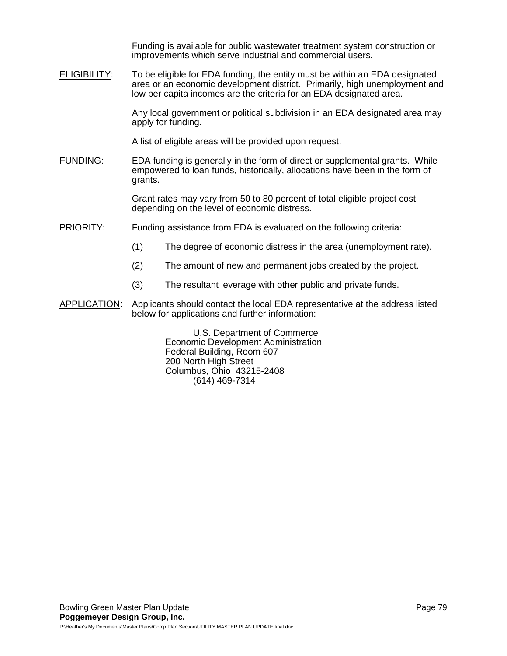Funding is available for public wastewater treatment system construction or improvements which serve industrial and commercial users.

ELIGIBILITY: To be eligible for EDA funding, the entity must be within an EDA designated area or an economic development district. Primarily, high unemployment and low per capita incomes are the criteria for an EDA designated area.

> Any local government or political subdivision in an EDA designated area may apply for funding.

A list of eligible areas will be provided upon request.

FUNDING: EDA funding is generally in the form of direct or supplemental grants. While empowered to loan funds, historically, allocations have been in the form of grants.

> Grant rates may vary from 50 to 80 percent of total eligible project cost depending on the level of economic distress.

- PRIORITY: Funding assistance from EDA is evaluated on the following criteria:
	- (1) The degree of economic distress in the area (unemployment rate).
	- (2) The amount of new and permanent jobs created by the project.
	- (3) The resultant leverage with other public and private funds.
- APPLICATION: Applicants should contact the local EDA representative at the address listed below for applications and further information:

U.S. Department of Commerce Economic Development Administration Federal Building, Room 607 200 North High Street Columbus, Ohio 43215-2408 (614) 469-7314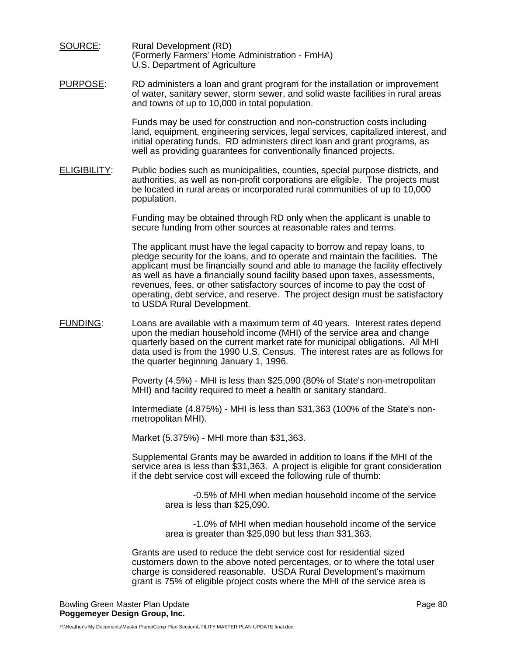SOURCE: Rural Development (RD) (Formerly Farmers' Home Administration - FmHA) U.S. Department of Agriculture

PURPOSE: RD administers a loan and grant program for the installation or improvement of water, sanitary sewer, storm sewer, and solid waste facilities in rural areas and towns of up to 10,000 in total population.

> Funds may be used for construction and non-construction costs including land, equipment, engineering services, legal services, capitalized interest, and initial operating funds. RD administers direct loan and grant programs, as well as providing guarantees for conventionally financed projects.

ELIGIBILITY: Public bodies such as municipalities, counties, special purpose districts, and authorities, as well as non-profit corporations are eligible. The projects must be located in rural areas or incorporated rural communities of up to 10,000 population.

> Funding may be obtained through RD only when the applicant is unable to secure funding from other sources at reasonable rates and terms.

The applicant must have the legal capacity to borrow and repay loans, to pledge security for the loans, and to operate and maintain the facilities. The applicant must be financially sound and able to manage the facility effectively as well as have a financially sound facility based upon taxes, assessments, revenues, fees, or other satisfactory sources of income to pay the cost of operating, debt service, and reserve. The project design must be satisfactory to USDA Rural Development.

FUNDING: Loans are available with a maximum term of 40 years. Interest rates depend upon the median household income (MHI) of the service area and change quarterly based on the current market rate for municipal obligations. All MHI data used is from the 1990 U.S. Census. The interest rates are as follows for the quarter beginning January 1, 1996.

> Poverty (4.5%) - MHI is less than \$25,090 (80% of State's non-metropolitan MHI) and facility required to meet a health or sanitary standard.

> Intermediate (4.875%) - MHI is less than \$31,363 (100% of the State's nonmetropolitan MHI).

Market (5.375%) - MHI more than \$31,363.

Supplemental Grants may be awarded in addition to loans if the MHI of the service area is less than \$31,363. A project is eligible for grant consideration if the debt service cost will exceed the following rule of thumb:

> -0.5% of MHI when median household income of the service area is less than \$25,090.

> -1.0% of MHI when median household income of the service area is greater than \$25,090 but less than \$31,363.

Grants are used to reduce the debt service cost for residential sized customers down to the above noted percentages, or to where the total user charge is considered reasonable. USDA Rural Development's maximum grant is 75% of eligible project costs where the MHI of the service area is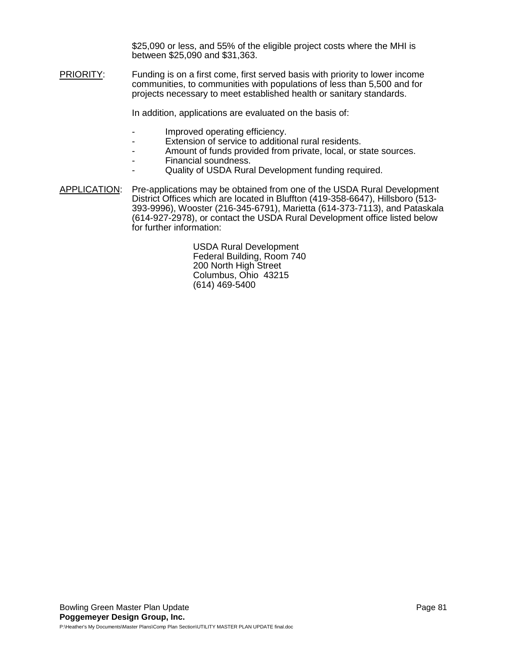\$25,090 or less, and 55% of the eligible project costs where the MHI is between \$25,090 and \$31,363.

PRIORITY: Funding is on a first come, first served basis with priority to lower income communities, to communities with populations of less than 5,500 and for projects necessary to meet established health or sanitary standards.

In addition, applications are evaluated on the basis of:

- Improved operating efficiency.
- Extension of service to additional rural residents.
- Amount of funds provided from private, local, or state sources.
- Financial soundness.
- Quality of USDA Rural Development funding required.
- APPLICATION: Pre-applications may be obtained from one of the USDA Rural Development District Offices which are located in Bluffton (419-358-6647), Hillsboro (513- 393-9996), Wooster (216-345-6791), Marietta (614-373-7113), and Pataskala (614-927-2978), or contact the USDA Rural Development office listed below for further information:

USDA Rural Development Federal Building, Room 740 200 North High Street Columbus, Ohio 43215 (614) 469-5400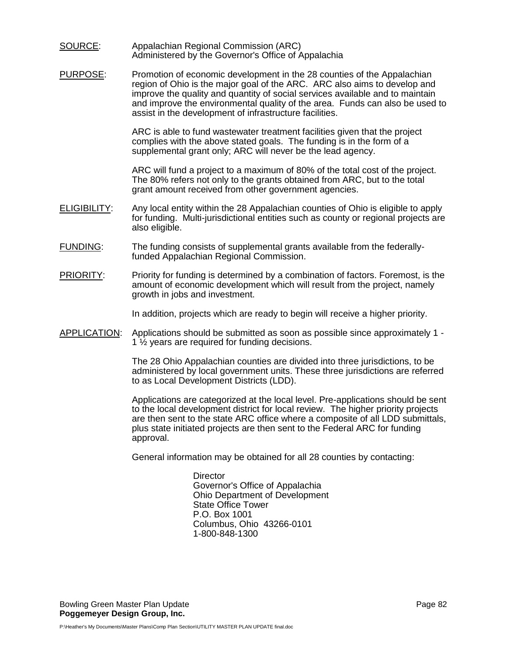#### SOURCE: Appalachian Regional Commission (ARC) Administered by the Governor's Office of Appalachia

PURPOSE: Promotion of economic development in the 28 counties of the Appalachian region of Ohio is the major goal of the ARC. ARC also aims to develop and improve the quality and quantity of social services available and to maintain and improve the environmental quality of the area. Funds can also be used to assist in the development of infrastructure facilities.

> ARC is able to fund wastewater treatment facilities given that the project complies with the above stated goals. The funding is in the form of a supplemental grant only; ARC will never be the lead agency.

ARC will fund a project to a maximum of 80% of the total cost of the project. The 80% refers not only to the grants obtained from ARC, but to the total grant amount received from other government agencies.

- ELIGIBILITY: Any local entity within the 28 Appalachian counties of Ohio is eligible to apply for funding. Multi-jurisdictional entities such as county or regional projects are also eligible.
- FUNDING: The funding consists of supplemental grants available from the federallyfunded Appalachian Regional Commission.
- PRIORITY: Priority for funding is determined by a combination of factors. Foremost, is the amount of economic development which will result from the project, namely growth in jobs and investment.

In addition, projects which are ready to begin will receive a higher priority.

APPLICATION: Applications should be submitted as soon as possible since approximately 1 - 1 ½ years are required for funding decisions.

> The 28 Ohio Appalachian counties are divided into three jurisdictions, to be administered by local government units. These three jurisdictions are referred to as Local Development Districts (LDD).

> Applications are categorized at the local level. Pre-applications should be sent to the local development district for local review. The higher priority projects are then sent to the state ARC office where a composite of all LDD submittals, plus state initiated projects are then sent to the Federal ARC for funding approval.

General information may be obtained for all 28 counties by contacting:

**Director** Governor's Office of Appalachia Ohio Department of Development State Office Tower P.O. Box 1001 Columbus, Ohio 43266-0101 1-800-848-1300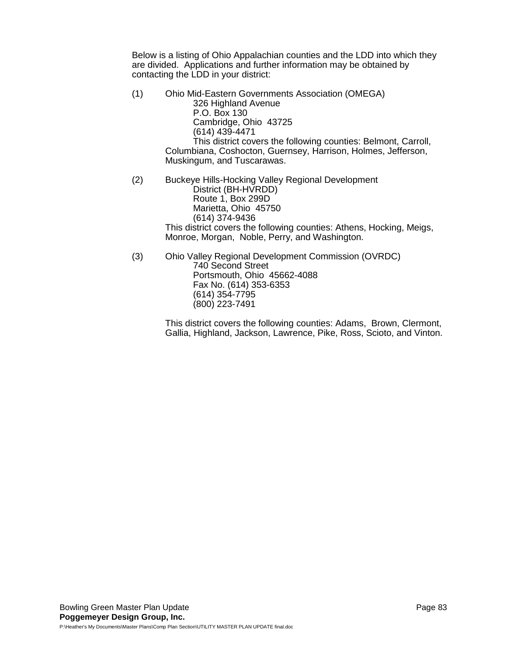Below is a listing of Ohio Appalachian counties and the LDD into which they are divided. Applications and further information may be obtained by contacting the LDD in your district:

- (1) Ohio Mid-Eastern Governments Association (OMEGA) 326 Highland Avenue P.O. Box 130 Cambridge, Ohio 43725 (614) 439-4471 This district covers the following counties: Belmont, Carroll, Columbiana, Coshocton, Guernsey, Harrison, Holmes, Jefferson, Muskingum, and Tuscarawas.
- (2) Buckeye Hills-Hocking Valley Regional Development District (BH-HVRDD) Route 1, Box 299D Marietta, Ohio 45750 (614) 374-9436 This district covers the following counties: Athens, Hocking, Meigs, Monroe, Morgan, Noble, Perry, and Washington.
- (3) Ohio Valley Regional Development Commission (OVRDC) 740 Second Street Portsmouth, Ohio 45662-4088 Fax No. (614) 353-6353 (614) 354-7795 (800) 223-7491

This district covers the following counties: Adams, Brown, Clermont, Gallia, Highland, Jackson, Lawrence, Pike, Ross, Scioto, and Vinton.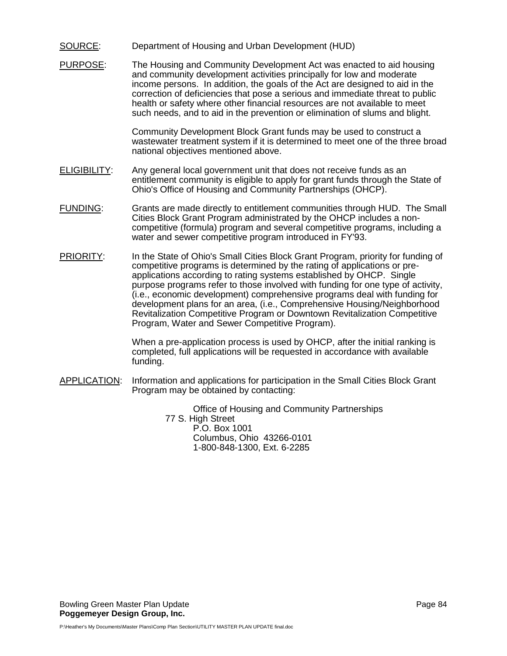### SOURCE: Department of Housing and Urban Development (HUD)

PURPOSE: The Housing and Community Development Act was enacted to aid housing and community development activities principally for low and moderate income persons. In addition, the goals of the Act are designed to aid in the correction of deficiencies that pose a serious and immediate threat to public health or safety where other financial resources are not available to meet such needs, and to aid in the prevention or elimination of slums and blight.

> Community Development Block Grant funds may be used to construct a wastewater treatment system if it is determined to meet one of the three broad national objectives mentioned above.

- ELIGIBILITY: Any general local government unit that does not receive funds as an entitlement community is eligible to apply for grant funds through the State of Ohio's Office of Housing and Community Partnerships (OHCP).
- FUNDING: Grants are made directly to entitlement communities through HUD. The Small Cities Block Grant Program administrated by the OHCP includes a noncompetitive (formula) program and several competitive programs, including a water and sewer competitive program introduced in FY'93.
- PRIORITY: In the State of Ohio's Small Cities Block Grant Program, priority for funding of competitive programs is determined by the rating of applications or preapplications according to rating systems established by OHCP. Single purpose programs refer to those involved with funding for one type of activity, (i.e., economic development) comprehensive programs deal with funding for development plans for an area, (i.e., Comprehensive Housing/Neighborhood Revitalization Competitive Program or Downtown Revitalization Competitive Program, Water and Sewer Competitive Program).

When a pre-application process is used by OHCP, after the initial ranking is completed, full applications will be requested in accordance with available funding.

APPLICATION: Information and applications for participation in the Small Cities Block Grant Program may be obtained by contacting:

> Office of Housing and Community Partnerships 77 S. High Street P.O. Box 1001 Columbus, Ohio 43266-0101 1-800-848-1300, Ext. 6-2285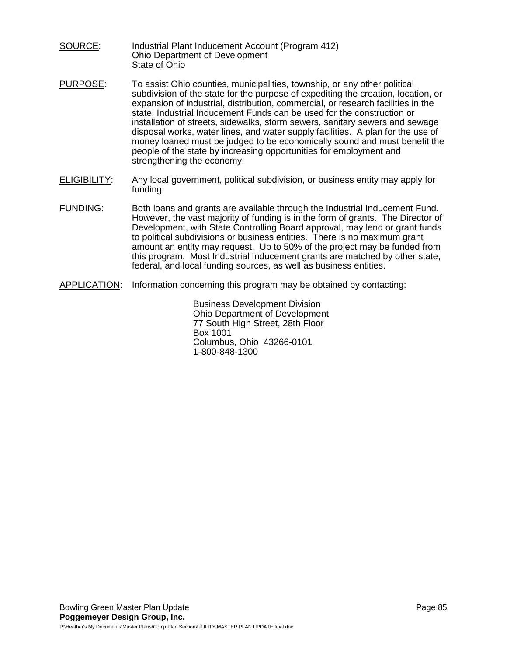- SOURCE: Industrial Plant Inducement Account (Program 412) Ohio Department of Development State of Ohio
- PURPOSE: To assist Ohio counties, municipalities, township, or any other political subdivision of the state for the purpose of expediting the creation, location, or expansion of industrial, distribution, commercial, or research facilities in the state. Industrial Inducement Funds can be used for the construction or installation of streets, sidewalks, storm sewers, sanitary sewers and sewage disposal works, water lines, and water supply facilities. A plan for the use of money loaned must be judged to be economically sound and must benefit the people of the state by increasing opportunities for employment and strengthening the economy.
- ELIGIBILITY: Any local government, political subdivision, or business entity may apply for funding.
- FUNDING: Both loans and grants are available through the Industrial Inducement Fund. However, the vast majority of funding is in the form of grants. The Director of Development, with State Controlling Board approval, may lend or grant funds to political subdivisions or business entities. There is no maximum grant amount an entity may request. Up to 50% of the project may be funded from this program. Most Industrial Inducement grants are matched by other state, federal, and local funding sources, as well as business entities.
- APPLICATION: Information concerning this program may be obtained by contacting:

Business Development Division Ohio Department of Development 77 South High Street, 28th Floor Box 1001 Columbus, Ohio 43266-0101 1-800-848-1300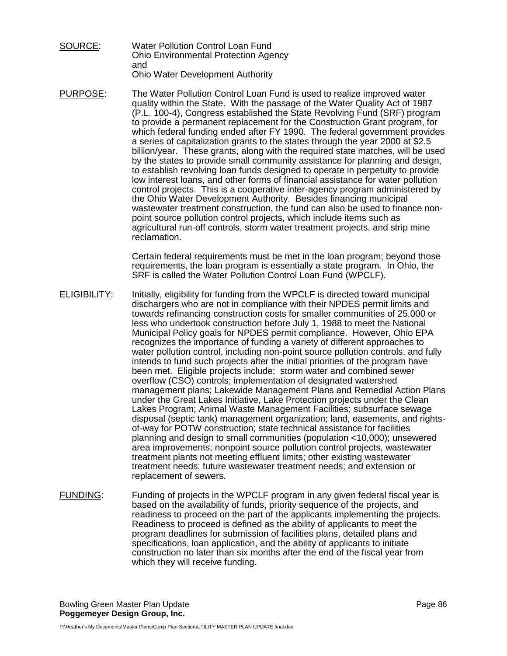- SOURCE: Water Pollution Control Loan Fund Ohio Environmental Protection Agency and Ohio Water Development Authority
- PURPOSE: The Water Pollution Control Loan Fund is used to realize improved water quality within the State. With the passage of the Water Quality Act of 1987 (P.L. 100-4), Congress established the State Revolving Fund (SRF) program to provide a permanent replacement for the Construction Grant program, for which federal funding ended after FY 1990. The federal government provides a series of capitalization grants to the states through the year 2000 at \$2.5 billion/year. These grants, along with the required state matches, will be used by the states to provide small community assistance for planning and design, to establish revolving loan funds designed to operate in perpetuity to provide low interest loans, and other forms of financial assistance for water pollution control projects. This is a cooperative inter-agency program administered by the Ohio Water Development Authority. Besides financing municipal wastewater treatment construction, the fund can also be used to finance nonpoint source pollution control projects, which include items such as agricultural run-off controls, storm water treatment projects, and strip mine reclamation.

Certain federal requirements must be met in the loan program; beyond those requirements, the loan program is essentially a state program. In Ohio, the SRF is called the Water Pollution Control Loan Fund (WPCLF).

- ELIGIBILITY: Initially, eligibility for funding from the WPCLF is directed toward municipal dischargers who are not in compliance with their NPDES permit limits and towards refinancing construction costs for smaller communities of 25,000 or less who undertook construction before July 1, 1988 to meet the National Municipal Policy goals for NPDES permit compliance. However, Ohio EPA recognizes the importance of funding a variety of different approaches to water pollution control, including non-point source pollution controls, and fully intends to fund such projects after the initial priorities of the program have been met. Eligible projects include: storm water and combined sewer overflow (CSO) controls; implementation of designated watershed management plans; Lakewide Management Plans and Remedial Action Plans under the Great Lakes Initiative, Lake Protection projects under the Clean Lakes Program; Animal Waste Management Facilities; subsurface sewage disposal (septic tank) management organization; land, easements, and rightsof-way for POTW construction; state technical assistance for facilities planning and design to small communities (population <10,000); unsewered area improvements; nonpoint source pollution control projects, wastewater treatment plants not meeting effluent limits; other existing wastewater treatment needs; future wastewater treatment needs; and extension or replacement of sewers.
- FUNDING: Funding of projects in the WPCLF program in any given federal fiscal year is based on the availability of funds, priority sequence of the projects, and readiness to proceed on the part of the applicants implementing the projects. Readiness to proceed is defined as the ability of applicants to meet the program deadlines for submission of facilities plans, detailed plans and specifications, loan application, and the ability of applicants to initiate construction no later than six months after the end of the fiscal year from which they will receive funding.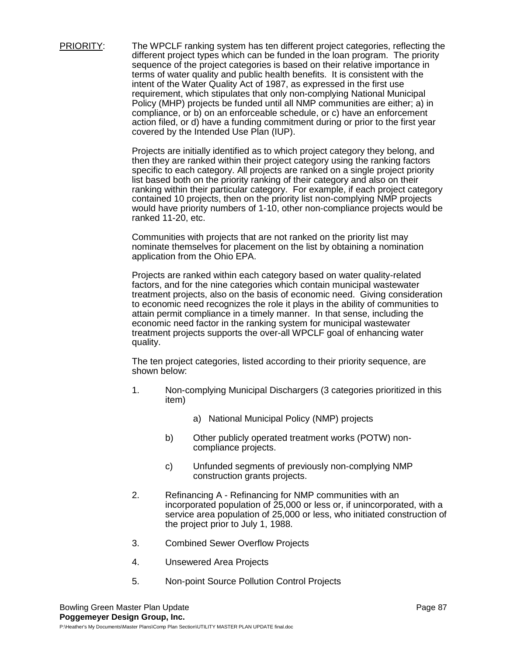PRIORITY: The WPCLF ranking system has ten different project categories, reflecting the different project types which can be funded in the loan program. The priority sequence of the project categories is based on their relative importance in terms of water quality and public health benefits. It is consistent with the intent of the Water Quality Act of 1987, as expressed in the first use requirement, which stipulates that only non-complying National Municipal Policy (MHP) projects be funded until all NMP communities are either; a) in compliance, or b) on an enforceable schedule, or c) have an enforcement action filed, or d) have a funding commitment during or prior to the first year covered by the Intended Use Plan (IUP).

> Projects are initially identified as to which project category they belong, and then they are ranked within their project category using the ranking factors specific to each category. All projects are ranked on a single project priority list based both on the priority ranking of their category and also on their ranking within their particular category. For example, if each project category contained 10 projects, then on the priority list non-complying NMP projects would have priority numbers of 1-10, other non-compliance projects would be ranked 11-20, etc.

Communities with projects that are not ranked on the priority list may nominate themselves for placement on the list by obtaining a nomination application from the Ohio EPA.

Projects are ranked within each category based on water quality-related factors, and for the nine categories which contain municipal wastewater treatment projects, also on the basis of economic need. Giving consideration to economic need recognizes the role it plays in the ability of communities to attain permit compliance in a timely manner. In that sense, including the economic need factor in the ranking system for municipal wastewater treatment projects supports the over-all WPCLF goal of enhancing water quality.

The ten project categories, listed according to their priority sequence, are shown below:

- 1. Non-complying Municipal Dischargers (3 categories prioritized in this item)
	- a) National Municipal Policy (NMP) projects
	- b) Other publicly operated treatment works (POTW) noncompliance projects.
	- c) Unfunded segments of previously non-complying NMP construction grants projects.
- 2. Refinancing A Refinancing for NMP communities with an incorporated population of 25,000 or less or, if unincorporated, with a service area population of 25,000 or less, who initiated construction of the project prior to July 1, 1988.
- 3. Combined Sewer Overflow Projects
- 4. Unsewered Area Projects
- 5. Non-point Source Pollution Control Projects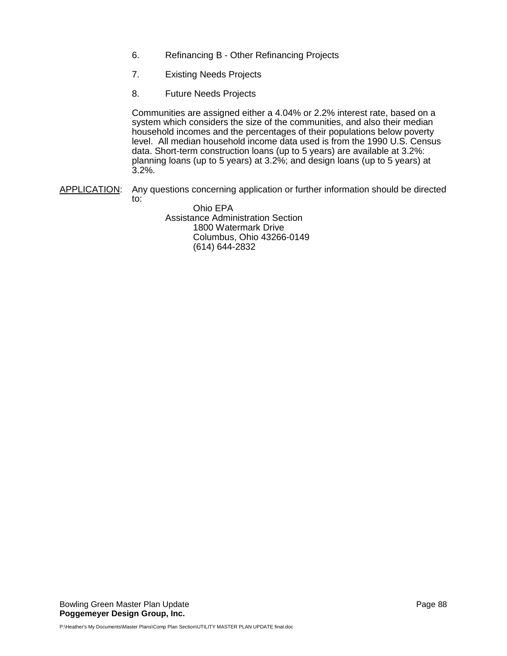- 6. Refinancing B Other Refinancing Projects
- 7. Existing Needs Projects
- 8. Future Needs Projects

Communities are assigned either a 4.04% or 2.2% interest rate, based on a system which considers the size of the communities, and also their median household incomes and the percentages of their populations below poverty level. All median household income data used is from the 1990 U.S. Census data. Short-term construction loans (up to 5 years) are available at 3.2%: planning loans (up to 5 years) at 3.2%; and design loans (up to 5 years) at 3.2%.

APPLICATION: Any questions concerning application or further information should be directed to:

> Ohio EPA Assistance Administration Section 1800 Watermark Drive Columbus, Ohio 43266-0149 (614) 644-2832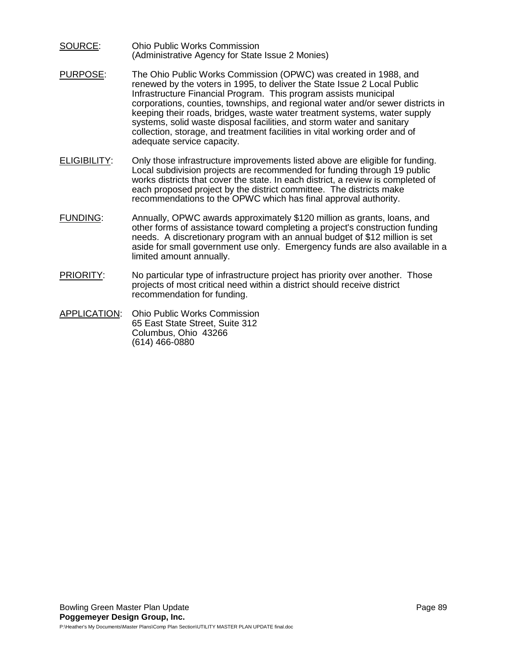- SOURCE: Ohio Public Works Commission (Administrative Agency for State Issue 2 Monies)
- PURPOSE: The Ohio Public Works Commission (OPWC) was created in 1988, and renewed by the voters in 1995, to deliver the State Issue 2 Local Public Infrastructure Financial Program. This program assists municipal corporations, counties, townships, and regional water and/or sewer districts in keeping their roads, bridges, waste water treatment systems, water supply systems, solid waste disposal facilities, and storm water and sanitary collection, storage, and treatment facilities in vital working order and of adequate service capacity.
- ELIGIBILITY: Only those infrastructure improvements listed above are eligible for funding. Local subdivision projects are recommended for funding through 19 public works districts that cover the state. In each district, a review is completed of each proposed project by the district committee. The districts make recommendations to the OPWC which has final approval authority.
- FUNDING: Annually, OPWC awards approximately \$120 million as grants, loans, and other forms of assistance toward completing a project's construction funding needs. A discretionary program with an annual budget of \$12 million is set aside for small government use only. Emergency funds are also available in a limited amount annually.
- PRIORITY: No particular type of infrastructure project has priority over another. Those projects of most critical need within a district should receive district recommendation for funding.
- APPLICATION: Ohio Public Works Commission 65 East State Street, Suite 312 Columbus, Ohio 43266 (614) 466-0880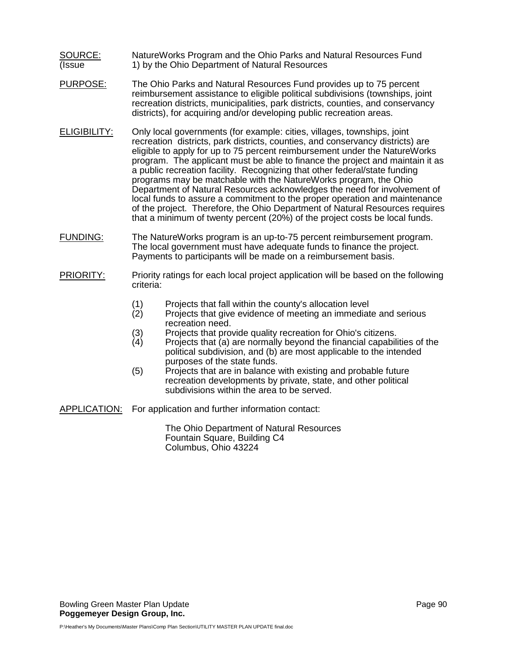- SOURCE: NatureWorks Program and the Ohio Parks and Natural Resources Fund (Issue 1) by the Ohio Department of Natural Resources
- PURPOSE: The Ohio Parks and Natural Resources Fund provides up to 75 percent reimbursement assistance to eligible political subdivisions (townships, joint recreation districts, municipalities, park districts, counties, and conservancy districts), for acquiring and/or developing public recreation areas.
- ELIGIBILITY: Only local governments (for example: cities, villages, townships, joint recreation districts, park districts, counties, and conservancy districts) are eligible to apply for up to 75 percent reimbursement under the NatureWorks program. The applicant must be able to finance the project and maintain it as a public recreation facility. Recognizing that other federal/state funding programs may be matchable with the NatureWorks program, the Ohio Department of Natural Resources acknowledges the need for involvement of local funds to assure a commitment to the proper operation and maintenance of the project. Therefore, the Ohio Department of Natural Resources requires that a minimum of twenty percent (20%) of the project costs be local funds.
- FUNDING: The NatureWorks program is an up-to-75 percent reimbursement program. The local government must have adequate funds to finance the project. Payments to participants will be made on a reimbursement basis.
- PRIORITY: Priority ratings for each local project application will be based on the following criteria:
	- (1) Projects that fall within the county's allocation level<br>(2) Projects that give evidence of meeting an immediat
	- Projects that give evidence of meeting an immediate and serious recreation need.
	- (3) Projects that provide quality recreation for Ohio's citizens.<br>(4) Projects that (a) are normally bevond the financial capabili
	- Projects that (a) are normally beyond the financial capabilities of the political subdivision, and (b) are most applicable to the intended purposes of the state funds.
	- (5) Projects that are in balance with existing and probable future recreation developments by private, state, and other political subdivisions within the area to be served.

APPLICATION: For application and further information contact:

The Ohio Department of Natural Resources Fountain Square, Building C4 Columbus, Ohio 43224